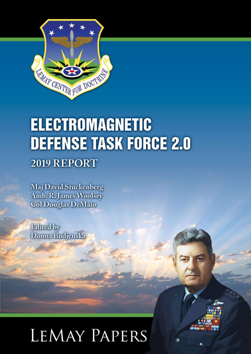

# **ELECTROMAGNETIC DEFENSE TASK FORCE 2.0**

# 2019 REPORT

**Maj David Stuckenberg** Amb. R. James Woolsey **Col Douglas DeMaio** 

**Edited** by Donna Budjenska

# **LEMAY PAPERS**

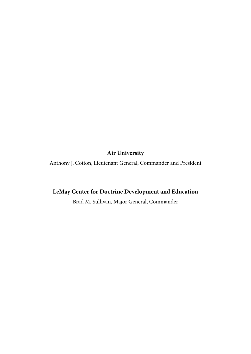## **Air University**

Anthony J. Cotton, Lieutenant General, Commander and President

## **LeMay Center for Doctrine Development and Education**

Brad M. Sullivan, Major General, Commander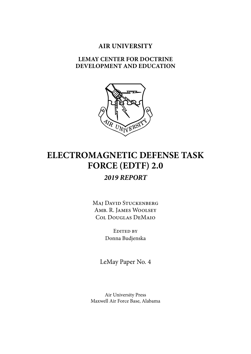## **AIR UNIVERSITY**

## **LEMAY CENTER FOR DOCTRINE DEVELOPMENT AND EDUCATION**



## **ELECTROMAGNETIC DEFENSE TASK FORCE (EDTF) 2.0** *2019 REPORT*

Maj David Stuckenberg Amb. R. James Woolsey Col Douglas DeMaio

> Edited by Donna Budjenska

LeMay Paper No. 4

Air University Press Maxwell Air Force Base, Alabama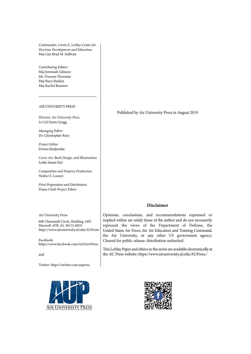*Commander, Curtis E. LeMay Center for Doctrine Development and Education* Maj Gen Brad M. Sullivan

*Contributing Editors* Maj Jeremiah Gilmore Mr. Dwayne Florenzie Maj Stacy Rankin Maj Rachel Ramirez

#### AIR UNIVERSITY PRESS

*Director, Air University Press* Lt Col Darin Gregg

*Managing Editor* Dr. Christopher Rein

*Project Editor* Donna Budjenska

*Cover Art, Book Design, and Illustrations* Leslie Susan Fair

*Composition and Prepress Production* Nedra O. Looney

*Print Preparation and Distribution* Diane Clark *Project Editor*

Air University Press

600 Chennault Circle, Building 1405 Maxwell AFB, AL 36112-6010 <https://www.airuniversity.af.edu/AUPress/>

Facebook: <https://www.facebook.com/AirUnivPress>

and

Twitter:<https://twitter.com/aupress>



Published by Air University Press in August 2019

#### **Disclaimer**

Opinions, conclusions, and recommendations expressed or implied within are solely those of the author and do not necessarily represent the views of the Department of Defense, the United States Air Force, the Air Education and Training Command, the Air University, or any other US government agency. Cleared for public release: distribution unlimited.

This LeMay Paper and others in the series are available electronically at the AU Press website: https://www.airuniversity.af.edu/AUPress[./](https://www.airuniversity.af.edu/AUPress/Wright-Flyers/)

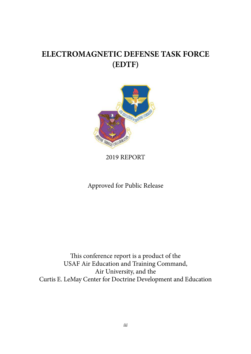## **ELECTROMAGNETIC DEFENSE TASK FORCE (EDTF)**



2019 REPORT

Approved for Public Release

This conference report is a product of the USAF Air Education and Training Command, Air University, and the Curtis E. LeMay Center for Doctrine Development and Education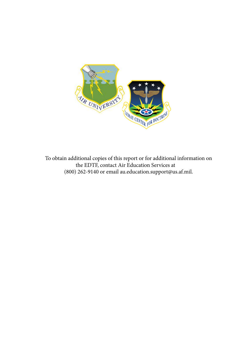

To obtain additional copies of this report or for additional information on the EDTF, contact Air Education Services at (800) 262-9140 or email au.education.support@us.af.mil.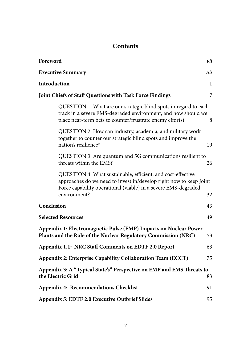## **Contents**

<span id="page-6-0"></span>

| Foreword                                                                                                                                                                                                            | vii  |
|---------------------------------------------------------------------------------------------------------------------------------------------------------------------------------------------------------------------|------|
| <b>Executive Summary</b>                                                                                                                                                                                            | viii |
| Introduction                                                                                                                                                                                                        | 1    |
| Joint Chiefs of Staff Questions with Task Force Findings                                                                                                                                                            | 7    |
| QUESTION 1: What are our strategic blind spots in regard to each<br>track in a severe EMS-degraded environment, and how should we<br>place near-term bets to counter/frustrate enemy efforts?                       | 8    |
| QUESTION 2: How can industry, academia, and military work<br>together to counter our strategic blind spots and improve the<br>nation's resilience?                                                                  | 19   |
| QUESTION 3: Are quantum and 5G communications resilient to<br>threats within the EMS?                                                                                                                               | 26   |
| QUESTION 4: What sustainable, efficient, and cost-effective<br>approaches do we need to invest in/develop right now to keep Joint<br>Force capability operational (viable) in a severe EMS-degraded<br>environment? | 32   |
| Conclusion                                                                                                                                                                                                          | 43   |
| <b>Selected Resources</b>                                                                                                                                                                                           | 49   |
| Appendix 1: Electromagnetic Pulse (EMP) Impacts on Nuclear Power<br>Plants and the Role of the Nuclear Regulatory Commission (NRC)                                                                                  | 53   |
| Appendix 1.1: NRC Staff Comments on EDTF 2.0 Report                                                                                                                                                                 | 63   |
| Appendix 2: Enterprise Capability Collaboration Team (ECCT)                                                                                                                                                         | 75   |
| Appendix 3: A "Typical State's" Perspective on EMP and EMS Threats to<br>the Electric Grid                                                                                                                          | 83   |
| Appendix 4: Recommendations Checklist                                                                                                                                                                               | 91   |
| Appendix 5: EDTF 2.0 Executive Outbrief Slides                                                                                                                                                                      | 95   |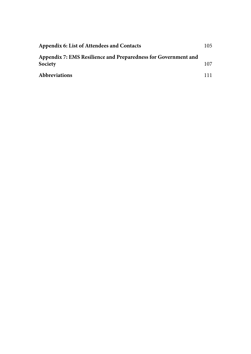| Appendix 6: List of Attendees and Contacts                                | 105 |
|---------------------------------------------------------------------------|-----|
| Appendix 7: EMS Resilience and Preparedness for Government and<br>Society | 107 |
| <b>Abbreviations</b>                                                      | 111 |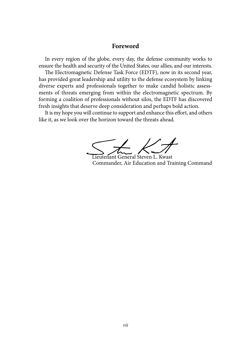## **[Foreword](#page-6-0)**

<span id="page-8-0"></span>In every region of the globe, every day, the defense community works to ensure the health and security of the United States, our allies, and our interests.

The Electromagnetic Defense Task Force (EDTF), now in its second year, has provided great leadership and utility to the defense ecosystem by linking diverse experts and professionals together to make candid holistic assessments of threats emerging from within the electromagnetic spectrum. By forming a coalition of professionals without silos, the EDTF has discovered fresh insights that deserve deep consideration and perhaps bold action.

It is my hope you will continue to support and enhance this effort, and others like it, as we look over the horizon toward the threats ahead.

Lieutenant General Steven L. Kwast Commander, Air Education and Training Command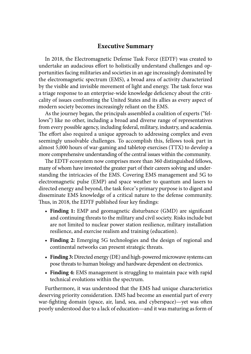## **[Executive Summary](#page-6-0)**

<span id="page-9-0"></span>In 2018, the Electromagnetic Defense Task Force (EDTF) was created to undertake an audacious effort to holistically understand challenges and opportunities facing militaries and societies in an age increasingly dominated by the electromagnetic spectrum (EMS), a broad area of activity characterized by the visible and invisible movement of light and energy. The task force was a triage response to an enterprise-wide knowledge deficiency about the criticality of issues confronting the United States and its allies as every aspect of modern society becomes increasingly reliant on the EMS.

As the journey began, the principals assembled a coalition of experts ("fellows") like no other, including a broad and diverse range of representatives from every possible agency, including federal, military, industry, and academia. The effort also required a unique approach to addressing complex and even seemingly unsolvable challenges. To accomplish this, fellows took part in almost 5,000 hours of war-gaming and tabletop exercises (TTX) to develop a more comprehensive understanding of the central issues within the community.

The EDTF ecosystem now comprises more than 360 distinguished fellows, many of whom have invested the greater part of their careers solving and understanding the intricacies of the EMS. Covering EMS management and 5G to electromagnetic pulse (EMP) and space weather to quantum and lasers to directed energy and beyond, the task force's primary purpose is to digest and disseminate EMS knowledge of a critical nature to the defense community. Thus, in 2018, the EDTF published four key findings:

- **Finding 1:** EMP and geomagnetic disturbance (GMD) are significant and continuing threats to the military and civil society. Risks include but are not limited to nuclear power station resilience, military installation resilience, and exercise realism and training (education).
- **Finding 2:** Emerging 5G technologies and the design of regional and continental networks can present strategic threats.
- **Finding 3:** Directed energy (DE) and high-powered microwave systems can pose threats to human biology and hardware dependent on electronics.
- **Finding 4:** EMS management is struggling to maintain pace with rapid technical evolutions within the spectrum.

Furthermore, it was understood that the EMS had unique characteristics deserving priority consideration. EMS had become an essential part of every war-fighting domain (space, air, land, sea, and cyberspace)—yet was often poorly understood due to a lack of education—and it was maturing as form of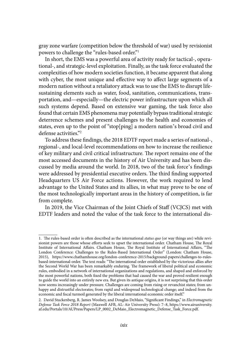gray zone warfare (competition below the threshold of war) used by revisionist powers to challenge the "rules-based order."<sup>1</sup>

In short, the EMS was a powerful area of activity ready for tactical-, operational-, and strategic-level exploitation. Finally, as the task force evaluated the complexities of how modern societies function, it became apparent that along with cyber, the most unique and effective way to affect large segments of a modern nation without a retaliatory attack was to use the EMS to disrupt lifesustaining elements such as water, food, sanitation, communications, transportation, and—especially—the electric power infrastructure upon which all such systems depend. Based on extensive war gaming, the task force also found that certain EMS phenomena may potentially bypass traditional strategic deterrence schemes and present challenges to the health and economies of states, even up to the point of "stop[ping] a modern nation's broad civil and defense activities."<sup>2</sup>

To address these findings, the 2018 EDTF report made a series of national-, regional-, and local-level recommendations on how to increase the resilience of key military and civil critical infrastructure. The report remains one of the most accessed documents in the history of Air University and has been discussed by media around the world. In 2018, two of the task force's findings were addressed by presidential executive orders. The third finding supported Headquarters US Air Force actions. However, the work required to lend advantage to the United States and its allies, in what may prove to be one of the most technologically important areas in the history of competition, is far from complete.

In 2019, the Vice Chairman of the Joint Chiefs of Staff (VCJCS) met with EDTF leaders and noted the value of the task force to the international dis-

<sup>1</sup>. The rules-based order is often described as the international *status quo* (or way things are) while revisionist powers are those whose efforts seek to upset the international order. Chatham House, The Royal Institute of International Affairs. Chatham House, The Royal Institute of International Affairs, "The London Conference: Challenges to the Rules-Based International Order" (London: Chatham House, 2015), https://www.chathamhouse.org/london-conference-2015/background-papers/challenges-to-rulesbased-international-order. The text reads: "The international order established by the victorious allies after the Second World War has been remarkably enduring. The framework of liberal political and economic rules, embodied in a network of international organizations and regulations, and shaped and enforced by the most powerful nations, both fixed the problems that had caused the war and proved resilient enough to guide the world into an entirely new era. But given its antique origins, it is not surprising that this order now seems increasingly under pressure. Challenges are coming from rising or revanchist states; from unhappy and distrustful electorates; from rapid and widespread technological change; and indeed from the economic and fiscal turmoil generated by the liberal international economic order itself."

<sup>2.</sup> David Stuckenberg, R. James Woolsey, and Douglas DeMaio, "Significant Findings," in *Electromagnetic Defense Task Force 2018 Report* (Maxwell AFB, AL: Air University Press): 7–8, https://www.airuniversity. af.edu/Portals/10/AUPress/Papers/LP\_0002\_DeMaio\_Electromagnetic\_Defense\_Task\_Force.pdf.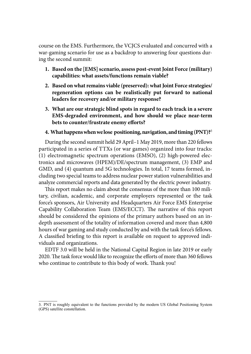course on the EMS. Furthermore, the VCJCS evaluated and concurred with a war-gaming scenario for use as a backdrop to answering four questions during the second summit:

- **1. Based on the [EMS] scenario, assess post-event Joint Force (military) capabilities: what assets/functions remain viable?**
- **2. Based on what remains viable (preserved): what Joint Force strategies/ regeneration options can be realistically put forward to national leaders for recovery and/or military response?**
- **3. What are our strategic blind spots in regard to each track in a severe EMS-degraded environment, and how should we place near-term bets to counter/frustrate enemy efforts?**

#### **4. What happens when we lose positioning, navigation, and timing (PNT)?**<sup>3</sup>

During the second summit held 29 April–1 May 2019, more than 220 fellows participated in a series of TTXs (or war games) organized into four tracks: (1) electromagnetic spectrum operations (EMSO), (2) high-powered electronics and microwaves (HPEM)/DE/spectrum management, (3) EMP and GMD, and (4) quantum and 5G technologies. In total, 17 teams formed, including two special teams to address nuclear power station vulnerabilities and analyze commercial reports and data generated by the electric power industry.

This report makes no claim about the consensus of the more than 100 military, civilian, academic, and corporate employers represented or the task force's sponsors, Air University and Headquarters Air Force EMS Enterprise Capability Collaboration Team (EMS/ECCT). The narrative of this report should be considered the opinions of the primary authors based on an indepth assessment of the totality of information covered and more than 4,800 hours of war gaming and study conducted by and with the task force's fellows. A classified briefing to this report is available on request to approved individuals and organizations.

EDTF 3.0 will be held in the National Capital Region in late 2019 or early 2020. The task force would like to recognize the efforts of more than 360 fellows who continue to contribute to this body of work. Thank you!

<sup>3.</sup> PNT is roughly equivalent to the functions provided by the modern US Global Positioning System (GPS) satellite constellation.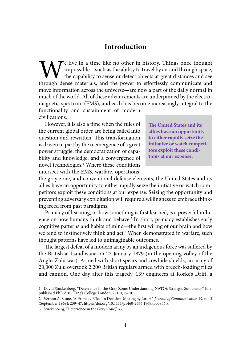## **[Introduction](#page-6-0)**

<span id="page-12-0"></span>Te live in a time like no other in history. Things once thought impossible—such as the ability to travel by air and through space, the capability to sense or detect objects at great distances and see through dense materials, and the power to effortlessly communicate and move information across the universe—are now a part of the daily normal in much of the world. All of these advancements are underpinned by the electromagnetic spectrum (EMS), and each has become increasingly integral to the functionality and sustainment of modern

civilizations. However, it is also a time when the rules of

the current global order are being called into question and rewritten. This transformation is driven in part by the reemergence of a great power struggle, the democratization of capability and knowledge, and a convergence of novel technologies.<sup>1</sup> Where these conditions intersect with the EMS, warfare, operations,

**The United States and its allies have an opportunity to either rapidly seize the initiative or watch competitors exploit these conditions at our expense.**

the gray zone, and conventional defense elements, the United States and its allies have an opportunity to either rapidly seize the initiative or watch competitors exploit these conditions at our expense. Seizing the opportunity and preventing adversary exploitation will require a willingness to embrace thinking freed from past paradigms.

Primacy of learning, or how something is first learned, is a powerful influence on how humans think and behave.2 In short, primacy establishes early cognitive patterns and habits of mind—the first wiring of our brain and how we tend to instinctively think and act.<sup>3</sup> When demonstrated in warfare, such thought patterns have led to unimaginable outcomes.

The largest defeat of a modern army by an indigenous force was suffered by the British at Isandlwana on 22 January 1879 (in the opening volley of the Anglo-Zulu war). Armed with short spears and cowhide shields, an army of 20,000 Zulu overtook 2,200 British regulars armed with breech-loading rifles and cannon. One day after this tragedy, 139 engineers at Rorke's Drift, a

<sup>1.</sup> David Stuckenberg, "Deterrence in the Gray Zone: Understanding NATO's Strategic Sufficiency" (unpublished PhD diss., King's College London, 2019), 7–10.

<sup>2.</sup> Vernon A. Stone, "A Primacy Effect in Decision-Making by Jurors," *Journal of Communication* 19, no. 3 (September 1969): 239–47, <https://doi.org/10.1111/j.1460-2466.1969.tb00846.x>.

<sup>3.</sup> Stuckenberg, "Deterrence in the Gray Zone," 53.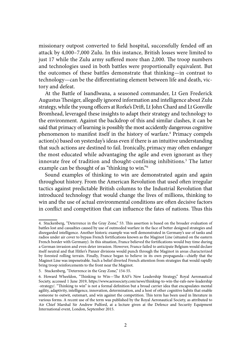missionary outpost converted to field hospital, successfully fended off an attack by 4,000–7,000 Zulu. In this instance, British losses were limited to just 17 while the Zulu army suffered more than 2,000. The troop numbers and technologies used in both battles were proportionally equivalent. But the outcomes of these battles demonstrate that thinking—in contrast to technology—can be the differentiating element between life and death, victory and defeat.

At the Battle of Isandlwana, a seasoned commander, Lt Gen Frederick Augustus Thesiger, allegedly ignored information and intelligence about Zulu strategy, while the young officers at Rorke's Drift, Lt John Chard and Lt Gonville Bromhead, leveraged these insights to adapt their strategy and technology to the environment. Against the backdrop of this and similar clashes, it can be said that primacy of learning is possibly the most accidently dangerous cognitive phenomenon to manifest itself in the history of warfare.4 Primacy compels action(s) based on yesterday's ideas even if there is an intuitive understanding that such actions are destined to fail. Ironically, primacy may often endanger the most educated while advantaging the agile and even ignorant as they innovate free of tradition and thought-confining inhibitions.5 The latter example can be thought of as "thinking to win."6

Sound examples of thinking to win are demonstrated again and again throughout history. From the American Revolution that used often irregular tactics against predictable British columns to the Industrial Revolution that introduced technology that would change the lives of millions, thinking to win and the use of actual environmental conditions are often decisive factors in conflict and competition that can influence the fates of nations. Thus this

<sup>4.</sup> Stuckenberg, "Deterrence in the Gray Zone," 53. This assertion is based on the broader evaluation of battles lost and casualties caused by use of outmoded warfare in the face of better designed strategies and disregarded intelligence. Another historic example was well demonstrated in Germany's use of tanks and radios under air cover to bypass French fortifications known as the Maginot Line (situated on the eastern French border with Germany). In this situation, France believed the fortifications would buy time during a German invasion and even deter invasion. However, France failed to anticipate Belgium would declare itself neutral and that Hitler's Panzer divisions would punch through the Maginot in areas characterized by forested rolling terrain. Finally, France began to believe in its own propaganda—chiefly that the Maginot Line was impenetrable. Such a belief diverted French attention from strategies that would rapidly bring troop reinforcements to the front near the Maginot.

<sup>5.</sup> Stuckenberg, "Deterrence in the Gray Zone," 154-55.

<sup>6.</sup> Howard Wheeldon, "Thinking to Win—The RAF's New Leadership Strategy," Royal Aeronautical Society, accessed 1 June 2019, https://www.aerosociety.com/news/thinking-to-win-the-rafs-new-leadership -strategy/. "Thinking to win" is not a formal definition but a broad carrier idea that encapsulates mental agility, adaptivity, intelligence, innovation, determination, and a host of other cognitive habits that enable someone to outwit, outsmart, and win against the competition. This term has been used in literature in various forms. A recent use of the term was published by the Royal Aeronautical Society, as attributed to Air Chief Marshal Sir Andrew Pulford, at a lecture given at the Defence and Security Equipment International event, London, September 2015.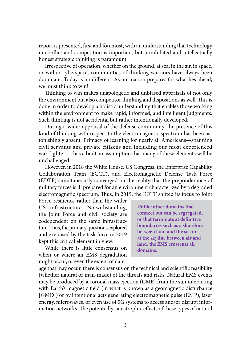report is presented, first and foremost, with an understanding that technology in conflict and competition is important, but uninhibited and intellectually honest strategic thinking is paramount.

Irrespective of operation, whether on the ground, at sea, in the air, in space, or within cyberspace, communities of thinking warriors have always been dominant. Today is no different. As our nation prepares for what lies ahead, we must think to win!

Thinking to win makes unapologetic and unbiased appraisals of not only the environment but also competitor thinking and dispositions as well. This is done in order to develop a holistic understanding that enables those working within the environment to make rapid, informed, and intelligent judgments. Such thinking is not accidental but rather intentionally developed.

During a wider appraisal of the defense community, the presence of this kind of thinking with respect to the electromagnetic spectrum has been astonishingly absent. Primacy of learning for nearly all Americans—spanning civil servants and private citizens and including our most experienced war fighters—has a built-in assumption that many of these elements will be unchallenged.

However, in 2018 the White House, US Congress, the Enterprise Capability Collaboration Team (ECCT), and Electromagnetic Defense Task Force (EDTF) simultaneously converged on the reality that the preponderance of military forces is ill prepared for an environment characterized by a degraded electromagnetic spectrum. Thus, in 2019, the EDTF shifted its focus to Joint

Force resilience rather than the wider US infrastructure. Notwithstanding, the Joint Force and civil society are codependent on the same infrastructure. Thus, the primary questions explored and exercised by the task force in 2019 kept this critical element in view.

While there is little consensus on when or where an EMS degradation might occur, or even the extent of dam-

**Unlike other domains that connect but can be segregated, or that terminate at definitive boundaries such as a shoreline between land and the sea or at the skyline between air and land, the EMS crosscuts all domains.**

age that may occur, there is consensus on the technical and scientific feasibility (whether natural or man-made) of the threats and risks. Natural EMS events may be produced by a coronal mass ejection (CME) from the sun interacting with Earth's magnetic field (in what is known as a geomagnetic disturbance [GMD]) or by intentional acts generating electromagnetic pulse (EMP), laser energy, microwaves, or even use of 5G systems to access and/or disrupt information networks. The potentially catastrophic effects of these types of natural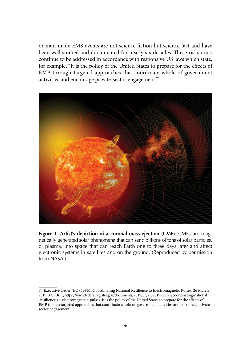or man-made EMS events are not science fiction but science fact and have been well studied and documented for nearly six decades. These risks must continue to be addressed in accordance with responsive US laws which state, for example, "It is the policy of the United States to prepare for the effects of EMP through targeted approaches that coordinate whole-of-government activities and encourage private-sector engagement."7



**Figure 1**. **Artist's depiction of a coronal mass ejection (CME)**. CMEs are magnetically generated solar phenomena that can send billions of tons of solar particles, or plasma, into space that can reach Earth one to three days later and affect electronic systems in satellites and on the ground. (Reproduced by permission from NASA.)

<sup>7.</sup> Executive Order (EO) 13865, Coordinating National Resilience to Electromagnetic Pulses, 26 March 2019, 3 C.F.R. 1, https://www.federalregister.gov/documents/2019/03/29/2019-06325/coordinating-national -resilience-to-electromagnetic-pulses. It is the policy of the United States to prepare for the effects of EMP though targeted approaches that coordinate whole-of-government activities and encourage privatesector engagement.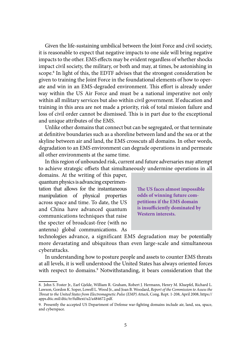Given the life-sustaining umbilical between the Joint Force and civil society, it is reasonable to expect that negative impacts to one side will bring negative impacts to the other. EMS effects may be evident regardless of whether shocks impact civil society, the military, or both and may, at times, be astonishing in scope.<sup>8</sup> In light of this, the EDTF advises that the strongest consideration be given to training the Joint Force in the foundational elements of how to operate and win in an EMS-degraded environment. This effort is already under way within the US Air Force and must be a national imperative not only within all military services but also within civil government. If education and training in this area are not made a priority, risk of total mission failure and loss of civil order cannot be dismissed. This is in part due to the exceptional and unique attributes of the EMS.

Unlike other domains that connect but can be segregated, or that terminate at definitive boundaries such as a shoreline between land and the sea or at the skyline between air and land, the EMS crosscuts all domains. In other words, degradation to an EMS environment can degrade operations in and permeate all other environments at the same time.

In this region of unbounded risk, current and future adversaries may attempt to achieve strategic offsets that simultaneously undermine operations in all

domains. At the writing of this paper, quantum physics is advancing experimentation that allows for the instantaneous manipulation of physical properties across space and time. To date, the US and China have advanced quantum communications techniques that raise the specter of broadcast-free (with no antenna) global communications. As

**The US faces almost impossible odds of winning future competitions if the EMS domain is insufficiently dominated by Western interests.**

technologies advance, a significant EMS degradation may be potentially more devastating and ubiquitous than even large-scale and simultaneous cyberattacks.

In understanding how to posture people and assets to counter EMS threats at all levels, it is well understood the United States has always oriented forces with respect to domains.<sup>9</sup> Notwithstanding, it bears consideration that the

<sup>8.</sup> John S. Foster Jr., Earl Gjelde, William R. Graham, Robert J. Hermann, Henry M. Kluepfel, Richard L. Lawson, Gordon K. Soper, Lowell L. Wood Jr., and Joan B. Woodard, *Report of the Commission to Assess the Threat to the United States from Electromagnetic Pulse (EMP) Attack*, Cong. Rept. 1-208, April 2008, [https://](https://apps.dtic.mil/dtic/tr/fulltext/u2/a484672.pdf) [apps.dtic.mil/dtic/tr/fulltext/u2/a484672.pdf.](https://apps.dtic.mil/dtic/tr/fulltext/u2/a484672.pdf)

<sup>9.</sup> Presently the accepted US Department of Defense war-fighting domains include air, land, sea, space, and cyberspace.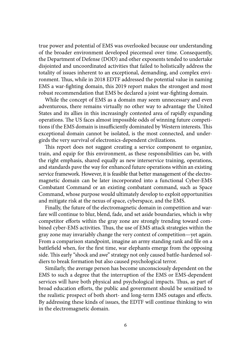true power and potential of EMS was overlooked because our understanding of the broader environment developed piecemeal over time. Consequently, the Department of Defense (DOD) and other exponents tended to undertake disjointed and uncoordinated activities that failed to holistically address the totality of issues inherent to an exceptional, demanding, and complex environment. Thus, while in 2018 EDTF addressed the potential value in naming EMS a war-fighting domain, this 2019 report makes the strongest and most robust recommendation that EMS be declared a joint war-fighting domain.

While the concept of EMS as a domain may seem unnecessary and even adventurous, there remains virtually no other way to advantage the United States and its allies in this increasingly contested area of rapidly expanding operations. The US faces almost impossible odds of winning future competitions if the EMS domain is insufficiently dominated by Western interests. This exceptional domain cannot be isolated, is the most connected, and undergirds the very survival of electronics-dependent civilizations.

This report does not suggest creating a service component to organize, train, and equip for this environment, as these responsibilities can be, with the right emphasis, shared equally as new interservice training, operations, and standards pave the way for enhanced future operations within an existing service framework. However, it is feasible that better management of the electromagnetic domain can be later incorporated into a functional Cyber-EMS Combatant Command or an existing combatant command, such as Space Command, whose purpose would ultimately develop to exploit opportunities and mitigate risk at the nexus of space, cyberspace, and the EMS.

Finally, the future of the electromagnetic domain in competition and warfare will continue to blur, blend, fade, and set aside boundaries, which is why competitor efforts within the gray zone are strongly trending toward combined cyber-EMS activities. Thus, the use of EMS attack strategies within the gray zone may invariably change the very context of competition—yet again. From a comparison standpoint, imagine an army standing rank and file on a battlefield when, for the first time, war elephants emerge from the opposing side. This early "shock and awe" strategy not only caused battle-hardened soldiers to break formation but also caused psychological terror.

Similarly, the average person has become unconsciously dependent on the EMS to such a degree that the interruption of the EMS or EMS-dependent services will have both physical and psychological impacts. Thus, as part of broad education efforts, the public and government should be sensitized to the realistic prospect of both short- and long-term EMS outages and effects. By addressing these kinds of issues, the EDTF will continue thinking to win in the electromagnetic domain.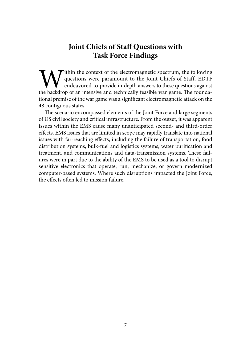## **[Joint Chiefs of Staff Questions with](#page-6-0)  [Task Force Findings](#page-6-0)**

<span id="page-18-0"></span>**W** ithin the context of the electromagnetic spectrum, the following questions were paramount to the Joint Chiefs of Staff. EDTF endeavored to provide in-depth answers to these questions against the backdrop of an intensiv questions were paramount to the Joint Chiefs of Staff. EDTF endeavored to provide in-depth answers to these questions against the backdrop of an intensive and technically feasible war game. The foundational premise of the war game was a significant electromagnetic attack on the 48 contiguous states.

The scenario encompassed elements of the Joint Force and large segments of US civil society and critical infrastructure. From the outset, it was apparent issues within the EMS cause many unanticipated second- and third-order effects. EMS issues that are limited in scope may rapidly translate into national issues with far-reaching effects, including the failure of transportation, food distribution systems, bulk-fuel and logistics systems, water purification and treatment, and communications and data-transmission systems. These failures were in part due to the ability of the EMS to be used as a tool to disrupt sensitive electronics that operate, run, mechanize, or govern modernized computer-based systems. Where such disruptions impacted the Joint Force, the effects often led to mission failure.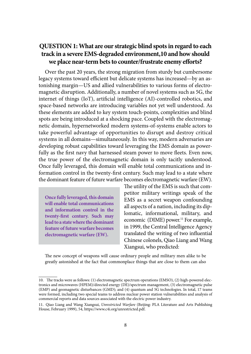## <span id="page-19-0"></span>**[QUESTION 1: What are our strategic blind spots in regard to each](#page-6-0)  [track in a severe EMS-degraded environment,10 and how should](#page-6-0)  [we place near-term bets to counter/frustrate enemy efforts?](#page-6-0)**

Over the past 20 years, the strong migration from sturdy but cumbersome legacy systems toward efficient but delicate systems has increased—by an astonishing margin—US and allied vulnerabilities to various forms of electromagnetic disruption. Additionally, a number of novel systems such as 5G, the internet of things (IoT), artificial intelligence (AI)-controlled robotics, and space-based networks are introducing variables not yet well understood. As these elements are added to key system touch-points, complexities and blind spots are being introduced at a shocking pace. Coupled with the electromagnetic domain, hypernetworked modern systems-of-systems enable actors to take powerful advantage of opportunities to disrupt and destroy critical systems in all domains—simultaneously. In this way, modern adversaries are developing robust capabilities toward leveraging the EMS domain as powerfully as the first navy that harnessed steam power to move fleets. Even now, the true power of the electromagnetic domain is only tacitly understood. Once fully leveraged, this domain will enable total communications and information control in the twenty-first century. Such may lead to a state where the dominant feature of future warfare becomes electromagnetic warfare (EW).

**Once fully leveraged, this domain will enable total communications and information control in the twenty-first century. Such may lead to a state where the dominant feature of future warfare becomes electromagnetic warfare (EW).**

The utility of the EMS is such that competitor military writings speak of the EMS as a secret weapon confounding all aspects of a nation, including its diplomatic, informational, military, and economic (DIME) power.<sup>11</sup> For example, in 1999, the Central Intelligence Agency translated the writing of two influential Chinese colonels, Qiao Liang and Wang Xiangsui, who predicted:

The new concept of weapons will cause ordinary people and military men alike to be greatly astonished at the fact that commonplace things that are close to them can also

<sup>10.</sup> The tracks were as follows: (1) electromagnetic spectrum operations (EMSO), (2) high-powered electronics and microwaves (HPEM)/directed energy (DE)/spectrum management, (3) electromagnetic pulse (EMP) and geomagnetic disturbances (GMD); and (4) quantum and 5G technologies. In total, 17 teams were formed, including two special teams to address nuclear power station vulnerabilities and analysis of commercial reports and data sources associated with the electric power industry.

<sup>11.</sup> Qiao Liang and Wang Xiangsui, *Unrestricted Warfare* (Beijing: PLA Literature and Arts Publishing House, February 1999), 54, https://www.c4i.org/unrestricted.pdf.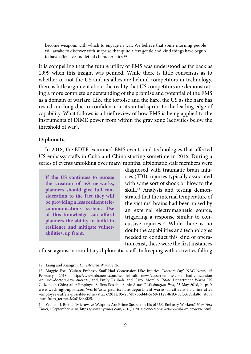become weapons with which to engage in war. We believe that some morning people will awake to discover with surprise that quite a few gentle and kind things have begun to have offensive and lethal characteristics.<sup>12</sup>

It is compelling that the future utility of EMS was understood as far back as 1999 when this insight was penned. While there is little consensus as to whether or not the US and its allies are behind competitors in technology, there is little argument about the reality that US competitors are demonstrating a more complete understanding of the promise and potential of the EMS as a domain of warfare. Like the tortoise and the hare, the US as the hare has rested too long due to confidence in its initial sprint to the leading edge of capability. What follows is a brief review of how EMS is being applied to the instruments of DIME power from within the gray zone (activities below the threshold of war).

## **Diplomatic**

In 2018, the EDTF examined EMS events and technologies that affected US embassy staffs in Cuba and China starting sometime in 2016. During a series of events unfolding over many months, diplomatic staff members were

**If the US continues to pursue the creation of 5G networks, planners should give full consideration to the fact they will be providing a less resilient telecommunications system. Use of this knowledge can afford planners the ability to build in resilience and mitigate vulnerabilities, up front.**

diagnosed with traumatic brain injuries (TBI), injuries typically associated with some sort of shock or blow to the skull.<sup>13</sup> Analysis and testing demonstrated that the internal temperature of the victims' brains had been raised by an external electromagnetic source, triggering a response similar to concussive injuries.14 While there is no doubt the capabilities and technologies needed to conduct this kind of operation exist, these were the first instances

of use against nonmilitary diplomatic staff. In keeping with activities falling

<sup>12.</sup> Liang and Xiangsui, *Unrestricted Warfare*, 26.

<sup>13.</sup> Maggie Fox, "Cuban Embassy Staff Had Concussion-Like Injuries, Doctors Say," NBC News, 15 February 2018, https://www.nbcnews.com/health/health-news/cuban-embassy-staff-had-concussion -injuries-doctors-say-n848291; and Emily Rauhala and Carol Morello, "State Department Warns US Citizens in China after Employee Suffers Possible Sonic Attack," *Washington Post*, 23 May 2018, https:// www.washingtonpost.com/world/asia\_pacific/state-department-warns-us-citizens-in-china-after -employee-suffers-possible-sonic-attack/2018/05/23/db7bbd44-5e68-11e8-8c93-8cf33c21da8d\_story .html?utm\_term=.3c2618446f25.

<sup>14.</sup> William J. Broad, "Microwave Weapons Are Prime Suspect in Ills of U.S. Embassy Workers," *New York Times*, 1 September 2018,<https://www.nytimes.com/2018/09/01/science/sonic-attack-cuba-microwave.html>.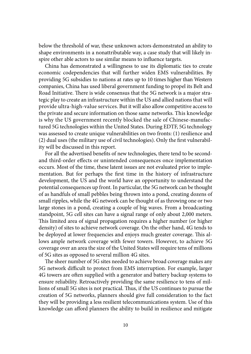below the threshold of war, these unknown actors demonstrated an ability to shape environments in a nonattributable way, a case study that will likely inspire other able actors to use similar means to influence targets.

China has demonstrated a willingness to use its diplomatic ties to create economic codependencies that will further widen EMS vulnerabilities. By providing 5G subsidies to nations at rates up to 10 times higher than Western companies, China has used liberal government funding to propel its Belt and Road Initiative. There is wide consensus that the 5G network is a major strategic play to create an infrastructure within the US and allied nations that will provide ultra-high-value services. But it will also allow competitive access to the private and secure information on those same networks. This knowledge is why the US government recently blocked the sale of Chinese-manufactured 5G technologies within the United States. During EDTF, 5G technology was assessed to create unique vulnerabilities on two fronts: (1) resilience and (2) dual uses (the military use of civil technologies). Only the first vulnerability will be discussed in this report.

For all the advertised benefits of new technologies, there tend to be secondand third-order effects or unintended consequences once implementation occurs. Most of the time, these latent issues are not evaluated prior to implementation. But for perhaps the first time in the history of infrastructure development, the US and the world have an opportunity to understand the potential consequences up front. In particular, the 5G network can be thought of as handfuls of small pebbles being thrown into a pond, creating dozens of small ripples, while the 4G network can be thought of as throwing one or two large stones in a pond, creating a couple of big waves. From a broadcasting standpoint, 5G cell sites can have a signal range of only about 2,000 meters. This limited area of signal propagation requires a higher number (or higher density) of sites to achieve network coverage. On the other hand, 4G tends to be deployed at lower frequencies and enjoys much greater coverage. This allows ample network coverage with fewer towers. However, to achieve 5G coverage over an area the size of the United States will require tens of millions of 5G sites as opposed to several million 4G sites.

The sheer number of 5G sites needed to achieve broad coverage makes any 5G network difficult to protect from EMS interruption. For example, larger 4G towers are often supplied with a generator and battery backup systems to ensure reliability. Retroactively providing the same resilience to tens of millions of small 5G sites is not practical. Thus, if the US continues to pursue the creation of 5G networks, planners should give full consideration to the fact they will be providing a less resilient telecommunications system. Use of this knowledge can afford planners the ability to build in resilience and mitigate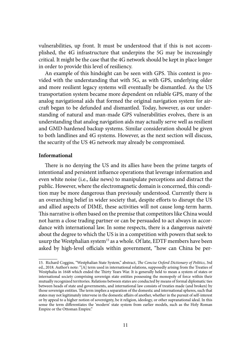vulnerabilities, up front. It must be understood that if this is not accomplished, the 4G infrastructure that underpins the 5G may be increasingly critical. It might be the case that the 4G network should be kept in place longer in order to provide this level of resiliency.

An example of this hindsight can be seen with GPS. This context is provided with the understanding that with 5G, as with GPS, underlying older and more resilient legacy systems will eventually be dismantled. As the US transportation system became more dependent on reliable GPS, many of the analog navigational aids that formed the original navigation system for aircraft began to be defunded and dismantled. Today, however, as our understanding of natural and man-made GPS vulnerabilities evolves, there is an understanding that analog navigation aids may actually serve well as resilient and GMD-hardened backup systems. Similar consideration should be given to both landlines and 4G systems. However, as the next section will discuss, the security of the US 4G network may already be compromised.

#### **Informational**

There is no denying the US and its allies have been the prime targets of intentional and persistent influence operations that leverage information and even white noise (i.e., fake news) to manipulate perceptions and distract the public. However, where the electromagnetic domain is concerned, this condition may be more dangerous than previously understood. Currently there is an overarching belief in wider society that, despite efforts to disrupt the US and allied aspects of DIME, these activities will not cause long-term harm. This narrative is often based on the premise that competitors like China would not harm a close trading partner or can be persuaded to act always in accordance with international law. In some respects, there is a dangerous naiveté about the degree to which the US is in a competition with powers that seek to usurp the Westphalian system<sup>15</sup> as a whole. Of late, EDTF members have been asked by high-level officials within government, "how can China be per-

<sup>15.</sup> Richard Coggins, "Westphalian State System," abstract, *The Concise Oxford Dictionary of Politics*, 3rd ed., 2018. Author's note: "[A] term used in international relations, supposedly arising from the Treaties of Westphalia in 1648 which ended the Thirty Years War. It is generally held to mean a system of states or international society comprising sovereign state entities possessing the monopoly of force within their mutually recognized territories. Relations between states are conducted by means of formal diplomatic ties between heads of state and governments, and international law consists of treaties made (and broken) by those sovereign entities. The term implies a separation of the domestic and international spheres, such that states may not legitimately intervene in the domestic affairs of another, whether in the pursuit of self-interest or by appeal to a higher notion of sovereignty, be it religion, ideology, or other supranational ideal. In this sense the term differentiates the 'modern' state system from earlier models, such as the Holy Roman Empire or the Ottoman Empire."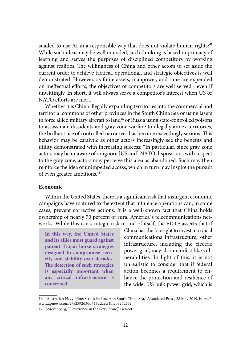suaded to use AI in a responsible way that does not violate human rights?" While such ideas may be well intended, such thinking is based in primacy of learning and serves the purposes of disciplined competitors by working against realities. The willingness of China and other actors to set aside the current order to achieve tactical, operational, and strategic objectives is well demonstrated. However, as finite assets, manpower, and time are expended on ineffectual efforts, the objectives of competitors are well served—even if unwittingly. In short, it will always serve a competitor's interest when US or NATO efforts are inert.

Whether it is China illegally expanding territories into the commercial and territorial commons of other provinces in the South China Sea or using lasers to force allied military aircraft to land<sup>16</sup> or Russia using state-controlled poisons to assassinate dissidents and gray zone warfare to illegally annex territories, the brilliant use of controlled narratives has become exceedingly serious. This behavior may be catalytic as other actors increasingly see the benefits and utility demonstrated with increasing success: "In particular, since gray zone actors may be unaware of or ignore [US and] NATO dispositions with respect to the gray zone, actors may perceive this area as abandoned. Such may then reinforce the idea of unimpeded access, which in turn may inspire the pursuit of even greater ambitions."17

## **Economic**

Within the United States, there is a significant risk that insurgent economic campaigns have matured to the extent that influence operations can, in some cases, prevent corrective actions. It is a well-known fact that China holds ownership of nearly 70 percent of rural America's telecommunications networks. While this is a strategic risk in and of itself, the EDTF asserts that if

**In this way, the United States and its allies must guard against patient Trojan horse strategies designed to compromise security and stability over decades. The detection of such strategies is especially important when any critical infrastructure is concerned.**

China has the foresight to invest in critical communications infrastructure, other infrastructure, including the electric power grid, may also manifest like vulnerabilities. In light of this, it is not unrealistic to consider that if federal action becomes a requirement to enhance the protection and resilience of the wider US bulk power grid, which is

<sup>16.</sup> "Australian Navy Pilots Struck by Lasers in South China Sea," Associated Press, 28 May 2019, https:// www.apnews.com/e7a2592d30d743ddaecf4bf20324d55e.

<sup>17.</sup> Stuckenberg, "Deterrence in the Gray Zone," 149–50.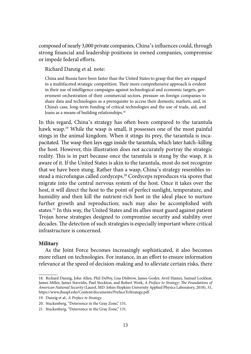composed of nearly 3,000 private companies, China's influences could, through strong financial and leadership positions in owned companies, compromise or impede federal efforts.

Richard Danzig et al. note:

China and Russia have been faster than the United States to grasp that they are engaged in a multifaceted strategic competition. Their more comprehensive approach is evident in their use of intelligence campaigns against technological and economic targets, government orchestration of their commercial sectors, pressure on foreign companies to share data and technologies as a prerequisite to access their domestic markets, and, in China's case, long-term funding of critical technologies and the use of trade, aid, and loans as a means of building relationships.<sup>18</sup>

In this regard, China's strategy has often been compared to the tarantula hawk wasp.<sup>19</sup> While the wasp is small, it possesses one of the most painful stings in the animal kingdom. When it stings its prey, the tarantula is incapacitated. The wasp then lays eggs inside the tarantula, which later hatch–killing the host. However, this illustration does not accurately portray the strategic reality. This is in part because once the tarantula is stung by the wasp, it is aware of it. If the United States is akin to the tarantula, most do not recognize that we have been stung. Rather than a wasp, China's strategy resembles instead a microfungus called cordyceps.20 Cordyceps reproduces via spores that migrate into the central nervous system of the host. Once it takes over the host, it will direct the host to the point of perfect sunlight, temperature, and humidity and then kill the nutrient-rich host in the ideal place to nurture further growth and reproduction; such may also be accomplished with states.21 In this way, the United States and its allies must guard against patient Trojan horse strategies designed to compromise security and stability over decades. The detection of such strategies is especially important where critical infrastructure is concerned.

#### **Military**

As the Joint Force becomes increasingly sophisticated, it also becomes more reliant on technologies. For instance, in an effort to ensure information relevance at the speed of decision-making and to alleviate certain risks, there

<sup>18.</sup> Richard Danzig, John Allen, Phil DePoy, Lisa Disbrow, James Gosler, Avril Haines, Samuel Locklear, James Miller, James Stavridis, Paul Stockton, and Robert Work, *A Preface to Strategy: The Foundations of American National Security* (Laurel, MD: Johns Hopkins University Applied Physics Laboratory, 2018), 31, https://www.jhuapl.edu/Content/documents/PrefaceToStrategy.pdf.

<sup>19.</sup> Danzig et al., *A Preface to Strategy*.

<sup>20.</sup> Stuckenberg, "Deterrence in the Gray Zone," 131.

<sup>21.</sup> Stuckenberg, "Deterrence in the Gray Zone," 131.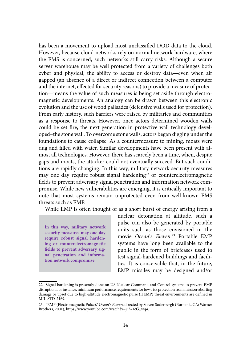has been a movement to upload most unclassified DOD data to the cloud. However, because cloud networks rely on normal network hardware, where the EMS is concerned, such networks still carry risks. Although a secure server warehouse may be well protected from a variety of challenges both cyber and physical, the ability to access or destroy data—even when air gapped (an absence of a direct or indirect connection between a computer and the internet, effected for security reasons) to provide a measure of protection—means the value of such measures is being set aside through electromagnetic developments. An analogy can be drawn between this electronic evolution and the use of wood palisades (defensive walls used for protection). From early history, such barriers were raised by militaries and communities as a response to threats. However, once actors determined wooden walls could be set fire, the next generation in protective wall technology developed–the stone wall. To overcome stone walls, actors began digging under the foundations to cause collapse. As a countermeasure to mining, moats were dug and filled with water. Similar developments have been present with almost all technologies. However, there has scarcely been a time, when, despite gaps and moats, the attacker could not eventually succeed. But such conditions are rapidly changing. In this way, military network security measures may one day require robust signal hardening<sup>22</sup> or counterelectromagnetic fields to prevent adversary signal penetration and information network compromise. While new vulnerabilities are emerging, it is critically important to note that most systems remain unprotected even from well-known EMS threats such as EMP.

While EMP is often thought of as a short burst of energy arising from a

**In this way, military network security measures may one day require robust signal hardening or counterelectromagnetic fields to prevent adversary signal penetration and information network compromise.**

nuclear detonation at altitude, such a pulse can also be generated by portable units such as those envisioned in the movie *Ocean*'*s Eleven*. 23 Portable EMP systems have long been available to the public in the form of briefcases used to test signal-hardened buildings and facilities. It is conceivable that, in the future, EMP missiles may be designed and/or

<sup>22.</sup> Signal hardening is presently done on US Nuclear Command and Control systems to prevent EMP disruption; for instance, minimum performance requirements for low-risk protection from mission-aborting damage or upset due to high-altitude electromagnetic pulse (HEMP) threat environments are defined in MIL-STD-2169.

<sup>23.</sup> "EMP (Electromagnetic Pulse)," *Ocean*'*s Eleven*, directed by Steven Soderbergh (Burbank, CA: Warner Brothers, 2001), https://www.youtube.com/watch?v=jrA-1cG\_wq4.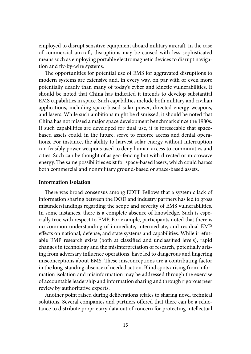employed to disrupt sensitive equipment aboard military aircraft. In the case of commercial aircraft, disruptions may be caused with less sophisticated means such as employing portable electromagnetic devices to disrupt navigation and fly-by-wire systems.

The opportunities for potential use of EMS for aggravated disruptions to modern systems are extensive and, in every way, on par with or even more potentially deadly than many of today's cyber and kinetic vulnerabilities. It should be noted that China has indicated it intends to develop substantial EMS capabilities in space. Such capabilities include both military and civilian applications, including space-based solar power, directed energy weapons, and lasers. While such ambitions might be dismissed, it should be noted that China has not missed a major space development benchmark since the 1980s. If such capabilities are developed for dual use, it is foreseeable that spacebased assets could, in the future, serve to enforce access and denial operations. For instance, the ability to harvest solar energy without interruption can feasibly power weapons used to deny human access to communities and cities. Such can be thought of as geo-fencing but with directed or microwave energy. The same possibilities exist for space-based lasers, which could harass both commercial and nonmilitary ground-based or space-based assets.

#### **Information Isolation**

There was broad consensus among EDTF Fellows that a systemic lack of information sharing between the DOD and industry partners has led to gross misunderstandings regarding the scope and severity of EMS vulnerabilities. In some instances, there is a complete absence of knowledge. Such is especially true with respect to EMP. For example, participants noted that there is no common understanding of immediate, intermediate, and residual EMP effects on national, defense, and state systems and capabilities. While irrefutable EMP research exists (both at classified and unclassified levels), rapid changes in technology and the misinterpretation of research, potentially arising from adversary influence operations, have led to dangerous and lingering misconceptions about EMS. These misconceptions are a contributing factor in the long-standing absence of needed action. Blind spots arising from information isolation and misinformation may be addressed through the exercise of accountable leadership and information sharing and through rigorous peer review by authoritative experts.

Another point raised during deliberations relates to sharing novel technical solutions. Several companies and partners offered that there can be a reluctance to distribute proprietary data out of concern for protecting intellectual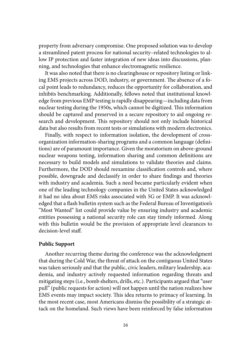property from adversary compromise. One proposed solution was to develop a streamlined patent process for national security–related technologies to allow IP protection and faster integration of new ideas into discussions, planning, and technologies that enhance electromagnetic resilience.

It was also noted that there is no clearinghouse or repository listing or linking EMS projects across DOD, industry, or government. The absence of a focal point leads to redundancy, reduces the opportunity for collaboration, and inhibits benchmarking. Additionally, fellows noted that institutional knowledge from previous EMP testing is rapidly disappearing—including data from nuclear testing during the 1950s, which cannot be digitized. This information should be captured and preserved in a secure repository to aid ongoing research and development. This repository should not only include historical data but also results from recent tests or simulations with modern electronics.

Finally, with respect to information isolation, the development of crossorganization information-sharing programs and a common language (definitions) are of paramount importance. Given the moratorium on above-ground nuclear weapons testing, information sharing and common definitions are necessary to build models and simulations to validate theories and claims. Furthermore, the DOD should reexamine classification controls and, where possible, downgrade and declassify in order to share findings and theories with industry and academia. Such a need became particularly evident when one of the leading technology companies in the United States acknowledged it had no idea about EMS risks associated with 5G or EMP. It was acknowledged that a flash bulletin system such as the Federal Bureau of Investigation's "Most Wanted" list could provide value by ensuring industry and academic entities possessing a national security role can stay timely informed. Along with this bulletin would be the provision of appropriate level clearances to decision-level staff.

#### **Public Support**

Another recurring theme during the conference was the acknowledgment that during the Cold War, the threat of attack on the contiguous United States was taken seriously and that the public, civic leaders, military leadership, academia, and industry actively requested information regarding threats and mitigating steps (i.e., bomb shelters, drills, etc.). Participants argued that "user pull" (public requests for action) will not happen until the nation realizes how EMS events may impact society. This idea returns to primacy of learning. In the most recent case, most Americans dismiss the possibility of a strategic attack on the homeland. Such views have been reinforced by false information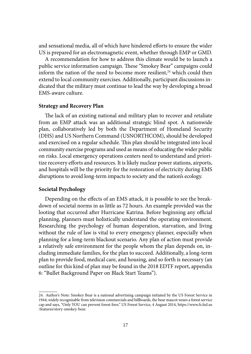and sensational media, all of which have hindered efforts to ensure the wider US is prepared for an electromagnetic event, whether through EMP or GMD.

A recommendation for how to address this climate would be to launch a public service information campaign. These "Smokey Bear" campaigns could inform the nation of the need to become more resilient, $24$  which could then extend to local community exercises. Additionally, participant discussions indicated that the military must continue to lead the way by developing a broad EMS-aware culture.

#### **Strategy and Recovery Plan**

The lack of an existing national and military plan to recover and retaliate from an EMP attack was an additional strategic blind spot. A nationwide plan, collaboratively led by both the Department of Homeland Security (DHS) and US Northern Command (USNORTHCOM), should be developed and exercised on a regular schedule. This plan should be integrated into local community exercise programs and used as means of educating the wider public on risks. Local emergency operations centers need to understand and prioritize recovery efforts and resources. It is likely nuclear power stations, airports, and hospitals will be the priority for the restoration of electricity during EMS disruptions to avoid long-term impacts to society and the nation's ecology.

## **Societal Psychology**

Depending on the effects of an EMS attack, it is possible to see the breakdown of societal norms in as little as 72 hours. An example provided was the looting that occurred after Hurricane Katrina. Before beginning any official planning, planners must holistically understand the operating environment. Researching the psychology of human desperation, starvation, and living without the rule of law is vital to every emergency planner, especially when planning for a long-term blackout scenario. Any plan of action must provide a relatively safe environment for the people whom the plan depends on, including immediate families, for the plan to succeed. Additionally, a long-term plan to provide food, medical care, and housing, and so forth is necessary (an outline for this kind of plan may be found in the 2018 EDTF report, appendix 6: "Bullet Background Paper on Black Start Teams").

<sup>24.</sup> Author's Note: Smokey Bear is a national advertising campaign initiated by the US Forest Service in 1944; widely recognizable from television commercials and billboards, the bear mascot wears a forest service cap and says, "Only YOU can prevent forest fires." US Forest Service, 4 August 2014, https://www.fs.fed.us /features/story-smokey-bear.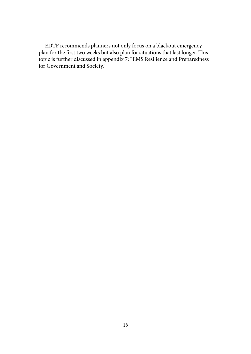EDTF recommends planners not only focus on a blackout emergency plan for the first two weeks but also plan for situations that last longer. This topic is further discussed in appendix 7: "EMS Resilience and Preparedness for Government and Society."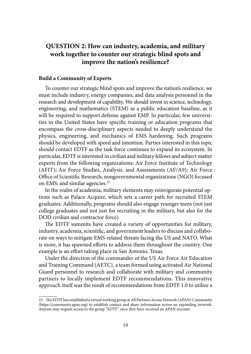## <span id="page-30-0"></span>**[QUESTION 2: How can industry, academia, and military](#page-6-0)  [work together to counter our strategic blind spots and](#page-6-0)  [improve the nation's resilience?](#page-6-0)**

#### **Build a Community of Experts**

To counter our strategic blind spots and improve the nation's resilience, we must include industry, energy companies, and data analysis personnel in the research and development of capability. We should invest in science, technology, engineering, and mathematics (STEM) as a public education baseline, as it will be required to support defense against EMP. In particular, few universities in the United States have specific training or education programs that encompass the cross-disciplinary aspects needed to deeply understand the physics, engineering, and mechanics of EMS hardening. Such programs should be developed with speed and intention. Parties interested in this topic should contact EDTF as the task force continues to expand its ecosystem. In particular, EDTF is interested in civilian and military fellows and subject matter experts from the following organizations: Air Force Institute of Technology (AFIT); Air Force Studies, Analysis, and Assessments (AF/A9); Air Force Office of Scientific Research; nongovernmental organizations (NGO) focused on EMS; and similar agencies.<sup>25</sup>

In the realm of academia, military elements may reinvigorate potential options such as Palace Acquire, which sets a career path for recruited STEM graduates. Additionally, programs should also engage younger teens (not just college graduates and not just for recruiting in the military, but also for the DOD civilian and contractor force).

The EDTF summits have created a variety of opportunities for military, industry, academia, scientific, and government leaders to discuss and collaborate on ways to mitigate EMS-related threats facing the US and NATO. What is more, it has spawned efforts to address them throughout the country. One example is an effort taking place in San Antonio, Texas.

Under the direction of the commander of the US Air Force Air Education and Training Command (AETC), a team formed using activated Air National Guard personnel to research and collaborate with military and community partners to locally implement EDTF recommendations. This innovative approach itself was the result of recommendations from EDTF 1.0 to utilize a

<sup>25.</sup> The EDTF has established a virtual working group at All Partners Access Network (APAN) Community (<https://community.apan.org>) to establish contact and share information across an expanding network. Anyone may request access to the group "EDTF" once they have received an APAN account.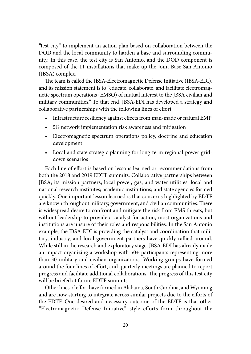"test city" to implement an action plan based on collaboration between the DOD and the local community to harden a base and surrounding community. In this case, the test city is San Antonio, and the DOD component is composed of the 11 installations that make up the Joint Base San Antonio (JBSA) complex.

The team is called the JBSA-Electromagnetic Defense Initiative (JBSA-EDI), and its mission statement is to "educate, collaborate, and facilitate electromagnetic spectrum operations (EMSO) of mutual interest to the JBSA civilian and military communities." To that end, JBSA-EDI has developed a strategy and collaborative partnerships with the following lines of effort:

- Infrastructure resiliency against effects from man-made or natural EMP
- 5G network implementation risk awareness and mitigation
- Electromagnetic spectrum operations policy, doctrine and education development
- Local and state strategic planning for long-term regional power griddown scenarios

Each line of effort is based on lessons learned or recommendations from both the 2018 and 2019 EDTF summits. Collaborative partnerships between JBSA; its mission partners; local power, gas, and water utilities; local and national research institutes; academic institutions; and state agencies formed quickly. One important lesson learned is that concerns highlighted by EDTF are known throughout military, government, and civilian communities. There is widespread desire to confront and mitigate the risk from EMS threats, but without leadership to provide a catalyst for action, most organizations and institutions are unsure of their roles and responsibilities. In the San Antonio example, the JBSA-EDI is providing the catalyst and coordination that military, industry, and local government partners have quickly rallied around. While still in the research and exploratory stage, JBSA-EDI has already made an impact organizing a workshop with 50+ participants representing more than 30 military and civilian organizations. Working groups have formed around the four lines of effort, and quarterly meetings are planned to report progress and facilitate additional collaborations. The progress of this test city will be briefed at future EDTF summits.

Other lines of effort have formed in Alabama, South Carolina, and Wyoming and are now starting to integrate across similar projects due to the efforts of the EDTF. One desired and necessary outcome of the EDTF is that other "Electromagnetic Defense Initiative" style efforts form throughout the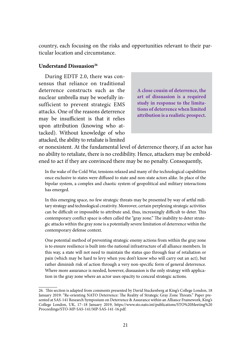country, each focusing on the risks and opportunities relevant to their particular location and circumstance.

## **Understand Dissuasion26**

During EDTF 2.0, there was consensus that reliance on traditional deterrence constructs such as the nuclear umbrella may be woefully insufficient to prevent strategic EMS attacks. One of the reasons deterrence may be insufficient is that it relies upon attribution (knowing who attacked). Without knowledge of who attacked, the ability to retaliate is limited

**A close cousin of deterrence, the art of dissuasion is a required study in response to the limitations of deterrence when limited attribution is a realistic prospect.**

or nonexistent. At the fundamental level of deterrence theory, if an actor has no ability to retaliate, there is no credibility. Hence, attackers may be emboldened to act if they are convinced there may be no penalty. Consequently,

In the wake of the Cold War, tensions relaxed and many of the technological capabilities once exclusive to states were diffused to state and non-state actors alike. In place of the bipolar system, a complex and chaotic system of geopolitical and military interactions has emerged.

In this emerging space, no few strategic threats may be presented by way of artful military strategy and technological creativity. Moreover, certain perplexing strategic activities can be difficult or impossible to attribute and, thus, increasingly difficult to deter. This contemporary conflict space is often called the "gray zone." The inability to deter strategic attacks within the gray zone is a potentially severe limitation of deterrence within the contemporary defense context.

One potential method of preventing strategic enemy actions from within the gray zone is to ensure resilience is built into the national infrastructure of all alliance members. In this way, a state will not need to maintain the status quo through fear of retaliation or pain (which may be hard to levy when you don't know who will carry out an act), but rather diminish risk of action through a very non-specific form of general deterrence. Where more assurance is needed, however, dissuasion is the only strategy with application in the gray zone where an actor uses opacity to conceal strategic actions.

<sup>26.</sup> This section is adapted from comments presented by David Stuckenberg at King's College London, 18 January 2019: "Re-orienting NATO Deterrence: The Reality of Strategic Gray Zone Threats." Paper presented at SAS-141 Research Symposium on Deterrence & Assurance within an Alliance Framework, King's College London, UK, 17–18 January 2019, [https://www.sto.nato.int/publications/STO%20Meeting%20](https://www.sto.nato.int/publications/STO%20Meeting%20Proceedings/STO-MP-SAS-141/MP-SAS-141-16.pdf) [Proceedings/STO-MP-SAS-141/MP-SAS-141-16.pdf](https://www.sto.nato.int/publications/STO%20Meeting%20Proceedings/STO-MP-SAS-141/MP-SAS-141-16.pdf).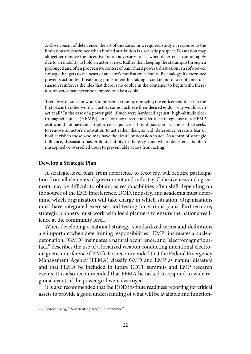A close cousin of deterrence, the art of dissuasion is a required study in response to the limitations of deterrence when limited attribution is a realistic prospect. Dissuasion may altogether remove the incentive for an adversary to act when deterrence cannot apply due to an inability to hold an actor at risk. Rather than keeping the status quo through a prolonged and often progressive contest of pain (hard power), dissuasion is a soft-power strategy that gets to the heart of an actor's motivation calculus. By analogy, if deterrence prevents action by threatening punishment for taking a cookie out of a container, dissuasion reinforces the idea that there is no cookie in the container to begin with, therefore an actor may never be tempted to take a cookie.

Therefore, dissuasion works to prevent action by removing the enticement to act in the first place. In other words, if actors cannot achieve their desired ends—why would such act at all? In the case of a power grid, if such were hardened against [high-altitude electromagnetic pulse (HEMP)], an actor may never consider the strategic use of a HEMP as it would not have catastrophic consequences. Thus, dissuasion is a contest that seeks to remove an actor's motivation to act rather than, as with deterrence, create a fear or hold at risk to those who may have the desire or occasion to act. As a form of strategic influence, dissuasion has profound utility in the gray zone where deterrence is often misapplied or overrelied upon to prevent able actors from acting.<sup>27</sup>

### **Develop a Strategic Plan**

A strategic-level plan, from deterrence to recovery, will require participation from all elements of government and industry. Cohesiveness and agreement may be difficult to obtain, as responsibilities often shift depending on the source of the EMS interference. DOD, industry, and academia must determine which organization will take charge in which situation. Organizations must have integrated exercises and testing for various plans. Furthermore, strategic planners must work with local planners to ensure the nation's resilience at the community level.

When developing a national strategy, standardized terms and definitions are important when determining responsibilities. "EMP" insinuates a nuclear detonation, "GMD" insinuates a natural occurrence, and "electromagnetic attack" describes the use of a localized weapon conducting intentional electromagnetic interference (IEMI). It is recommended that the Federal Emergency Management Agency (FEMA) classify GMD and EMP as natural disasters and that FEMA be included in future EDTF summits and EMP research events. It is also recommended that FEMA be tasked to respond to wide regional events if the power grid were destroyed.

It is also recommended that the DOD institute readiness reporting for critical assets to provide a good understanding of what will be available and function-

<sup>27.</sup> Stuckenberg, "Re-orienting NATO Deterrance."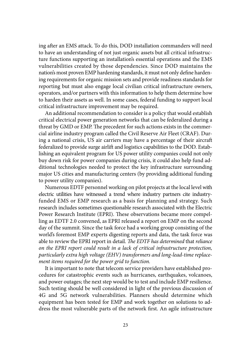ing after an EMS attack. To do this, DOD installation commanders will need to have an understanding of not just organic assets but all critical infrastructure functions supporting an installation's essential operations and the EMS vulnerabilities created by those dependencies. Since DOD maintains the nation's most proven EMP hardening standards, it must not only define hardening requirements for organic mission sets and provide readiness standards for reporting but must also engage local civilian critical infrastructure owners, operators, and/or partners with this information to help them determine how to harden their assets as well. In some cases, federal funding to support local critical infrastructure improvement may be required.

An additional recommendation to consider is a policy that would establish critical electrical power generation networks that can be federalized during a threat by GMD or EMP. The precedent for such actions exists in the commercial airline industry program called the Civil Reserve Air Fleet (CRAF). During a national crisis, US air carriers may have a percentage of their aircraft federalized to provide surge airlift and logistics capabilities to the DOD. Establishing an equivalent program for US power utility companies could not only buy down risk for power companies during crisis, it could also help fund additional technologies needed to protect the key infrastructure surrounding major US cities and manufacturing centers (by providing additional funding to power utility companies).

Numerous EDTF personnel working on pilot projects at the local level with electric utilities have witnessed a trend where industry partners cite industryfunded EMS or EMP research as a basis for planning and strategy. Such research includes sometimes questionable research associated with the Electric Power Research Institute (EPRI). These observations became more compelling as EDTF 2.0 convened, as EPRI released a report on EMP on the second day of the summit. Since the task force had a working group consisting of the world's foremost EMP experts digesting reports and data, the task force was able to review the EPRI report in detail. *The EDTF has determined* that *reliance on the EPRI report could result in a lack of critical infrastructure protection, particularly extra high voltage (EHV) transformers and long-lead-time replacement items required for the power grid to function.*

It is important to note that telecom service providers have established procedures for catastrophic events such as hurricanes, earthquakes, volcanoes, and power outages; the next step would be to test and include EMP resilience. Such testing should be well considered in light of the previous discussion of 4G and 5G network vulnerabilities. Planners should determine which equipment has been tested for EMP and work together on solutions to address the most vulnerable parts of the network first. An agile infrastructure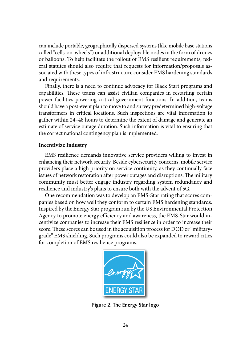can include portable, geographically dispersed systems (like mobile base stations called "cells-on-wheels") or additional deployable nodes in the form of drones or balloons. To help facilitate the rollout of EMS resilient requirements, federal statutes should also require that requests for information/proposals associated with these types of infrastructure consider EMS hardening standards and requirements.

Finally, there is a need to continue advocacy for Black Start programs and capabilities. These teams can assist civilian companies in restarting certain power facilities powering critical government functions. In addition, teams should have a post-event plan to move to and survey predetermined high-voltage transformers in critical locations. Such inspections are vital information to gather within 24–48 hours to determine the extent of damage and generate an estimate of service outage duration. Such information is vital to ensuring that the correct national contingency plan is implemented.

#### **Incentivize Industry**

EMS resilience demands innovative service providers willing to invest in enhancing their network security. Beside cybersecurity concerns, mobile service providers place a high priority on service continuity, as they continually face issues of network restoration after power outages and disruptions. The military community must better engage industry regarding system redundancy and resilience and industry's plans to ensure both with the advent of 5G.

One recommendation was to develop an EMS-Star rating that scores companies based on how well they conform to certain EMS hardening standards. Inspired by the Energy Star program run by the US Environmental Protection Agency to promote energy efficiency and awareness, the EMS-Star would incentivize companies to increase their EMS resilience in order to increase their score. These scores can be used in the acquisition process for DOD or "militarygrade" EMS shielding. Such programs could also be expanded to reward cities for completion of EMS resilience programs.



**Figure 2. The Energy Star logo**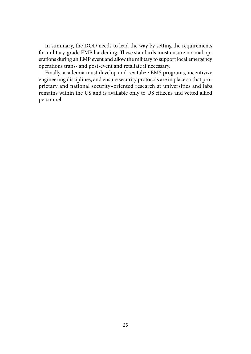In summary, the DOD needs to lead the way by setting the requirements for military-grade EMP hardening. These standards must ensure normal operations during an EMP event and allow the military to support local emergency operations trans- and post-event and retaliate if necessary.

Finally, academia must develop and revitalize EMS programs, incentivize engineering disciplines, and ensure security protocols are in place so that proprietary and national security–oriented research at universities and labs remains within the US and is available only to US citizens and vetted allied personnel.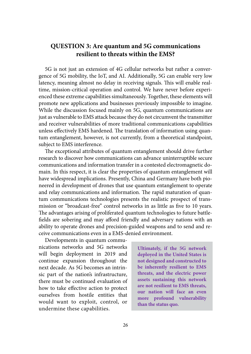## **[QUESTION 3: Are quantum and 5G communications](#page-6-0)  [resilient to threats within the EMS?](#page-6-0)**

5G is not just an extension of 4G cellular networks but rather a convergence of 5G mobility, the IoT, and AI. Additionally, 5G can enable very low latency, meaning almost no delay in receiving signals. This will enable realtime, mission-critical operation and control. We have never before experienced these extreme capabilities simultaneously. Together, these elements will promote new applications and businesses previously impossible to imagine. While the discussion focused mainly on 5G, quantum communications are just as vulnerable to EMS attack because they do not circumvent the transmitter and receiver vulnerabilities of more traditional communications capabilities unless effectively EMS hardened. The translation of information using quantum entanglement, however, is not currently, from a theoretical standpoint, subject to EMS interference.

The exceptional attributes of quantum entanglement should drive further research to discover how communications can advance uninterruptible secure communications and information transfer in a contested electromagnetic domain. In this respect, it is clear the properties of quantum entanglement will have widespread implications. Presently, China and Germany have both pioneered in development of drones that use quantum entanglement to operate and relay communications and information. The rapid maturation of quantum communications technologies presents the realistic prospect of transmission or "broadcast-free" control networks in as little as five to 10 years. The advantages arising of proliferated quantum technologies to future battlefields are sobering and may afford friendly and adversary nations with an ability to operate drones and precision-guided weapons and to send and receive communications even in a EMS-denied environment.

Developments in quantum communications networks and 5G networks will begin deployment in 2019 and continue expansion throughout the next decade. As 5G becomes an intrinsic part of the nation's infrastructure, there must be continued evaluation of how to take effective action to protect ourselves from hostile entities that would want to exploit, control, or undermine these capabilities.

**Ultimately, if the 5G network deployed in the United States is not designed and constructed to be inherently resilient to EMS threats, and the electric power assets sustaining this network are not resilient to EMS threats, our nation will face an even more profound vulnerability than the status quo.**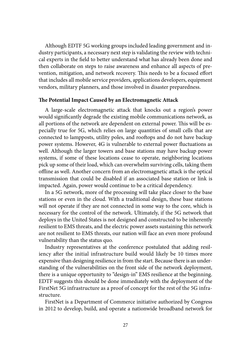Although EDTF 5G working groups included leading government and industry participants, a necessary next step is validating the review with technical experts in the field to better understand what has already been done and then collaborate on steps to raise awareness and enhance all aspects of prevention, mitigation, and network recovery. This needs to be a focused effort that includes all mobile service providers, applications developers, equipment vendors, military planners, and those involved in disaster preparedness.

#### **The Potential Impact Caused by an Electromagnetic Attack**

A large-scale electromagnetic attack that knocks out a region's power would significantly degrade the existing mobile communications network, as all portions of the network are dependent on external power. This will be especially true for 5G, which relies on large quantities of small cells that are connected to lampposts, utility poles, and rooftops and do not have backup power systems. However, 4G is vulnerable to external power fluctuations as well. Although the larger towers and base stations may have backup power systems, if some of these locations cease to operate, neighboring locations pick up some of their load, which can overwhelm surviving cells, taking them offline as well. Another concern from an electromagnetic attack is the optical transmission that could be disabled if an associated base station or link is impacted. Again, power would continue to be a critical dependency.

In a 5G network, more of the processing will take place closer to the base stations or even in the cloud. With a traditional design, these base stations will not operate if they are not connected in some way to the core, which is necessary for the control of the network. Ultimately, if the 5G network that deploys in the United States is not designed and constructed to be inherently resilient to EMS threats, and the electric power assets sustaining this network are not resilient to EMS threats, our nation will face an even more profound vulnerability than the status quo.

Industry representatives at the conference postulated that adding resiliency after the initial infrastructure build would likely be 10 times more expensive than designing resilience in from the start. Because there is an understanding of the vulnerabilities on the front side of the network deployment, there is a unique opportunity to "design-in" EMS resilience at the beginning. EDTF suggests this should be done immediately with the deployment of the FirstNet 5G infrastructure as a proof of concept for the rest of the 5G infrastructure.

FirstNet is a Department of Commerce initiative authorized by Congress in 2012 to develop, build, and operate a nationwide broadband network for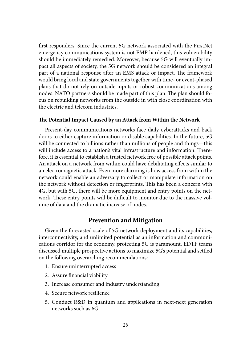first responders. Since the current 5G network associated with the FirstNet emergency communications system is not EMP hardened, this vulnerability should be immediately remedied. Moreover, because 5G will eventually impact all aspects of society, the 5G network should be considered an integral part of a national response after an EMS attack or impact. The framework would bring local and state governments together with time- or event-phased plans that do not rely on outside inputs or robust communications among nodes. NATO partners should be made part of this plan. The plan should focus on rebuilding networks from the outside in with close coordination with the electric and telecom industries.

#### **The Potential Impact Caused by an Attack from Within the Network**

Present-day communications networks face daily cyberattacks and back doors to either capture information or disable capabilities. In the future, 5G will be connected to billions rather than millions of people and things—this will include access to a nation's vital infrastructure and information. Therefore, it is essential to establish a trusted network free of possible attack points. An attack on a network from within could have debilitating effects similar to an electromagnetic attack. Even more alarming is how access from within the network could enable an adversary to collect or manipulate information on the network without detection or fingerprints. This has been a concern with 4G, but with 5G, there will be more equipment and entry points on the network. These entry points will be difficult to monitor due to the massive volume of data and the dramatic increase of nodes.

## **Prevention and Mitigation**

Given the forecasted scale of 5G network deployment and its capabilities, interconnectivity, and unlimited potential as an information and communications corridor for the economy, protecting 5G is paramount. EDTF teams discussed multiple prospective actions to maximize 5G's potential and settled on the following overarching recommendations:

- 1. Ensure uninterrupted access
- 2. Assure financial viability
- 3. Increase consumer and industry understanding
- 4. Secure network resilience
- 5. Conduct R&D in quantum and applications in next-next generation networks such as 6G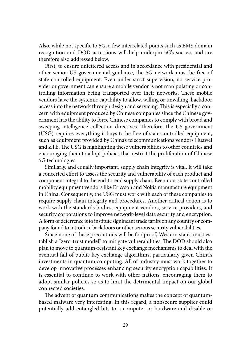Also, while not specific to 5G, a few interrelated points such as EMS domain recognition and DOD accessions will help underpin 5G's success and are therefore also addressed below.

First, to ensure unfettered access and in accordance with presidential and other senior US governmental guidance, the 5G network must be free of state-controlled equipment. Even under strict supervision, no service provider or government can ensure a mobile vendor is not manipulating or controlling information being transported over their networks. These mobile vendors have the systemic capability to allow, willing or unwilling, backdoor access into the network through design and servicing. This is especially a concern with equipment produced by Chinese companies since the Chinese government has the ability to force Chinese companies to comply with broad and sweeping intelligence collection directives. Therefore, the US government (USG) requires everything it buys to be free of state-controlled equipment, such as equipment provided by China's telecommunications vendors Huawei and ZTE. The USG is highlighting these vulnerabilities to other countries and encouraging them to adopt policies that restrict the proliferation of Chinese 5G technologies.

Similarly, and equally important, supply chain integrity is vital. It will take a concerted effort to assess the security and vulnerability of each product and component integral to the end-to-end supply chain. Even non-state-controlled mobility equipment vendors like Ericsson and Nokia manufacture equipment in China. Consequently, the USG must work with each of these companies to require supply chain integrity and procedures. Another critical action is to work with the standards bodies, equipment vendors, service providers, and security corporations to improve network-level data security and encryption. A form of deterrence is to institute significant trade tariffs on any country or company found to introduce backdoors or other serious security vulnerabilities.

Since none of these precautions will be foolproof, Western states must establish a "zero-trust model" to mitigate vulnerabilities. The DOD should also plan to move to quantum-resistant key exchange mechanisms to deal with the eventual fall of public key exchange algorithms, particularly given China's investments in quantum computing. All of industry must work together to develop innovative processes enhancing security encryption capabilities. It is essential to continue to work with other nations, encouraging them to adopt similar policies so as to limit the detrimental impact on our global connected societies.

The advent of quantum communications makes the concept of quantumbased malware very interesting. In this regard, a nonsecure supplier could potentially add entangled bits to a computer or hardware and disable or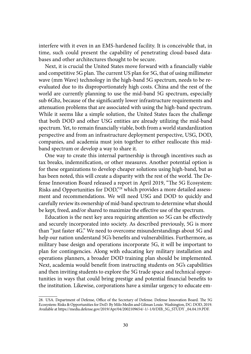interfere with it even in an EMS-hardened facility. It is conceivable that, in time, such could present the capability of penetrating cloud-based databases and other architectures thought to be secure.

Next, it is crucial the United States move forward with a financially viable and competitive 5G plan. The current US plan for 5G, that of using millimeter wave (mm Wave) technology in the high-band 5G spectrum, needs to be reevaluated due to its disproportionately high costs. China and the rest of the world are currently planning to use the mid-band 5G spectrum, especially sub 6Ghz, because of the significantly lower infrastructure requirements and attenuation problems that are associated with using the high-band spectrum. While it seems like a simple solution, the United States faces the challenge that both DOD and other USG entities are already utilizing the mid-band spectrum. Yet, to remain financially viable, both from a world standardization perspective and from an infrastructure deployment perspective, USG, DOD, companies, and academia must join together to either reallocate this midband spectrum or develop a way to share it.

One way to create this internal partnership is through incentives such as tax breaks, indemnification, or other measures. Another potential option is for these organizations to develop cheaper solutions using high-band, but as has been noted, this will create a disparity with the rest of the world. The Defense Innovation Board released a report in April 2019, "The 5G Ecosystem: Risks and Opportunities for DOD,"28 which provides a more detailed assessment and recommendations. We will need USG and DOD to quickly and carefully review its ownership of mid-band spectrum to determine what should be kept, freed, and/or shared to maximize the effective use of the spectrum.

Education is the next key area requiring attention so 5G can be effectively and securely incorporated into society. As described previously, 5G is more than "just faster 4G." We need to overcome misunderstandings about 5G and help our nation understand 5G's benefits and vulnerabilities. Furthermore, as military base design and operations incorporate 5G, it will be important to plan for contingencies. Along with educating key military installation and operations planners, a broader DOD training plan should be implemented. Next, academia would benefit from instructing students on 5G's capabilities and then inviting students to explore the 5G trade space and technical opportunities in ways that could bring prestige and potential financial benefits to the institution. Likewise, corporations have a similar urgency to educate em-

<sup>28.</sup> USA. Department of Defense, Office of the Secretary of Defense. Defense Innovation Board. The 5G Ecosystem: Risks & Opportunities for DoD. By Milo Medin and Gilman Louie. Washington, DC: DOD, 2019. Available at [https://media.defense.gov/2019/Apr/04/2002109654/-1/-1/0/DIB\\_5G\\_STUDY \\_04.04.19.PDF](https://media.defense.gov/2019/Apr/04/2002109654/-1/-1/0/DIB_5G_STUDY_04.04.19.PDF).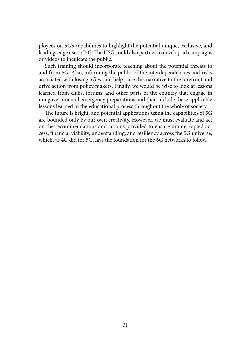ployees on 5G's capabilities to highlight the potential unique, exclusive, and leading-edge uses of 5G. The USG could also partner to develop ad campaigns or videos to inculcate the public.

Such training should incorporate teaching about the potential threats to and from 5G. Also, informing the public of the interdependencies and risks associated with losing 5G would help raise this narrative to the forefront and drive action from policy makers. Finally, we would be wise to look at lessons learned from clubs, forums, and other parts of the country that engage in nongovernmental emergency preparations and then include these applicable lessons learned in the educational process throughout the whole of society.

The future is bright, and potential applications using the capabilities of 5G are bounded only by our own creativity. However, we must evaluate and act on the recommendations and actions provided to ensure uninterrupted access, financial viability, understanding, and resiliency across the 5G universe, which, as 4G did for 5G, lays the foundation for the 6G networks to follow.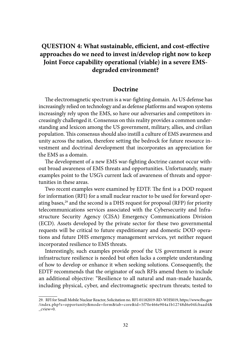# **[QUESTION 4: What sustainable, efficient, and cost-effective](#page-6-0)  [approaches do we need to invest in/develop right now to keep](#page-6-0)  [Joint Force capability operational \(viable\) in a severe EMS](#page-6-0)[degraded environment?](#page-6-0)**

## **Doctrine**

The electromagnetic spectrum is a war-fighting domain. As US defense has increasingly relied on technology and as defense platforms and weapon systems increasingly rely upon the EMS, so have our adversaries and competitors increasingly challenged it. Consensus on this reality provides a common understanding and lexicon among the US government, military, allies, and civilian population. This consensus should also instill a culture of EMS awareness and unity across the nation, therefore setting the bedrock for future resource investment and doctrinal development that incorporates an appreciation for the EMS as a domain.

The development of a new EMS war-fighting doctrine cannot occur without broad awareness of EMS threats and opportunities. Unfortunately, many examples point to the USG's current lack of awareness of threats and opportunities in these areas.

Two recent examples were examined by EDTF. The first is a DOD request for information (RFI) for a small nuclear reactor to be used for forward operating bases,<sup>29</sup> and the second is a DHS request for proposal (RFP) for priority telecommunications services associated with the Cybersecurity and Infrastructure Security Agency (CISA) Emergency Communications Division (ECD). Assets developed by the private sector for these two governmental requests will be critical to future expeditionary and domestic DOD operations and future DHS emergency management services, yet neither request incorporated resilience to EMS threats.

Interestingly, such examples provide proof the US government is aware infrastructure resilience is needed but often lacks a complete understanding of how to develop or enhance it when seeking solutions. Consequently, the EDTF recommends that the originator of such RFIs amend them to include an additional objective: "Resilience to all natural and man-made hazards, including physical, cyber, and electromagnetic spectrum threats; tested to

<sup>29.</sup> RFI for Small Mobile Nuclear Reactor, Solicitation no. RFI-01182019-RD-WHS019, https://www.fbo.gov /index.php?s=opportunity&mode=form&tab=core&id=5f70e466e904a1b12748d6e04fcbaad4& \_cview=0.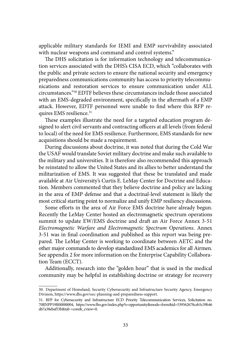applicable military standards for IEMI and EMP survivability associated with nuclear weapons and command and control systems."

The DHS solicitation is for information technology and telecommunication services associated with the DHS's CISA ECD, which "collaborates with the public and private sectors to ensure the national security and emergency preparedness communications community has access to priority telecommunications and restoration services to ensure communication under ALL circumstances."30 EDTF believes these circumstances include those associated with an EMS-degraded environment, specifically in the aftermath of a EMP attack. However, EDTF personnel were unable to find where this RFP requires EMS resilience.<sup>31</sup>

These examples illustrate the need for a targeted education program designed to alert civil servants and contracting officers at all levels (from federal to local) of the need for EMS resilience. Furthermore, EMS standards for new acquisitions should be made a requirement.

During discussions about doctrine, it was noted that during the Cold War the USAF would translate Soviet military doctrine and make such available to the military and universities. It is therefore also recommended this approach be reinstated to allow the United States and its allies to better understand the militarization of EMS. It was suggested that these be translated and made available at Air University's Curtis E. LeMay Center for Doctrine and Education. Members commented that they believe doctrine and policy are lacking in the area of EMP defense and that a doctrinal-level statement is likely the most critical starting point to normalize and unify EMP resiliency discussions.

Some efforts in the area of Air Force EMS doctrine have already begun. Recently the LeMay Center hosted an electromagnetic spectrum operations summit to update EW/EMS doctrine and draft an Air Force Annex 3-51 *Electromagnetic Warfare and Electromagnetic Spectrum Operations*. Annex 3-51 was in final coordination and published as this report was being prepared. The LeMay Center is working to coordinate between AETC and the other major commands to develop standardized EMS academics for all Airmen. See appendix 2 for more information on the Enterprise Capability Collaboration Team (ECCT).

Additionally, research into the "golden hour" that is used in the medical community may be helpful in establishing doctrine or strategy for recovery

<sup>30.</sup> Department of Homeland, Security Cybersecurity and Infrastructure Security Agency, Emergency Division, https://www.dhs.gov/oec-planning-and-preparedness-support.

<sup>31.</sup> RFP for Cybersecurity and Infrastructure ECD Priority Telecommunication Services, Solicitation no. 70RNPP19R00000004, https://www.fbo.gov/index.php?s=opportunity&mode=form&id=539562678ceb5c59b46 d67a38ebaf53b&tab =core&\_cview=0.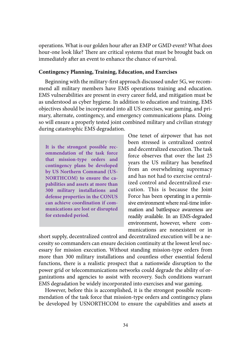operations. What is our golden hour after an EMP or GMD event? What does hour-one look like? There are critical systems that must be brought back on immediately after an event to enhance the chance of survival.

#### **Contingency Planning, Training, Education, and Exercises**

Beginning with the military-first approach discussed under 5G, we recommend all military members have EMS operations training and education. EMS vulnerabilities are present in every career field, and mitigation must be as understood as cyber hygiene. In addition to education and training, EMS objectives should be incorporated into all US exercises, war gaming, and primary, alternate, contingency, and emergency communications plans. Doing so will ensure a properly tested joint combined military and civilian strategy during catastrophic EMS degradation.

**It is the strongest possible recommendation of the task force that mission-type orders and contingency plans be developed by US Northern Command (US-NORTHCOM) to ensure the capabilities and assets at more than 300 military installations and defense properties in the CONUS can achieve coordination if communications are lost or disrupted for extended period.**

One tenet of airpower that has not been stressed is centralized control and decentralized execution. The task force observes that over the last 25 years the US military has benefited from an overwhelming supremacy and has not had to exercise centralized control and decentralized execution. This is because the Joint Force has been operating in a permissive environment where real-time information and battlespace awareness are readily available. In an EMS-degraded environment, however, where communications are nonexistent or in

short supply, decentralized control and decentralized execution will be a necessity so commanders can ensure decision continuity at the lowest level necessary for mission execution. Without standing mission-type orders from more than 300 military installations and countless other essential federal functions, there is a realistic prospect that a nationwide disruption to the power grid or telecommunications networks could degrade the ability of organizations and agencies to assist with recovery. Such conditions warrant EMS degradation be widely incorporated into exercises and war gaming.

However, before this is accomplished, it is the strongest possible recommendation of the task force that mission-type orders and contingency plans be developed by USNORTHCOM to ensure the capabilities and assets at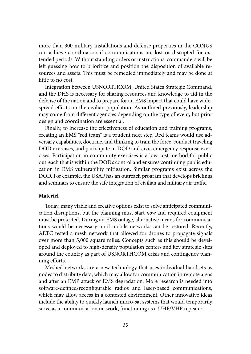more than 300 military installations and defense properties in the CONUS can achieve coordination if communications are lost or disrupted for extended periods. Without standing orders or instructions, commanders will be left guessing how to prioritize and position the disposition of available resources and assets. This must be remedied immediately and may be done at little to no cost.

Integration between USNORTHCOM, United States Strategic Command, and the DHS is necessary for sharing resources and knowledge to aid in the defense of the nation and to prepare for an EMS impact that could have widespread effects on the civilian population. As outlined previously, leadership may come from different agencies depending on the type of event, but prior design and coordination are essential.

Finally, to increase the effectiveness of education and training programs, creating an EMS "red team" is a prudent next step. Red teams would use adversary capabilities, doctrine, and thinking to train the force, conduct traveling DOD exercises, and participate in DOD and civic emergency response exercises. Participation in community exercises is a low-cost method for public outreach that is within the DOD's control and ensures continuing public education in EMS vulnerability mitigation. Similar programs exist across the DOD. For example, the USAF has an outreach program that develops briefings and seminars to ensure the safe integration of civilian and military air traffic.

#### **Materiel**

Today, many viable and creative options exist to solve anticipated communication disruptions, but the planning must start *now* and required equipment must be protected. During an EMS outage, alternative means for communications would be necessary until mobile networks can be restored. Recently, AETC tested a mesh network that allowed for drones to propagate signals over more than 5,000 square miles. Concepts such as this should be developed and deployed to high-density population centers and key strategic sites around the country as part of USNORTHCOM crisis and contingency planning efforts.

Meshed networks are a new technology that uses individual handsets as nodes to distribute data, which may allow for communication in remote areas and after an EMP attack or EMS degradation. More research is needed into software-defined/reconfigurable radios and laser-based communications, which may allow access in a contested environment. Other innovative ideas include the ability to quickly launch micro-sat systems that would temporarily serve as a communication network, functioning as a UHF/VHF repeater.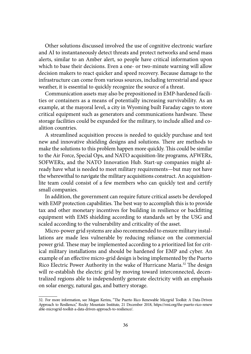Other solutions discussed involved the use of cognitive electronic warfare and AI to instantaneously detect threats and protect networks and send mass alerts, similar to an Amber alert, so people have critical information upon which to base their decisions. Even a one- or two-minute warning will allow decision makers to react quicker and speed recovery. Because damage to the infrastructure can come from various sources, including terrestrial and space weather, it is essential to quickly recognize the source of a threat.

Communication assets may also be prepositioned in EMP-hardened facilities or containers as a means of potentially increasing survivability. As an example, at the mayoral level, a city in Wyoming built Faraday cages to store critical equipment such as generators and communications hardware. These storage facilities could be expanded for the military, to include allied and coalition countries.

A streamlined acquisition process is needed to quickly purchase and test new and innovative shielding designs and solutions. There are methods to make the solutions to this problem happen more quickly. This could be similar to the Air Force, Special Ops, and NATO acquisition-lite programs, AFWERx, SOFWERx, and the NATO Innovation Hub. Start-up companies might already have what is needed to meet military requirements—but may not have the wherewithal to navigate the military acquisitions construct. An acquisitionlite team could consist of a few members who can quickly test and certify small companies.

In addition, the government can require future critical assets be developed with EMP protection capabilities. The best way to accomplish this is to provide tax and other monetary incentives for building in resilience or backfitting equipment with EMS shielding according to standards set by the USG and scaled according to the vulnerability and criticality of the asset.

Micro-power grid systems are also recommended to ensure military installations are made less vulnerable by reducing reliance on the commercial power grid. These may be implemented according to a prioritized list for critical military installations and should be hardened for EMP and cyber. An example of an effective micro-grid design is being implemented by the Puerto Rico Electric Power Authority in the wake of Hurricane Maria.32 The design will re-establish the electric grid by moving toward interconnected, decentralized regions able to independently generate electricity with an emphasis on solar energy, natural gas, and battery storage.

<sup>32.</sup> For more information, see Megan Kerins, "The Puerto Rico Renewable Micrgrid Toolkit: A Data-Driven Approach to Resilience," Rocky Mountain Institute, 21 December 2018, [https://rmi.org/the-puerto-rico-renew](https://rmi.org/the-puerto-rico-renewable-microgrid-toolkit-a-data-driven-approach-to-resilience/) [able-microgrid-toolkit-a-data-driven-approach-to-resilience/](https://rmi.org/the-puerto-rico-renewable-microgrid-toolkit-a-data-driven-approach-to-resilience/).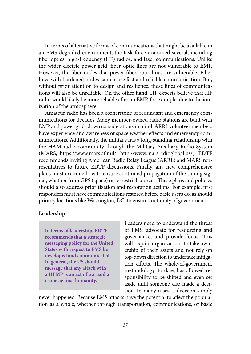In terms of alternative forms of communications that might be available in an EMS-degraded environment, the task force examined several, including fiber optics, high-frequency (HF) radios, and laser communications. Unlike the wider electric power grid, fiber optic lines are not vulnerable to EMP. However, the fiber nodes that power fiber optic lines are vulnerable. Fiber lines with hardened nodes can ensure fast and reliable communication. But, without prior attention to design and resilience, these lines of communications will also be unreliable. On the other hand, HF experts believe that HF radio would likely be more reliable after an EMP, for example, due to the ionization of the atmosphere.

Amateur radio has been a cornerstone of redundant and emergency communications for decades. Many member-owned radio stations are built with EMP and power grid–down considerations in mind. ARRL volunteer members have experience and awareness of space weather effects and emergency communications. Additionally, the military has a long-standing relationship with the HAM radio community through the Military Auxiliary Radio System (MARS, <https://www.mars.af.mil/>, [http://www.marsradioglobal.us/\)](http://www.marsradioglobal.us/). EDTF recommends inviting American Radio Relay League (ARRL) and MARS representatives to future EDTF discussions. Finally, any new comprehensive plans must examine how to ensure continued propagation of the timing signal, whether from GPS (space) or terrestrial sources. These plans and policies should also address prioritization and restoration actions. For example, first responders must have communications restored before basic users do, as should priority locations like Washington, DC, to ensure continuity of government.

#### **Leadership**

**In terms of leadership, EDTF recommends that a strategic messaging policy for the United States with respect to EMS be developed and communicated. In general, the US should message that any attack with a HEMP is an act of war and a crime against humanity.**

Leaders need to understand the threat of EMS, advocate for resourcing and governance, and provide focus. This will require organizations to take ownership of their assets and not rely on top-down direction to undertake mitigation efforts. The whole-of-government methodology, to date, has allowed responsibility to be shifted and even set aside until someone else made a decision. In many cases, a decision simply

never happened. Because EMS attacks have the potential to affect the population as a whole, whether through transportation, communications, or basic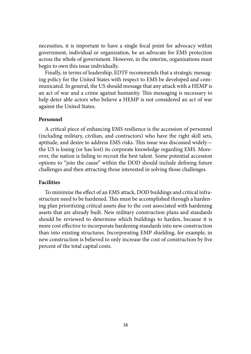necessities, it is important to have a single focal point for advocacy within government, individual or organization, be an advocate for EMS protection across the whole of government. However, in the interim, organizations must begin to own this issue individually.

Finally, in terms of leadership, EDTF recommends that a strategic messaging policy for the United States with respect to EMS be developed and communicated. In general, the US should message that any attack with a HEMP is an act of war and a crime against humanity. This messaging is necessary to help deter able actors who believe a HEMP is not considered an act of war against the United States.

#### **Personnel**

A critical piece of enhancing EMS resilience is the accession of personnel (including military, civilian, and contractors) who have the right skill sets, aptitude, and desire to address EMS risks. This issue was discussed widely the US is losing (or has lost) its corporate knowledge regarding EMS. Moreover, the nation is failing to recruit the best talent. Some potential accession options to "join the cause" within the DOD should include defining future challenges and then attracting those interested in solving those challenges.

#### **Facilities**

To minimize the effect of an EMS attack, DOD buildings and critical infrastructure need to be hardened. This must be accomplished through a hardening plan prioritizing critical assets due to the cost associated with hardening assets that are already built. New military construction plans and standards should be reviewed to determine which buildings to harden, because it is more cost effective to incorporate hardening standards into new construction than into existing structures. Incorporating EMP shielding, for example, in new construction is believed to only increase the cost of construction by five percent of the total capital costs.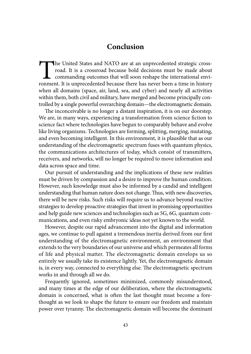# **[Conclusion](#page-6-0)**

The United States and NATO are at an unprecedented strategic cross-<br>road. It is a crossroad because bold decisions must be made about<br>commanding outcomes that will soon reshape the international envi-<br>ronment. It is unprec road. It is a crossroad because bold decisions must be made about commanding outcomes that will soon reshape the international environment. It is unprecedented because there has never been a time in history when all domains (space, air, land, sea, and cyber) and nearly all activities within them, both civil and military, have merged and become principally controlled by a single powerful overarching domain—the electromagnetic domain.

The inconceivable is no longer a distant inspiration, it is on our doorstep. We are, in many ways, experiencing a transformation from science fiction to science fact where technologies have begun to comparably behave and evolve like living organisms. Technologies are forming, splitting, merging, mutating, and even becoming intelligent. In this environment, it is plausible that as our understanding of the electromagnetic spectrum fuses with quantum physics, the communications architectures of today, which consist of transmitters, receivers, and networks, will no longer be required to move information and data across space and time.

Our pursuit of understanding and the implications of these new realities must be driven by compassion and a desire to improve the human condition. However, such knowledge must also be informed by a candid and intelligent understanding that human nature does not change. Thus, with new discoveries, there will be new risks. Such risks will require us to advance beyond reactive strategies to develop proactive strategies that invest in promising opportunities and help guide new sciences and technologies such as 5G, 6G, quantum communications, and even risky embryonic ideas not yet known to the world.

However, despite our rapid advancement into the digital and information ages, we continue to pull against a tremendous inertia derived from our first understanding of the electromagnetic environment, an environment that extends to the very boundaries of our universe and which permeates all forms of life and physical matter. The electromagnetic domain envelops us so entirely we usually take its existence lightly. Yet, the electromagnetic domain is, in every way, connected to everything else. The electromagnetic spectrum works in and through all we do.

Frequently ignored, sometimes minimized, commonly misunderstood, and many times at the edge of our deliberation, where the electromagnetic domain is concerned, what is often the last thought must become a forethought as we look to shape the future to ensure our freedom and maintain power over tyranny. The electromagnetic domain will become the dominant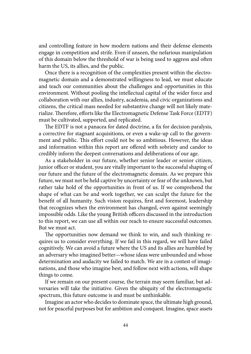and controlling feature in how modern nations and their defense elements engage in competition and strife. Even if unseen, the nefarious manipulation of this domain below the threshold of war is being used to aggress and often harm the US, its allies, and the public.

Once there is a recognition of the complexities present within the electromagnetic domain and a demonstrated willingness to lead, we must educate and teach our communities about the challenges and opportunities in this environment. Without pooling the intellectual capital of the wider force and collaboration with our allies, industry, academia, and civic organizations and citizens, the critical mass needed for substantive change will not likely materialize. Therefore, efforts like the Electromagnetic Defense Task Force (EDTF) must be cultivated, supported, and replicated.

The EDTF is not a panacea for dated doctrine, a fix for decision paralysis, a corrective for stagnant acquisitions, or even a wake-up call to the government and public. This effort could not be so ambitious. However, the ideas and information within this report are offered with sobriety and candor to credibly inform the deepest conversations and deliberations of our age.

As a stakeholder in our future, whether senior leader or senior citizen, junior officer or student, you are vitally important to the successful shaping of our future and the future of the electromagnetic domain. As we prepare this future, we must not be held captive by uncertainty or fear of the unknown, but rather take hold of the opportunities in front of us. If we comprehend the shape of what can be and work together, we can sculpt the future for the benefit of all humanity. Such vision requires, first and foremost, leadership that recognizes when the environment has changed, even against seemingly impossible odds. Like the young British officers discussed in the introduction to this report, we can use all within our reach to ensure successful outcomes. But we must act.

The opportunities now demand we think to win, and such thinking requires us to consider everything. If we fail in this regard, we will have failed cognitively. We can avoid a future where the US and its allies are humbled by an adversary who imagined better—whose ideas were unbounded and whose determination and audacity we failed to match. We are in a contest of imaginations, and those who imagine best, and follow next with actions, will shape things to come.

If we remain on our present course, the terrain may seem familiar, but adversaries will take the initiative. Given the ubiquity of the electromagnetic spectrum, this future outcome is and must be unthinkable.

Imagine an actor who decides to dominate space, the ultimate high ground, not for peaceful purposes but for ambition and conquest. Imagine, space assets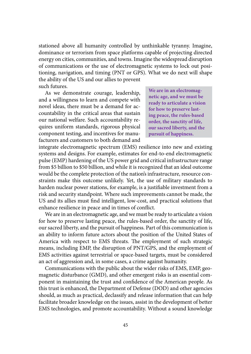stationed above all humanity controlled by unthinkable tyranny. Imagine, dominance or terrorism from space platforms capable of projecting directed energy on cities, communities, and towns. Imagine the widespread disruption of communications or the use of electromagnetic systems to lock out positioning, navigation, and timing (PNT or GPS). What we do next will shape the ability of the US and our allies to prevent

such futures.

As we demonstrate courage, leadership, and a willingness to learn and compete with novel ideas, there must be a demand for accountability in the critical areas that sustain our national welfare. Such accountability requires uniform standards, rigorous physical component testing, and incentives for manufacturers and customers to both demand and **We are in an electromagnetic age, and we must be ready to articulate a vision for how to preserve lasting peace, the rules-based order, the sanctity of life, our sacred liberty, and the pursuit of happiness.**

integrate electromagnetic spectrum (EMS) resilience into new and existing systems and designs. For example, estimates for end-to-end electromagnetic pulse (EMP) hardening of the US power grid and critical infrastructure range from \$5 billion to \$50 billion, and while it is recognized that an ideal outcome would be the complete protection of the nation's infrastructure, resource constraints make this outcome unlikely. Yet, the use of military standards to harden nuclear power stations, for example, is a justifiable investment from a risk and security standpoint. Where such improvements cannot be made, the US and its allies must find intelligent, low-cost, and practical solutions that enhance resilience in peace and in times of conflict.

We are in an electromagnetic age, and we must be ready to articulate a vision for how to preserve lasting peace, the rules-based order, the sanctity of life, our sacred liberty, and the pursuit of happiness. Part of this communication is an ability to inform future actors about the position of the United States of America with respect to EMS threats. The employment of such strategic means, including EMP, the disruption of PNT/GPS, and the employment of EMS activities against terrestrial or space-based targets, must be considered an act of aggression and, in some cases, a crime against humanity.

Communications with the public about the wider risks of EMS, EMP, geomagnetic disturbance (GMD), and other emergent risks is an essential component in maintaining the trust and confidence of the American people. As this trust is enhanced, the Department of Defense (DOD) and other agencies should, as much as practical, declassify and release information that can help facilitate broader knowledge on the issues, assist in the development of better EMS technologies, and promote accountability. Without a sound knowledge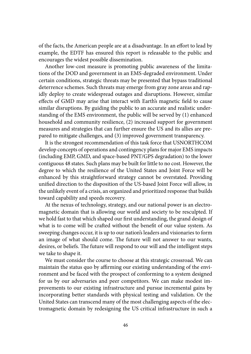of the facts, the American people are at a disadvantage. In an effort to lead by example, the EDTF has ensured this report is releasable to the public and encourages the widest possible dissemination.

Another low-cost measure is promoting public awareness of the limitations of the DOD and government in an EMS-degraded environment. Under certain conditions, strategic threats may be presented that bypass traditional deterrence schemes. Such threats may emerge from gray zone areas and rapidly deploy to create widespread outages and disruptions. However, similar effects of GMD may arise that interact with Earth's magnetic field to cause similar disruptions. By guiding the public to an accurate and realistic understanding of the EMS environment, the public will be served by (1) enhanced household and community resilience, (2) increased support for government measures and strategies that can further ensure the US and its allies are prepared to mitigate challenges, and (3) improved government transparency.

It is the strongest recommendation of this task force that USNORTHCOM develop concepts of operations and contingency plans for major EMS impacts (including EMP, GMD, and space-based PNT/GPS degradation) to the lower contiguous 48 states. Such plans may be built for little to no cost. However, the degree to which the resilience of the United States and Joint Force will be enhanced by this straightforward strategy cannot be overstated. Providing unified direction to the disposition of the US-based Joint Force will allow, in the unlikely event of a crisis, an organized and prioritized response that builds toward capability and speeds recovery.

At the nexus of technology, strategy, and our national power is an electromagnetic domain that is allowing our world and society to be resculpted. If we hold fast to that which shaped our first understanding, the grand design of what is to come will be crafted without the benefit of our value system. As sweeping changes occur, it is up to our nation's leaders and visionaries to form an image of what should come. The future will not answer to our wants, desires, or beliefs. The future will respond to our will and the intelligent steps we take to shape it.

We must consider the course to choose at this strategic crossroad. We can maintain the status quo by affirming our existing understanding of the environment and be faced with the prospect of conforming to a system designed for us by our adversaries and peer competitors. We can make modest improvements to our existing infrastructure and pursue incremental gains by incorporating better standards with physical testing and validation. Or the United States can transcend many of the most challenging aspects of the electromagnetic domain by redesigning the US critical infrastructure in such a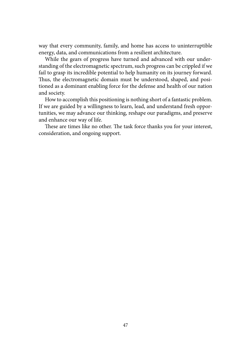way that every community, family, and home has access to uninterruptible energy, data, and communications from a resilient architecture.

While the gears of progress have turned and advanced with our understanding of the electromagnetic spectrum, such progress can be crippled if we fail to grasp its incredible potential to help humanity on its journey forward. Thus, the electromagnetic domain must be understood, shaped, and positioned as a dominant enabling force for the defense and health of our nation and society.

How to accomplish this positioning is nothing short of a fantastic problem. If we are guided by a willingness to learn, lead, and understand fresh opportunities, we may advance our thinking, reshape our paradigms, and preserve and enhance our way of life.

These are times like no other. The task force thanks you for your interest, consideration, and ongoing support.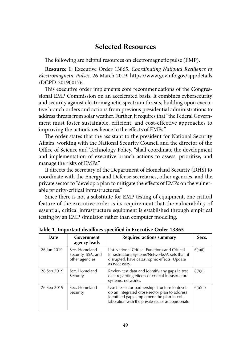# **[Selected Resources](#page-6-0)**

The following are helpful resources on electromagnetic pulse (EMP).

**Resource 1**: Executive Order 13865. *Coordinating National Resilience to Electromagnetic Pulses*, 26 March 2019, [https://www.govinfo.gov/app/details](https://www.govinfo.gov/app/details/DCPD-201900176) [/DCPD-201900176.](https://www.govinfo.gov/app/details/DCPD-201900176)

This executive order implements core recommendations of the Congressional EMP Commission on an accelerated basis. It combines cybersecurity and security against electromagnetic spectrum threats, building upon executive branch orders and actions from previous presidential administrations to address threats from solar weather. Further, it requires that "the Federal Government must foster sustainable, efficient, and cost-effective approaches to improving the nation's resilience to the effects of EMPs."

The order states that the assistant to the president for National Security Affairs, working with the National Security Council and the director of the Office of Science and Technology Policy, "shall coordinate the development and implementation of executive branch actions to assess, prioritize, and manage the risks of EMPs."

It directs the secretary of the Department of Homeland Security (DHS) to coordinate with the Energy and Defense secretaries, other agencies, and the private sector to "develop a plan to mitigate the effects of EMPs on the vulnerable priority-critical infrastructures."

Since there is not a substitute for EMP testing of equipment, one critical feature of the executive order is its requirement that the vulnerability of essential, critical infrastructure equipment is established through empirical testing by an EMP simulator rather than computer modeling.

| <b>Date</b> | Government<br>agency leads                            | Required actions summary                                                                                                                                                                            | Secs.    |
|-------------|-------------------------------------------------------|-----------------------------------------------------------------------------------------------------------------------------------------------------------------------------------------------------|----------|
| 26 Jun 2019 | Sec. Homeland<br>Security, SSA, and<br>other agencies | List National Critical Functions and Critical<br>Infrastructure Systems/Networks/Assets that, if<br>disrupted, have catastrophic effects. Update<br>as necessary.                                   | 6(a)(i)  |
| 26 Sep 2019 | Sec. Homeland<br>Security                             | Review test data and identify any gaps in test<br>data regarding effects of critical infrastructure<br>systems, networks.                                                                           | 6(b)(i)  |
| 26 Sep 2019 | Sec. Homeland<br>Security                             | Use the sector partnership structure to devel-<br>op an integrated cross-sector plan to address<br>identified gaps. Implement the plan in col-<br>laboration with the private sector as appropriate | 6(b)(ii) |

**Table 1**. **Important deadlines specified in Executive Order 13865**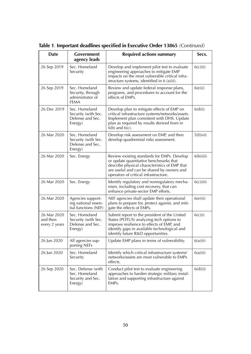| <b>Date</b>                              | Government<br>agency leads                                            | <b>Required actions summary</b>                                                                                                                                                                                               | Secs.     |
|------------------------------------------|-----------------------------------------------------------------------|-------------------------------------------------------------------------------------------------------------------------------------------------------------------------------------------------------------------------------|-----------|
| 26 Sep 2019                              | Sec. Homeland<br>Security                                             | Develop and implement pilot test to evaluate<br>engineering approaches to mitigate EMP<br>impacts on the most vulnerable critical infra-<br>structure systems, identified in 6 (a)(ii).                                       | 6(c)(ii)  |
| 26 Sep 2019                              | Sec. Homeland<br>Security, through<br>administrator of<br><b>FEMA</b> | Review and update federal response plans,<br>programs, and procedures to account for the<br>effects of EMPs.                                                                                                                  | 6(e)(i)   |
| 26 Dec 2019                              | Sec. Homeland<br>Security (with Sec.<br>Defense and Sec.<br>Energy)   | Develop plan to mitigate effects of EMP on<br>critical infrastructure systems/networks/assets.<br>Implement plan consistent with DHS. Update<br>plan as required by results derived from in<br>$6(b)$ and $6(c)$ .            | 6(d)(i)   |
| 26 Mar 2020                              | Sec. Homeland<br>Security (with Sec.<br>Defense and Sec.<br>Energy)   | Develop risk assessment on EMP, and then<br>develop quadrennial risks assessment.                                                                                                                                             | 5(f)(vii) |
| 26 Mar 2020                              | Sec. Energy                                                           | Review existing standards for EMPs. Develop<br>or update quantitative benchmarks that<br>describe physical characteristics of EMP that<br>are useful and can be shared by owners and<br>operators of critical infrastructure. | 6(b)(iii) |
| 26 Mar 2020                              | Sec. Energy                                                           | Identify regulatory and nonregulatory mecha-<br>nism, including cost recovery, that can<br>enhance private-sector EMP efforts.                                                                                                | 6(c)(iii) |
| 26 Mar 2020                              | Agencies support-<br>ing national essen-<br>tial functions (NEF)      | NEF agencies shall update their operational<br>plans to prepare for, protect against, and miti-<br>gate the effects of EMPs.                                                                                                  | 6(e)(ii)  |
| 26 Mar 2020<br>and then<br>every 2 years | Sec. Homeland<br>Security (with Sec.<br>Defense and Sec.<br>Energy)   | Submit report to the president of the United<br>States (POTUS) analyzing tech options to<br>improve resilience to effects of EMP, and<br>identify gaps in available technological and<br>identify future R&D opportunities.   | 6(c)(i)   |
| 26 Jun 2020                              | All agencies sup-<br>porting NEFs                                     | Update EMP plans in terms of vulnerability.                                                                                                                                                                                   | 6(a)(ii)  |
| 26 Jun 2020                              | Sec. Homeland<br>Security                                             | Identify which critical infrastructure systems/<br>networks/assets are most vulnerable to EMPs<br>effects.                                                                                                                    | 6(a)(ii)  |
| 26 Sep 2020                              | Sec. Defense (with<br>Sec. Homeland<br>Security and Sec.<br>Energy)   | Conduct pilot test to evaluate engineering<br>approaches to harden strategic military instal-<br>lation and supporting infrastructure against<br>EMPs.                                                                        | 6(d)(ii)  |

**Table 1**. **Important deadlines specified in Executive Order 13865** *(Continued)*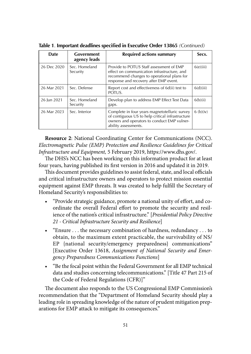| <b>Date</b> | Government<br>agency leads | Required actions summary                                                                                                                                                        | Secs.     |
|-------------|----------------------------|---------------------------------------------------------------------------------------------------------------------------------------------------------------------------------|-----------|
| 26 Dec 2020 | Sec. Homeland<br>Security  | Provide to POTUS Staff assessment of EMP<br>effect on communication infrastructure, and<br>recommend changes to operational plans for<br>response and recovery after EMP event. | 6(e)(iii) |
| 26 Mar 2021 | Sec. Defense               | Report cost and effectiveness of 6d(ii) test to<br>POTUS.                                                                                                                       | 6(d)(iii) |
| 26 Jun 2021 | Sec. Homeland<br>Security  | Develop plan to address EMP Effect Test Data<br>gaps.                                                                                                                           | 6(b)(ii)  |
| 26 Mar 2023 | Sec. Interior              | Complete in four years magnetotelluric survey<br>of contiguous US to help critical infrastructure<br>owners and operators to conduct EMP vulner-<br>ability assessments.        | 6(b)(iv)  |

**Table 1**. **Important deadlines specified in Executive Order 13865** *(Continued)*

**Resource 2**: National Coordinating Center for Communications (NCC). *Electromagnetic Pulse (EMP) Protection and Resilience Guidelines for Critical Infrastructure and Equipment,* 5 February 2019, [https://www.dhs.gov/.](https://www.dhs.gov/)

The DHS's NCC has been working on this information product for at least four years, having published its first version in 2016 and updated it in 2019.

This document provides guidelines to assist federal, state, and local officials and critical infrastructure owners and operators to protect mission essential equipment against EMP threats. It was created to help fulfill the Secretary of Homeland Security's responsibilities to:

- "Provide strategic guidance, promote a national unity of effort, and coordinate the overall Federal effort to promote the security and resilience of the nation's critical infrastructure." [*Presidential Policy Directive 21 - Critical Infrastructure Security and Resilience*]
- "Ensure . . . the necessary combination of hardness, redundancy . . . to obtain, to the maximum extent practicable, the survivability of NS/ EP {national security/emergency preparedness} communications" [Executive Order 13618, *Assignment of National Security and Emergency Preparedness Communications Functions*]
- "Be the focal point within the Federal Government for all EMP technical data and studies concerning telecommunications." [Title 47 Part 215 of the Code of Federal Regulations (CFR)]"

The document also responds to the US Congressional EMP Commission's recommendation that the "Department of Homeland Security should play a leading role in spreading knowledge of the nature of prudent mitigation preparations for EMP attack to mitigate its consequences."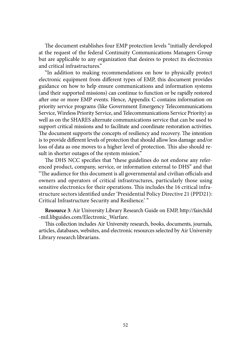The document establishes four EMP protection levels "initially developed at the request of the federal Continuity Communications Managers Group but are applicable to any organization that desires to protect its electronics and critical infrastructures."

"In addition to making recommendations on how to physically protect electronic equipment from different types of EMP, this document provides guidance on how to help ensure communications and information systems (and their supported missions) can continue to function or be rapidly restored after one or more EMP events. Hence, Appendix C contains information on priority service programs (like Government Emergency Telecommunications Service, Wireless Priority Service, and Telecommunications Service Priority) as well as on the SHARES alternate communications service that can be used to support critical missions and to facilitate and coordinate restoration activities. The document supports the concepts of resiliency and recovery. The intention is to provide different levels of protection that should allow less damage and/or loss of data as one moves to a higher level of protection. This also should result in shorter outages of the system mission."

The DHS NCC specifies that "these guidelines do not endorse any referenced product, company, service, or information external to DHS" and that "The audience for this document is all governmental and civilian officials and owners and operators of critical infrastructures, particularly those using sensitive electronics for their operations. This includes the 16 critical infrastructure sectors identified under 'Presidential Policy Directive 21 (PPD21): Critical Infrastructure Security and Resilience.' "

**Resource 3**: Air University Library Research Guide on EMP, [http://fairchild](http://fairchild-mil.libguides.com/Electronic_Warfare) [-mil.libguides.com/Electronic\\_Warfare.](http://fairchild-mil.libguides.com/Electronic_Warfare)

This collection includes Air University research, books, documents, journals, articles, databases, websites, and electronic resources selected by Air University Library research librarians.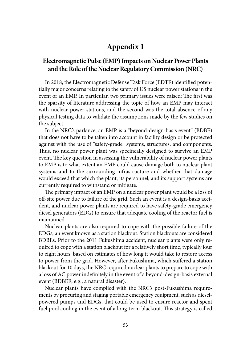# **[Appendix 1](#page-6-0)**

## **[Electromagnetic Pulse \(EMP\) Impacts on Nuclear Power Plants](#page-6-0)  [and the Role of the Nuclear Regulatory Commission \(NRC\)](#page-6-0)**

In 2018, the Electromagnetic Defense Task Force (EDTF) identified potentially major concerns relating to the safety of US nuclear power stations in the event of an EMP. In particular, two primary issues were raised: The first was the sparsity of literature addressing the topic of how an EMP may interact with nuclear power stations, and the second was the total absence of any physical testing data to validate the assumptions made by the few studies on the subject.

In the NRC's parlance, an EMP is a "beyond-design-basis event" (BDBE) that does not have to be taken into account in facility design or be protected against with the use of "safety-grade" systems, structures, and components. Thus, no nuclear power plant was specifically designed to survive an EMP event. The key question in assessing the vulnerability of nuclear power plants to EMP is to what extent an EMP could cause damage both to nuclear plant systems and to the surrounding infrastructure and whether that damage would exceed that which the plant, its personnel, and its support systems are currently required to withstand or mitigate.

The primary impact of an EMP on a nuclear power plant would be a loss of off-site power due to failure of the grid. Such an event is a design-basis accident, and nuclear power plants are required to have safety-grade emergency diesel generators (EDG) to ensure that adequate cooling of the reactor fuel is maintained.

Nuclear plants are also required to cope with the possible failure of the EDGs, an event known as a station blackout. Station blackouts are considered BDBEs. Prior to the 2011 Fukushima accident, nuclear plants were only required to cope with a station blackout for a relatively short time, typically four to eight hours, based on estimates of how long it would take to restore access to power from the grid. However, after Fukushima, which suffered a station blackout for 10 days, the NRC required nuclear plants to prepare to cope with a loss of AC power indefinitely in the event of a beyond-design-basis external event (BDBEE; e.g., a natural disaster).

Nuclear plants have complied with the NRC's post-Fukushima requirements by procuring and staging portable emergency equipment, such as dieselpowered pumps and EDGs, that could be used to ensure reactor and spent fuel pool cooling in the event of a long-term blackout. This strategy is called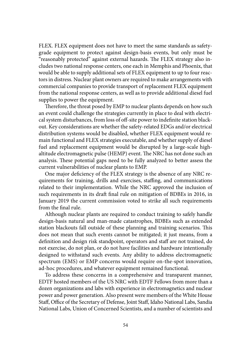FLEX. FLEX equipment does not have to meet the same standards as safetygrade equipment to protect against design-basis events, but only must be "reasonably protected" against external hazards. The FLEX strategy also includes two national response centers, one each in Memphis and Phoenix, that would be able to supply additional sets of FLEX equipment to up to four reactors in distress. Nuclear plant owners are required to make arrangements with commercial companies to provide transport of replacement FLEX equipment from the national response centers, as well as to provide additional diesel fuel supplies to power the equipment.

Therefore, the threat posed by EMP to nuclear plants depends on how such an event could challenge the strategies currently in place to deal with electrical system disturbances, from loss of off-site power to indefinite station blackout. Key considerations are whether the safety-related EDGs and/or electrical distribution systems would be disabled, whether FLEX equipment would remain functional and FLEX strategies executable, and whether supply of diesel fuel and replacement equipment would be disrupted by a large-scale highaltitude electromagnetic pulse (HEMP) event. The NRC has not done such an analysis. These potential gaps need to be fully analyzed to better assess the current vulnerabilities of nuclear plants to EMP.

One major deficiency of the FLEX strategy is the absence of any NRC requirements for training, drills and exercises, staffing, and communications related to their implementation. While the NRC approved the inclusion of such requirements in its draft final rule on mitigation of BDBEs in 2016, in January 2019 the current commission voted to strike all such requirements from the final rule.

Although nuclear plants are required to conduct training to safely handle design-basis natural and man-made catastrophes, BDBEs such as extended station blackouts fall outside of these planning and training scenarios. This does not mean that such events cannot be mitigated; it just means, from a definition and design risk standpoint, operators and staff are not trained, do not exercise, do not plan, or do not have facilities and hardware intentionally designed to withstand such events. Any ability to address electromagnetic spectrum (EMS) or EMP concerns would require on-the-spot innovation, ad-hoc procedures, and whatever equipment remained functional.

To address these concerns in a comprehensive and transparent manner, EDTF hosted members of the US NRC with EDTF Fellows from more than a dozen organizations and labs with experience in electromagnetics and nuclear power and power generation. Also present were members of the White House Staff, Office of the Secretary of Defense, Joint Staff, Idaho National Labs, Sandia National Labs, Union of Concerned Scientists, and a number of scientists and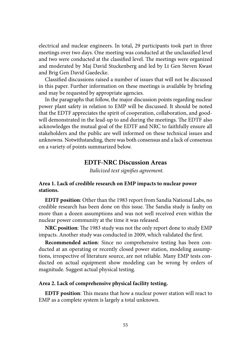electrical and nuclear engineers. In total, 29 participants took part in three meetings over two days. One meeting was conducted at the unclassified level and two were conducted at the classified level. The meetings were organized and moderated by Maj David Stuckenberg and led by Lt Gen Steven Kwast and Brig Gen David Gaedecke.

Classified discussions raised a number of issues that will not be discussed in this paper. Further information on these meetings is available by briefing and may be requested by appropriate agencies.

In the paragraphs that follow, the major discussion points regarding nuclear power plant safety in relation to EMP will be discussed. It should be noted that the EDTF appreciates the spirit of cooperation, collaboration, and goodwill demonstrated in the lead-up to and during the meetings. The EDTF also acknowledges the mutual goal of the EDTF and NRC to faithfully ensure all stakeholders and the public are well informed on these technical issues and unknowns. Notwithstanding, there was both consensus and a lack of consensus on a variety of points summarized below.

## **EDTF-NRC Discussion Areas**

 *Italicized text signifies agreement.*

### **Area 1. Lack of credible research on EMP impacts to nuclear power stations.**

**EDTF position**: Other than the 1983 report from Sandia National Labs, no credible research has been done on this issue. The Sandia study is faulty on more than a dozen assumptions and was not well received even within the nuclear power community at the time it was released.

**NRC position**: The 1983 study was not the only report done to study EMP impacts. Another study was conducted in 2009, which validated the first.

**Recommended action**: Since no comprehensive testing has been conducted at an operating or recently closed power station, modeling assumptions, irrespective of literature source, are not reliable. Many EMP tests conducted on actual equipment show modeling can be wrong by orders of magnitude. Suggest actual physical testing.

#### **Area 2. Lack of comprehensive physical facility testing.**

**EDTF position**: This means that how a nuclear power station will react to EMP as a complete system is largely a total unknown.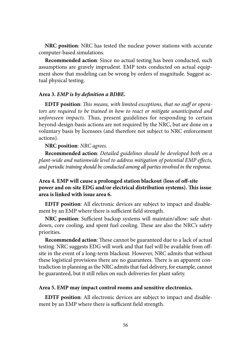**NRC position**: NRC has tested the nuclear power stations with accurate computer-based simulations.

**Recommended action**: Since no actual testing has been conducted, such assumptions are gravely imprudent. EMP tests conducted on actual equipment show that modeling can be wrong by orders of magnitude. Suggest actual physical testing.

#### **Area 3.** *EMP is by definition a BDBE.*

**EDTF position**: *This means, with limited exceptions, that no staff or operators are required to be trained in how to react or mitigate unanticipated and unforeseen impacts.* Thus, present guidelines for responding to certain beyond-design-basis actions are not required by the NRC, but are done on a voluntary basis by licensees (and therefore not subject to NRC enforcement actions).

#### **NRC position**: *NRC agrees*.

**Recommended action**: *Detailed guidelines should be developed both on a plant-wide and nationwide level to address mitigation of potential EMP effects, and periodic training should be conducted among all parties involved in the response*.

## **Area 4. EMP will cause a prolonged station blackout (loss of off-site power and on-site EDG and/or electrical distribution systems). This issue area is linked with issue area 6.**

**EDTF position**: All electronic devices are subject to impact and disablement by an EMP where there is sufficient field strength.

**NRC position**: Sufficient backup systems will maintain/allow: safe shutdown, core cooling, and spent fuel cooling. These are also the NRC's safety priorities.

**Recommended action**: These cannot be guaranteed due to a lack of actual testing. NRC suggests EDG will work and that fuel will be available from offsite in the event of a long-term blackout. However, NRC admits that without these logistical provisions there are no guarantees. There is an apparent contradiction in planning as the NRC admits that fuel delivery, for example, cannot be guaranteed, but it still relies on such deliveries for plant safety.

#### **Area 5. EMP may impact control rooms and sensitive electronics.**

**EDTF position**: All electronic devices are subject to impact and disablement by an EMP where there is sufficient field strength.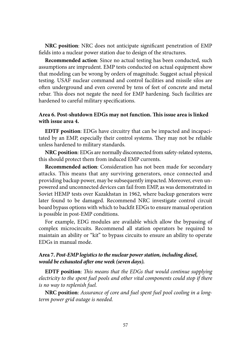**NRC position**: NRC does not anticipate significant penetration of EMP fields into a nuclear power station due to design of the structures.

**Recommended action**: Since no actual testing has been conducted, such assumptions are imprudent. EMP tests conducted on actual equipment show that modeling can be wrong by orders of magnitude. Suggest actual physical testing. USAF nuclear command and control facilities and missile silos are often underground and even covered by tens of feet of concrete and metal rebar. This does not negate the need for EMP hardening. Such facilities are hardened to careful military specifications.

### **Area 6. Post-shutdown EDGs may not function. This issue area is linked with issue area 4.**

**EDTF position**: EDGs have circuitry that can be impacted and incapacitated by an EMP, especially their control systems. They may not be reliable unless hardened to military standards.

**NRC position**: EDGs are normally disconnected from safety-related systems, this should protect them from induced EMP currents.

**Recommended action**: Consideration has not been made for secondary attacks. This means that any surviving generators, once connected and providing backup power, may be subsequently impacted. Moreover, even unpowered and unconnected devices can fail from EMP, as was demonstrated in Soviet HEMP tests over Kazakhstan in 1962, where backup generators were later found to be damaged. Recommend NRC investigate control circuit board bypass options with which to backfit EDGs to ensure manual operation is possible in post-EMP conditions.

For example, EDG modules are available which allow the bypassing of complex microcircuits. Recommend all station operators be required to maintain an ability or "kit" to bypass circuits to ensure an ability to operate EDGs in manual mode.

## **Area 7.** *Post-EMP logistics to the nuclear power station, including diesel, would be exhausted after one week (seven days).*

**EDTF position**: *This means that the EDGs that would continue supplying electricity to the spent fuel pools and other vital components could stop if there is no way to replenish fuel.*

**NRC position**: *Assurance of core and fuel spent fuel pool cooling in a longterm power grid outage is needed.*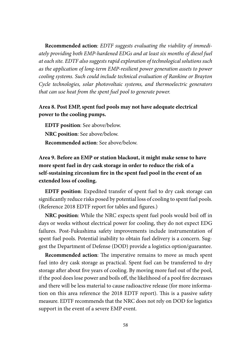**Recommended action**: *EDTF suggests evaluating the viability of immediately providing both EMP-hardened EDGs and at least six months of diesel fuel at each site. EDTF also suggests rapid exploration of technological solutions such as the application of long-term EMP-resilient power generation assets to power cooling systems. Such could include technical evaluation of Rankine or Brayton Cycle technologies, solar photovoltaic systems, and thermoelectric generators that can use heat from the spent fuel pool to generate power.*

## **Area 8. Post EMP, spent fuel pools may not have adequate electrical power to the cooling pumps.**

**EDTF position**: See above/below. **NRC position**: See above/below. **Recommended action**: See above/below.

**Area 9. Before an EMP or station blackout, it might make sense to have more spent fuel in dry cask storage in order to reduce the risk of a self-sustaining zirconium fire in the spent fuel pool in the event of an extended loss of cooling.**

**EDTF position**: Expedited transfer of spent fuel to dry cask storage can significantly reduce risks posed by potential loss of cooling to spent fuel pools. (Reference 2018 EDTF report for tables and figures.)

**NRC position**: While the NRC expects spent fuel pools would boil off in days or weeks without electrical power for cooling, they do not expect EDG failures. Post-Fukushima safety improvements include instrumentation of spent fuel pools. Potential inability to obtain fuel delivery is a concern. Suggest the Department of Defense (DOD) provide a logistics option/guarantee.

**Recommended action**: The imperative remains to move as much spent fuel into dry cask storage as practical. Spent fuel can be transferred to dry storage after about five years of cooling. By moving more fuel out of the pool, if the pool does lose power and boils off, the likelihood of a pool fire decreases and there will be less material to cause radioactive release (for more information on this area reference the 2018 EDTF report). This is a passive safety measure. EDTF recommends that the NRC does not rely on DOD for logistics support in the event of a severe EMP event.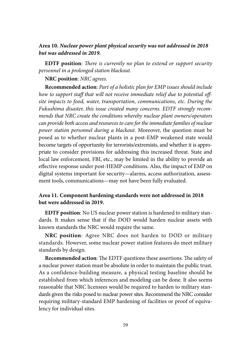### **Area 10.** *Nuclear power plant physical security was not addressed in 2018 but was addressed in 2019.*

**EDTF position**: *There is currently no plan to extend or support security personnel in a prolonged station blackout.*

#### **NRC position**: *NRC agrees.*

**Recommended action**: *Part of a holistic plan for EMP issues should include how to support staff that will not receive immediate relief due to potential offsite impacts to food, water, transportation, communications, etc. During the Fukushima disaster, this issue created many concerns. EDTF strongly recommends that NRC create the conditions whereby nuclear plant owners/operators can provide both access and resources to care for the immediate families of nuclear power station personnel during a blackout.* Moreover, the question must be posed as to whether nuclear plants in a post-EMP weakened state would become targets of opportunity for terrorists/extremists, and whether it is appropriate to consider provisions for addressing this increased threat. State and local law enforcement, FBI, etc., may be limited in the ability to provide an effective response under post-HEMP conditions. Also, the impact of EMP on digital systems important for security—alarms, access authorization, assessment tools, communications—may not have been fully evaluated.

## **Area 11. Component hardening standards were not addressed in 2018 but were addressed in 2019.**

**EDTF position**: No US nuclear power station is hardened to military standards. It makes sense that if the DOD would harden nuclear assets with known standards the NRC would require the same.

**NRC position**: Agree NRC does not harden to DOD or military standards. However, some nuclear power station features do meet military standards by design.

**Recommended action**: The EDTF questions these assertions. The safety of a nuclear power station must be absolute in order to maintain the public trust. As a confidence-building measure, a physical testing baseline should be established from which inferences and modeling can be done. It also seems reasonable that NRC licensees would be required to harden to military standards given the risks posed to nuclear power sites. Recommend the NRC consider requiring military-standard EMP hardening of facilities or proof of equivalency for individual sites.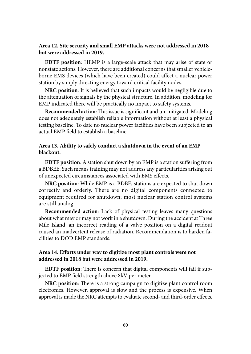### **Area 12. Site security and small EMP attacks were not addressed in 2018 but were addressed in 2019.**

**EDTF position**: HEMP is a large-scale attack that may arise of state or nonstate actions. However, there are additional concerns that smaller vehicleborne EMS devices (which have been created) could affect a nuclear power station by simply directing energy toward critical facility nodes.

**NRC position**: It is believed that such impacts would be negligible due to the attenuation of signals by the physical structure. In addition, modeling for EMP indicated there will be practically no impact to safety systems.

**Recommended action**: This issue is significant and un-mitigated. Modeling does not adequately establish reliable information without at least a physical testing baseline. To date no nuclear power facilities have been subjected to an actual EMP field to establish a baseline.

### **Area 13. Ability to safely conduct a shutdown in the event of an EMP blackout.**

**EDTF position**: A station shut down by an EMP is a station suffering from a BDBEE. Such means training may not address any particularities arising out of unexpected circumstances associated with EMS effects.

**NRC position**: While EMP is a BDBE, stations are expected to shut down correctly and orderly. There are no digital components connected to equipment required for shutdown; most nuclear station control systems are still analog.

**Recommended action**: Lack of physical testing leaves many questions about what may or may not work in a shutdown. During the accident at Three Mile Island, an incorrect reading of a valve position on a digital readout caused an inadvertent release of radiation. Recommendation is to harden facilities to DOD EMP standards.

### **Area 14. Efforts under way to digitize most plant controls were not addressed in 2018 but were addressed in 2019.**

**EDTF position**: There is concern that digital components will fail if subjected to EMP field strength above 8kV per meter.

**NRC position**: There is a strong campaign to digitize plant control room electronics. However, approval is slow and the process is expensive. When approval is made the NRC attempts to evaluate second- and third-order effects.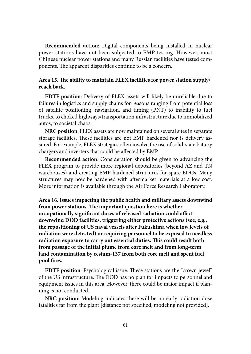**Recommended action**: Digital components being installed in nuclear power stations have not been subjected to EMP testing. However, most Chinese nuclear power stations and many Russian facilities have tested components. The apparent disparities continue to be a concern.

### **Area 15. The ability to maintain FLEX facilities for power station supply/ reach back.**

**EDTF position**: Delivery of FLEX assets will likely be unreliable due to failures in logistics and supply chains for reasons ranging from potential loss of satellite positioning, navigation, and timing (PNT) to inability to fuel trucks, to choked highways/transportation infrastructure due to immobilized autos, to societal chaos.

**NRC position**: FLEX assets are now maintained on several sites in separate storage facilities. These facilities are not EMP hardened nor is delivery assured. For example, FLEX strategies often involve the use of solid-state battery chargers and inverters that could be affected by EMP.

**Recommended action**: Consideration should be given to advancing the FLEX program to provide more regional depositories (beyond AZ and TN warehouses) and creating EMP-hardened structures for spare EDGs. Many structures may now be hardened with aftermarket materials at a low cost. More information is available through the Air Force Research Laboratory.

**Area 16. Issues impacting the public health and military assets downwind from power stations. The important question here is whether occupationally significant doses of released radiation could affect downwind DOD facilities, triggering either protective actions (see, e.g., the repositioning of US naval vessels after Fukushima when low levels of radiation were detected) or requiring personnel to be exposed to needless radiation exposure to carry out essential duties. This could result both from passage of the initial plume from core melt and from long-term land contamination by cesium-137 from both core melt and spent fuel pool fires.**

**EDTF position**: Psychological issue. These stations are the "crown jewel" of the US infrastructure. The DOD has no plan for impacts to personnel and equipment issues in this area. However, there could be major impact if planning is not conducted.

**NRC position**: Modeling indicates there will be no early radiation dose fatalities far from the plant [distance not specified; modeling not provided].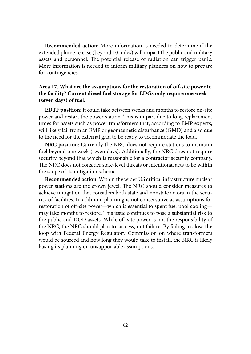**Recommended action**: More information is needed to determine if the extended plume release (beyond 10 miles) will impact the public and military assets and personnel. The potential release of radiation can trigger panic. More information is needed to inform military planners on how to prepare for contingencies.

## **Area 17. What are the assumptions for the restoration of off-site power to the facility? Current diesel fuel storage for EDGs only require one week (seven days) of fuel.**

**EDTF position**: It could take between weeks and months to restore on-site power and restart the power station. This is in part due to long replacement times for assets such as power transformers that, according to EMP experts, will likely fail from an EMP or geomagnetic disturbance (GMD) and also due to the need for the external grid to be ready to accommodate the load.

**NRC position**: Currently the NRC does not require stations to maintain fuel beyond one week (seven days). Additionally, the NRC does not require security beyond that which is reasonable for a contractor security company. The NRC does not consider state-level threats or intentional acts to be within the scope of its mitigation schema.

**Recommended action**: Within the wider US critical infrastructure nuclear power stations are the crown jewel. The NRC should consider measures to achieve mitigation that considers both state and nonstate actors in the security of facilities. In addition, planning is not conservative as assumptions for restoration of off-site power—which is essential to spent fuel pool cooling may take months to restore. This issue continues to pose a substantial risk to the public and DOD assets. While off-site power is not the responsibility of the NRC, the NRC should plan to success, not failure. By failing to close the loop with Federal Energy Regulatory Commission on where transformers would be sourced and how long they would take to install, the NRC is likely basing its planning on unsupportable assumptions.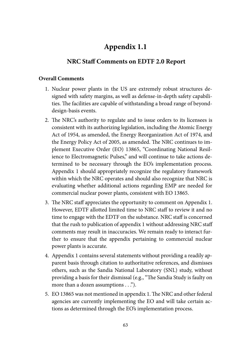# **[Appendix 1.1](#page-6-0)**

## **[NRC Staff Comments on EDTF 2.0 Report](#page-6-0)**

#### **Overall Comments**

- 1. Nuclear power plants in the US are extremely robust structures designed with safety margins, as well as defense-in-depth safety capabilities. The facilities are capable of withstanding a broad range of beyonddesign-basis events.
- 2. The NRC's authority to regulate and to issue orders to its licensees is consistent with its authorizing legislation, including the Atomic Energy Act of 1954, as amended, the Energy Reorganization Act of 1974, and the Energy Policy Act of 2005, as amended. The NRC continues to implement Executive Order (EO) 13865, "Coordinating National Resilience to Electromagnetic Pulses," and will continue to take actions determined to be necessary through the EO's implementation process. Appendix 1 should appropriately recognize the regulatory framework within which the NRC operates and should also recognize that NRC is evaluating whether additional actions regarding EMP are needed for commercial nuclear power plants, consistent with EO 13865.
- 3. The NRC staff appreciates the opportunity to comment on Appendix 1. However, EDTF allotted limited time to NRC staff to review it and no time to engage with the EDTF on the substance. NRC staff is concerned that the rush to publication of appendix 1 without addressing NRC staff comments may result in inaccuracies. We remain ready to interact further to ensure that the appendix pertaining to commercial nuclear power plants is accurate.
- 4. Appendix 1 contains several statements without providing a readily apparent basis through citation to authoritative references, and dismisses others, such as the Sandia National Laboratory (SNL) study, without providing a basis for their dismissal (e.g., "The Sandia Study is faulty on more than a dozen assumptions . . .").
- 5. EO 13865 was not mentioned in appendix 1. The NRC and other federal agencies are currently implementing the EO and will take certain actions as determined through the EO's implementation process.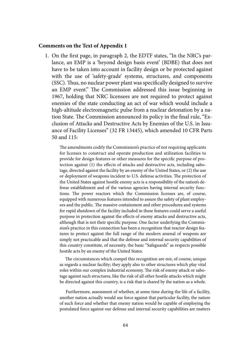## **Comments on the Text of Appendix 1**

1. On the first page, in paragraph 2, the EDTF states, "In the NRC's parlance, an EMP is a 'beyond design basis event' (BDBE) that does not have to be taken into account in facility design or be protected against with the use of 'safety-grade' systems, structures, and components (SSC). Thus, no nuclear power plant was specifically designed to survive an EMP event." The Commission addressed this issue beginning in 1967, holding that NRC licensees are not required to protect against enemies of the state conducting an act of war which would include a high-altitude electromagnetic pulse from a nuclear detonation by a nation State. The Commission announced its policy in the final rule, "Exclusion of Attacks and Destructive Acts by Enemies of the U.S. in Issuance of Facility Licenses" (32 FR 13445), which amended 10 CFR Parts 50 and 115:

 The amendments codify the Commission's practice of not requiring applicants for licenses to construct and operate production and utilization facilities to provide for design features or other measures for the specific purpose of protection against (1) the effects of attacks and destructive acts, including sabotage, directed against the facility by an enemy of the United States, or (2) the use or deployment of weapons incident to U.S. defense activities. The protection of the United States against hostile enemy acts is a responsibility of the nation's defense establishment and of the various agencies having internal security functions. The power reactors which the Commission licenses are, of course, equipped with numerous features intended to assure the safety of plant employees and the public. The massive containment and other procedures and systems for rapid shutdown of the facility included in these features could serve a useful purpose in protection against the effects of enemy attacks and destructive acts, although that is not their specific purpose. One factor underlying the Commission's practice in this connection has been a recognition that reactor design features to protect against the full range of the modern arsenal of weapons are simply not practicable and that the defense and internal security capabilities of this country constitute, of necessity, the basic "Safeguards" as respects possible hostile acts by an enemy of the United States.

 The circumstances which compel this recognition are not, of course, unique as regards a nuclear facility; they apply also to other structures which play vital roles within our complex industrial economy. The risk of enemy attack or sabotage against such structures, like the risk of all other hostile attacks which might be directed against this country, is a risk that is shared by the nation as a whole.

 Furthermore, assessment of whether, at some time during the life of a facility, another nation actually would use force against that particular facility, the nature of such force and whether that enemy nation would be capable of employing the postulated force against our defense and internal security capabilities are matters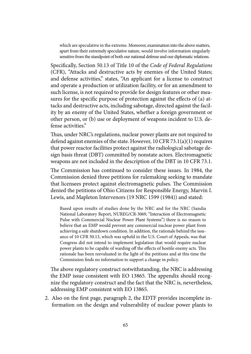which are speculative in the extreme. Moreover, examination into the above matters, apart from their extremely speculative nature, would involve information singularly sensitive from the standpoint of both our national defense and our diplomatic relations.

 Specifically, Section 50.13 of Title 10 of the *Code of Federal Regulations* (CFR), "Attacks and destructive acts by enemies of the United States; and defense activities," states, "An applicant for a license to construct and operate a production or utilization facility, or for an amendment to such license, is not required to provide for design features or other measures for the specific purpose of protection against the effects of (a) attacks and destructive acts, including sabotage, directed against the facility by an enemy of the United States, whether a foreign government or other person, or (b) use or deployment of weapons incident to U.S. defense activities."

 Thus, under NRC's regulations, nuclear power plants are not required to defend against enemies of the state. However, 10 CFR 73.1(a)(1) requires that power reactor facilities protect against the radiological sabotage design basis threat (DBT) committed by nonstate actors. Electromagnetic weapons are not included in the description of the DBT in 10 CFR 73.1.

 The Commission has continued to consider these issues. In 1984, the Commission denied three petitions for rulemaking seeking to mandate that licensees protect against electromagnetic pulses. The Commission denied the petitions of Ohio Citizens for Responsible Energy, Marvin I. Lewis, and Mapleton Intervenors (19 NRC 1599 (1984)) and stated:

Based upon results of studies done by the NRC and for the NRC (Sandia National Laboratory Report, NUREG/CR-3069, "Interaction of Electromagnetic Pulse with Commercial Nuclear Power Plant Systems") there is no reason to believe that an EMP would prevent any commercial nuclear power plant from achieving a safe shutdown condition. In addition, the rationale behind the issuance of 10 CFR 50.13, which was upheld in the U.S. Court of Appeals, was that Congress did not intend to implement legislation that would require nuclear power plants to be capable of warding off the effects of hostile enemy acts. This rationale has been reevaluated in the light of the petitions and at this time the Commission finds no information to support a change in policy.

 The above regulatory construct notwithstanding, the NRC is addressing the EMP issue consistent with EO 13865. The appendix should recognize the regulatory construct and the fact that the NRC is, nevertheless, addressing EMP consistent with EO 13865.

2. Also on the first page, paragraph 2, the EDTF provides incomplete information on the design and vulnerability of nuclear power plants to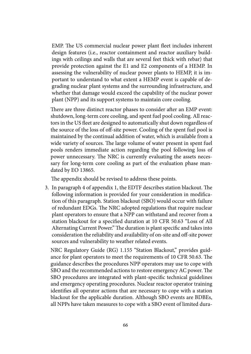EMP. The US commercial nuclear power plant fleet includes inherent design features (i.e., reactor containment and reactor auxiliary buildings with ceilings and walls that are several feet thick with rebar) that provide protection against the E1 and E2 components of a HEMP. In assessing the vulnerability of nuclear power plants to HEMP, it is important to understand to what extent a HEMP event is capable of degrading nuclear plant systems and the surrounding infrastructure, and whether that damage would exceed the capability of the nuclear power plant (NPP) and its support systems to maintain core cooling.

 There are three distinct reactor phases to consider after an EMP event: shutdown, long-term core cooling, and spent fuel pool cooling. All reactors in the US fleet are designed to automatically shut down regardless of the source of the loss of off-site power. Cooling of the spent fuel pool is maintained by the continual addition of water, which is available from a wide variety of sources. The large volume of water present in spent fuel pools renders immediate action regarding the pool following loss of power unnecessary. The NRC is currently evaluating the assets necessary for long-term core cooling as part of the evaluation phase mandated by EO 13865.

The appendix should be revised to address these points.

3. In paragraph 4 of appendix 1, the EDTF describes station blackout. The following information is provided for your consideration in modification of this paragraph. Station blackout (SBO) would occur with failure of redundant EDGs. The NRC adopted regulations that require nuclear plant operators to ensure that a NPP can withstand and recover from a station blackout for a specified duration at 10 CFR 50.63 "Loss of All Alternating Current Power." The duration is plant specific and takes into consideration the reliability and availability of on-site and off-site power sources and vulnerability to weather related events.

 NRC Regulatory Guide (RG) 1.155 "Station Blackout," provides guidance for plant operators to meet the requirements of 10 CFR 50.63. The guidance describes the procedures NPP operators may use to cope with SBO and the recommended actions to restore emergency AC power. The SBO procedures are integrated with plant-specific technical guidelines and emergency operating procedures. Nuclear reactor operator training identifies all operator actions that are necessary to cope with a station blackout for the applicable duration. Although SBO events are BDBEs, all NPPs have taken measures to cope with a SBO event of limited dura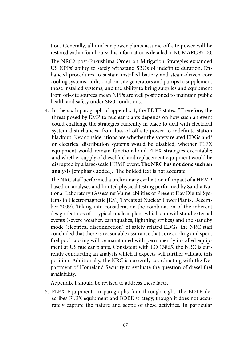tion. Generally, all nuclear power plants assume off-site power will be restored within four hours; this information is detailed in NUMARC 87-00.

 The NRC's post-Fukushima Order on Mitigation Strategies expanded US NPPs' ability to safely withstand SBOs of indefinite duration. Enhanced procedures to sustain installed battery and steam-driven core cooling systems, additional on-site generators and pumps to supplement those installed systems, and the ability to bring supplies and equipment from off-site sources mean NPPs are well positioned to maintain public health and safety under SBO conditions.

4. In the sixth paragraph of appendix 1, the EDTF states: "Therefore, the threat posed by EMP to nuclear plants depends on how such an event could challenge the strategies currently in place to deal with electrical system disturbances, from loss of off-site power to indefinite station blackout. Key considerations are whether the safety related EDGs and/ or electrical distribution systems would be disabled; whether FLEX equipment would remain functional and FLEX strategies executable; and whether supply of diesel fuel and replacement equipment would be disrupted by a large-scale HEMP event. **The NRC has not done such an analysis** [emphasis added]." The bolded text is not accurate.

 The NRC staff performed a preliminary evaluation of impact of a HEMP based on analyses and limited physical testing performed by Sandia National Laboratory (Assessing Vulnerabilities of Present Day Digital Systems to Electromagnetic [EM] Threats at Nuclear Power Plants, December 2009). Taking into consideration the combination of the inherent design features of a typical nuclear plant which can withstand external events (severe weather, earthquakes, lightning strikes) and the standby mode (electrical disconnection) of safety related EDGs, the NRC staff concluded that there is reasonable assurance that core cooling and spent fuel pool cooling will be maintained with permanently installed equipment at US nuclear plants. Consistent with EO 13865, the NRC is currently conducting an analysis which it expects will further validate this position. Additionally, the NRC is currently coordinating with the Department of Homeland Security to evaluate the question of diesel fuel availability.

Appendix 1 should be revised to address these facts.

5. FLEX Equipment: In paragraphs four through eight, the EDTF describes FLEX equipment and BDBE strategy, though it does not accurately capture the nature and scope of these activities. In particular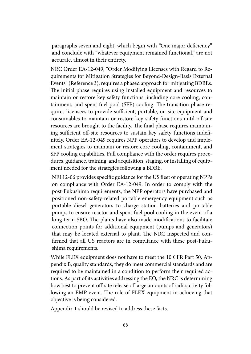paragraphs seven and eight, which begin with "One major deficiency" and conclude with "whatever equipment remained functional," are not accurate, almost in their entirety.

 NRC Order EA-12-049, "Order Modifying Licenses with Regard to Requirements for Mitigation Strategies for Beyond-Design-Basis External Events" (Reference 3), requires a phased approach for mitigating BDBEs. The initial phase requires using installed equipment and resources to maintain or restore key safety functions, including core cooling, containment, and spent fuel pool (SFP) cooling. The transition phase requires licensees to provide sufficient, portable, on-site equipment and consumables to maintain or restore key safety functions until off-site resources are brought to the facility. The final phase requires maintaining sufficient off-site resources to sustain key safety functions indefinitely. Order EA-12-049 requires NPP operators to develop and implement strategies to maintain or restore core cooling, containment, and SFP cooling capabilities. Full compliance with the order requires procedures, guidance, training, and acquisition, staging, or installing of equipment needed for the strategies following a BDBE.

 NEI 12-06 provides specific guidance for the US fleet of operating NPPs on compliance with Order EA-12-049. In order to comply with the post-Fukushima requirements, the NPP operators have purchased and positioned non-safety-related portable emergency equipment such as portable diesel generators to charge station batteries and portable pumps to ensure reactor and spent fuel pool cooling in the event of a long-term SBO. The plants have also made modifications to facilitate connection points for additional equipment (pumps and generators) that may be located external to plant. The NRC inspected and confirmed that all US reactors are in compliance with these post-Fukushima requirements.

 While FLEX equipment does not have to meet the 10 CFR Part 50, Appendix B, quality standards, they do meet commercial standards and are required to be maintained in a condition to perform their required actions. As part of its activities addressing the EO, the NRC is determining how best to prevent off-site release of large amounts of radioactivity following an EMP event. The role of FLEX equipment in achieving that objective is being considered.

Appendix 1 should be revised to address these facts.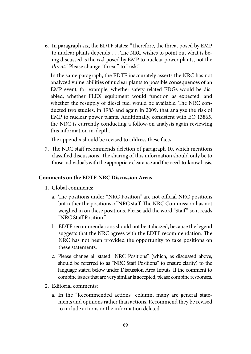6. In paragraph six, the EDTF states: "Therefore, the threat posed by EMP to nuclear plants depends . . . The NRC wishes to point out what is being discussed is the *risk* posed by EMP to nuclear power plants, not the *threat*." Please change "threat" to "risk."

 In the same paragraph, the EDTF inaccurately asserts the NRC has not analyzed vulnerabilities of nuclear plants to possible consequences of an EMP event, for example, whether safety-related EDGs would be disabled, whether FLEX equipment would function as expected, and whether the resupply of diesel fuel would be available. The NRC conducted two studies, in 1983 and again in 2009, that analyze the risk of EMP to nuclear power plants. Additionally, consistent with EO 13865, the NRC is currently conducting a follow-on analysis again reviewing this information in-depth.

The appendix should be revised to address these facts.

7. The NRC staff recommends deletion of paragraph 10, which mentions classified discussions. The sharing of this information should only be to those individuals with the appropriate clearance and the need-to-know basis.

### **Comments on the EDTF-NRC Discussion Areas**

- 1. Global comments:
	- a. The positions under "NRC Position" are not official NRC positions but rather the positions of NRC staff. The NRC Commission has not weighed in on these positions. Please add the word "Staff" so it reads "NRC Staff Position."
	- b. EDTF recommendations should not be italicized, because the legend suggests that the NRC agrees with the EDTF recommendation. The NRC has not been provided the opportunity to take positions on these statements.
	- c. Please change all stated "NRC Positions" (which, as discussed above, should be referred to as "NRC Staff Positions" to ensure clarity) to the language stated below under Discussion Area Inputs. If the comment to combine issues that are very similar is accepted, please combine responses.
- 2. Editorial comments:
	- a. In the "Recommended actions" column, many are general statements and opinions rather than actions. Recommend they be revised to include actions or the information deleted.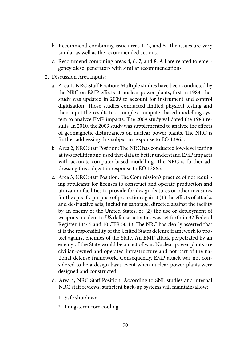- b. Recommend combining issue areas 1, 2, and 5. The issues are very similar as well as the recommended actions.
- c. Recommend combining areas 4, 6, 7, and 8. All are related to emergency diesel generators with similar recommendations.
- 2. Discussion Area Inputs:
	- a. Area 1, NRC Staff Position: Multiple studies have been conducted by the NRC on EMP effects at nuclear power plants, first in 1983; that study was updated in 2009 to account for instrument and control digitization. Those studies conducted limited physical testing and then input the results to a complex computer-based modelling system to analyze EMP impacts. The 2009 study validated the 1983 results. In 2010, the 2009 study was supplemented to analyze the effects of geomagnetic disturbances on nuclear power plants. The NRC is further addressing this subject in response to EO 13865.
	- b. Area 2, NRC Staff Position: The NRC has conducted low-level testing at two facilities and used that data to better understand EMP impacts with accurate computer-based modelling. The NRC is further addressing this subject in response to EO 13865.
	- c. Area 3, NRC Staff Position: The Commission's practice of not requiring applicants for licenses to construct and operate production and utilization facilities to provide for design features or other measures for the specific purpose of protection against (1) the effects of attacks and destructive acts, including sabotage, directed against the facility by an enemy of the United States, or (2) the use or deployment of weapons incident to US defense activities was set forth in 32 Federal Register 13445 and 10 CFR 50.13. The NRC has clearly asserted that it is the responsibility of the United States defense framework to protect against enemies of the State. An EMP attack perpetrated by an enemy of the State would be an act of war. Nuclear power plants are civilian-owned and operated infrastructure and not part of the national defense framework. Consequently, EMP attack was not considered to be a design basis event when nuclear power plants were designed and constructed.
	- d. Area 4, NRC Staff Position: According to SNL studies and internal NRC staff reviews, sufficient back-up systems will maintain/allow:
		- 1. Safe shutdown
		- 2. Long-term core cooling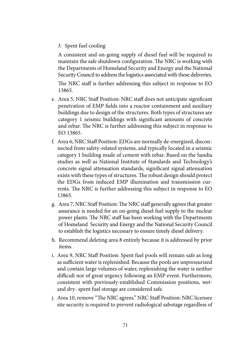3. Spent fuel cooling

 A consistent and on-going supply of diesel fuel will be required to maintain the safe shutdown configuration. The NRC is working with the Departments of Homeland Security and Energy and the National Security Council to address the logistics associated with these deliveries.

 The NRC staff is further addressing this subject in response to EO 13865.

- e. Area 5, NRC Staff Position: NRC staff does not anticipate significant penetration of EMP fields into a reactor containment and auxiliary buildings due to design of the structures. Both types of structures are category 1 seismic buildings with significant amounts of concrete and rebar. The NRC is further addressing this subject in response to EO 13865.
- f. Area 6, NRC Staff Position: EDGs are normally de-energized, disconnected from safety-related systems, and typically located in a seismic category 1 building made of cement with rebar. Based on the Sandia studies as well as National Institute of Standards and Technology's concrete signal attenuation standards, significant signal attenuation exists with these types of structures. The robust design should protect the EDGs from induced EMP illumination and transmission currents. The NRC is further addressing this subject in response to EO 13865.
- g. Area 7, NRC Staff Position: The NRC staff generally agrees that greater assurance is needed for an on-going diesel fuel supply to the nuclear power plants. The NRC staff has been working with the Departments of Homeland Security and Energy and the National Security Council to establish the logistics necessary to ensure timely diesel delivery.
- h. Recommend deleting area 8 entirely because it is addressed by prior items.
- i. Area 9, NRC Staff Position: Spent fuel pools will remain safe as long as sufficient water is replenished. Because the pools are unpressurized and contain large volumes of water, replenishing the water is neither difficult nor of great urgency following an EMP event. Furthermore, consistent with previously-established Commission positions, wetand dry- spent fuel storage are considered safe.
- j. Area 10, remove "The NRC agrees." NRC Staff Position: NRC licensee site security is required to prevent radiological sabotage regardless of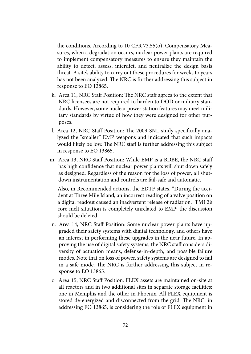the conditions. According to 10 CFR 73.55(o), Compensatory Measures, when a degradation occurs, nuclear power plants are required to implement compensatory measures to ensure they maintain the ability to detect, assess, interdict, and neutralize the design basis threat. A site's ability to carry out these procedures for weeks to years has not been analyzed. The NRC is further addressing this subject in response to EO 13865.

- k. Area 11, NRC Staff Position: The NRC staff agrees to the extent that NRC licensees are not required to harden to DOD or military standards. However, some nuclear power station features may meet military standards by virtue of how they were designed for other purposes.
- l. Area 12, NRC Staff Position: The 2009 SNL study specifically analyzed the "smaller" EMP weapons and indicated that such impacts would likely be low. The NRC staff is further addressing this subject in response to EO 13865.
- m. Area 13, NRC Staff Position: While EMP is a BDBE, the NRC staff has high confidence that nuclear power plants will shut down safely as designed. Regardless of the reason for the loss of power, all shutdown instrumentation and controls are fail-safe and automatic.

 Also, in Recommended actions, the EDTF states, "During the accident at Three Mile Island, an incorrect reading of a valve position on a digital readout caused an inadvertent release of radiation." TMI 2's core melt situation is completely unrelated to EMP; the discussion should be deleted

- n. Area 14, NRC Staff Position: Some nuclear power plants have upgraded their safety systems with digital technology, and others have an interest in performing these upgrades in the near future. In approving the use of digital safety systems, the NRC staff considers diversity of actuation means, defense-in-depth, and possible failure modes. Note that on loss of power, safety systems are designed to fail in a safe mode. The NRC is further addressing this subject in response to EO 13865.
- o. Area 15, NRC Staff Position: FLEX assets are maintained on-site at all reactors and in two additional sites in separate storage facilities: one in Memphis and the other in Phoenix. All FLEX equipment is stored de-energized and disconnected from the grid. The NRC, in addressing EO 13865, is considering the role of FLEX equipment in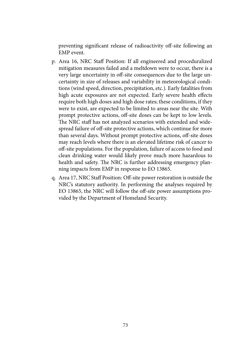preventing significant release of radioactivity off-site following an EMP event.

- p. Area 16, NRC Staff Position: If all engineered and proceduralized mitigation measures failed and a meltdown were to occur, there is a very large uncertainty in off-site consequences due to the large uncertainty in size of releases and variability in meteorological conditions (wind speed, direction, precipitation, etc.). Early fatalities from high acute exposures are not expected. Early severe health effects require both high doses and high dose rates; these conditions, if they were to exist, are expected to be limited to areas near the site. With prompt protective actions, off-site doses can be kept to low levels. The NRC staff has not analyzed scenarios with extended and widespread failure of off-site protective actions, which continue for more than several days. Without prompt protective actions, off-site doses may reach levels where there is an elevated lifetime risk of cancer to off-site populations. For the population, failure of access to food and clean drinking water would likely prove much more hazardous to health and safety. The NRC is further addressing emergency planning impacts from EMP in response to EO 13865.
- q. Area 17, NRC Staff Position: Off-site power restoration is outside the NRC's statutory authority. In performing the analyses required by EO 13865, the NRC will follow the off-site power assumptions provided by the Department of Homeland Security.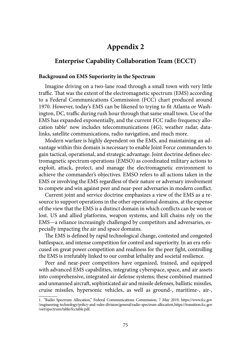## **[Appendix 2](#page-6-0)**

## **[Enterprise Capability Collaboration Team \(ECCT\)](#page-6-0)**

#### **Background on EMS Superiority in the Spectrum**

Imagine driving on a two-lane road through a small town with very little traffic. That was the extent of the electromagnetic spectrum (EMS) according to a Federal Communications Commission (FCC) chart produced around 1970. However, today's EMS can be likened to trying to fit Atlanta or Washington, DC, traffic during rush hour through that same small town. Use of the EMS has expanded exponentially, and the current [FCC radio frequency allo](https://www.fcc.gov/engineering-technology/policy-and-rules-division/general/radio-spectrum-allocation)cation table<sup>1</sup> now includes telecommunications (4G), weather radar, datalinks, satellite communications, radio navigation, and much more.

Modern warfare is highly dependent on the EMS, and maintaining an advantage within this domain is necessary to enable Joint Force commanders to gain tactical, operational, and strategic advantage. Joint doctrine defines electromagnetic spectrum operations (EMSO) as coordinated military actions to exploit, attack, protect, and manage the electromagnetic environment to achieve the commander's objectives. EMSO refers to all actions taken in the EMS or involving the EMS regardless of their nature or adversary involvement to compete and win against peer and near-peer adversaries in modern conflict.

Current joint and service doctrine emphasizes a view of the EMS as a resource to support operations in the other operational domains, at the expense of the view that the EMS is a distinct domain in which conflicts can be won or lost. US and allied platforms, weapon systems, and kill chains rely on the EMS—a reliance increasingly challenged by competitors and adversaries, especially impacting the air and space domains.

The EMS is defined by rapid technological change, contested and congested battlespace, and intense competition for control and superiority. In an era refocused on great power competition and readiness for the peer fight, controlling the EMS is irrefutably linked to our combat lethality and societal resilience.

Peer and near-peer competitors have organized, trained, and equipped with advanced EMS capabilities, integrating cyberspace, space, and air assets into comprehensive, integrated air defense systems; these combined manned and unmanned aircraft, sophisticated air and missile defenses, ballistic missiles, cruise missiles, hypersonic vehicles, as well as ground-, maritime-, air-,

<sup>1.</sup> "Radio Spectrum Allocation," Federal Communications Commission, 7 May 2019, https://www.fcc.gov /engineering-technology/policy-and-rules-division/general/radio-spectrum-allocation,https://transition.fcc.gov /oet/spectrum/table/fcctable.pdf.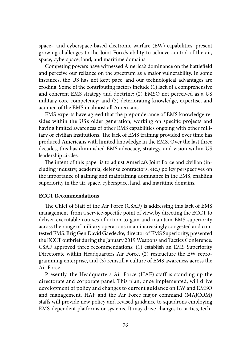space-, and cyberspace-based electronic warfare (EW) capabilities, present growing challenges to the Joint Force's ability to achieve control of the air, space, cyberspace, land, and maritime domains.

Competing powers have witnessed America's dominance on the battlefield and perceive our reliance on the spectrum as a major vulnerability. In some instances, the US has not kept pace, and our technological advantages are eroding. Some of the contributing factors include (1) lack of a comprehensive and coherent EMS strategy and doctrine; (2) EMSO not perceived as a US military core competency; and (3) deteriorating knowledge, expertise, and acumen of the EMS in almost all Americans.

EMS experts have agreed that the preponderance of EMS knowledge resides within the US's older generation, working on specific projects and having limited awareness of other EMS capabilities ongoing with other military or civilian institutions. The lack of EMS training provided over time has produced Americans with limited knowledge in the EMS. Over the last three decades, this has diminished EMS advocacy, strategy, and vision within US leadership circles.

The intent of this paper is to adjust America's Joint Force and civilian (including industry, academia, defense contractors, etc.) policy perspectives on the importance of gaining and maintaining dominance in the EMS, enabling superiority in the air, space, cyberspace, land, and maritime domains.

#### **ECCT Recommendations**

The Chief of Staff of the Air Force (CSAF) is addressing this lack of EMS management, from a service-specific point of view, by directing the ECCT to deliver executable courses of action to gain and maintain EMS superiority across the range of military operations in an increasingly congested and contested EMS. Brig Gen David Gaedecke, director of EMS Superiority, presented the ECCT outbrief during the January 2019 Weapons and Tactics Conference. CSAF approved three recommendations: (1) establish an EMS Superiority Directorate within Headquarters Air Force, (2) restructure the EW reprogramming enterprise, and (3) reinstill a culture of EMS awareness across the Air Force.

Presently, the Headquarters Air Force (HAF) staff is standing up the directorate and corporate panel. This plan, once implemented, will drive development of policy and changes to current guidance on EW and EMSO and management. HAF and the Air Force major command (MAJCOM) staffs will provide new policy and revised guidance to squadrons employing EMS-dependent platforms or systems. It may drive changes to tactics, tech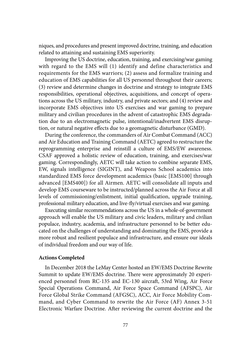niques, and procedures and present improved doctrine, training, and education related to attaining and sustaining EMS superiority.

Improving the US doctrine, education, training, and exercising/war gaming with regard to the EMS will (1) identify and define characteristics and requirements for the EMS warriors; (2) assess and formalize training and education of EMS capabilities for all US personnel throughout their careers; (3) review and determine changes in doctrine and strategy to integrate EMS responsibilities, operational objectives, acquisitions, and concept of operations across the US military, industry, and private sectors; and (4) review and incorporate EMS objectives into US exercises and war gaming to prepare military and civilian procedures in the advent of catastrophic EMS degradation due to an electromagnetic pulse, intentional/inadvertent EMS disruption, or natural negative effects due to a geomagnetic disturbance (GMD).

During the conference, the commanders of Air Combat Command (ACC) and Air Education and Training Command (AETC) agreed to restructure the reprogramming enterprise and reinstill a culture of EMS/EW awareness. CSAF approved a holistic review of education, training, and exercises/war gaming. Correspondingly, AETC will take action to combine separate EMS, EW, signals intelligence (SIGINT), and Weapons School academics into standardized EMS force development academics (basic [EMS100] through advanced [EMS400]) for all Airmen. AETC will consolidate all inputs and develop EMS courseware to be instructed/planned across the Air Force at all levels of commissioning/enlistment, initial qualification, upgrade training, professional military education, and live-fly/virtual exercises and war gaming.

Executing similar recommendations across the US in a whole-of-government approach will enable the US military and civic leaders, military and civilian populace, industry, academia, and infrastructure personnel to be better educated on the challenges of understanding and dominating the EMS, provide a more robust and resilient populace and infrastructure, and ensure our ideals of individual freedom and our way of life.

#### **Actions Completed**

In December 2018 the LeMay Center hosted an EW/EMS Doctrine Rewrite Summit to update EW/EMS doctrine. There were approximately 20 experienced personnel from RC-135 and EC-130 aircraft, 53rd Wing, Air Force Special Operations Command, Air Force Space Command (AFSPC), Air Force Global Strike Command (AFGSC), ACC, Air Force Mobility Command, and Cyber Command to rewrite the Air Force (AF) Annex 3-51 Electronic Warfare Doctrine. After reviewing the current doctrine and the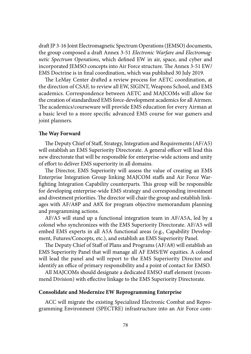draft JP 3-16 Joint Electromagnetic Spectrum Operations (JEMSO) documents, the group composed a draft Annex 3-51 *Electronic Warfare and Electromagnetic Spectrum Operations*, which defined EW in air, space, and cyber and incorporated JEMSO concepts into Air Force structure. The Annex 3-51 EW/ EMS Doctrine is in final coordination, which was published 30 July 2019.

The LeMay Center drafted a review process for AETC coordination, at the direction of CSAF, to review all EW, SIGINT, Weapons School, and EMS academics. Correspondence between AETC and MAJCOMs will allow for the creation of standardized EMS force-development academics for all Airmen. The academics/courseware will provide EMS education for every Airman at a basic level to a more specific advanced EMS course for war gamers and joint planners.

#### **The Way Forward**

The Deputy Chief of Staff, Strategy, Integration and Requirements (AF/A5) will establish an EMS Superiority Directorate. A general officer will lead this new directorate that will be responsible for enterprise-wide actions and unity of effort to deliver EMS superiority in all domains.

The Director, EMS Superiority will assess the value of creating an EMS Enterprise Integration Group linking MAJCOM staffs and Air Force Warfighting Integration Capability counterparts. This group will be responsible for developing enterprise-wide EMS strategy and corresponding investment and divestment priorities. The director will chair the group and establish linkages with AF/A8P and A8X for program objective memorandum planning and programming actions.

AF/A5 will stand up a functional integration team in AF/A5A, led by a colonel who synchronizes with the EMS Superiority Directorate. AF/A5 will embed EMS experts in all A5A functional areas (e.g., Capability Development, Futures/Concepts, etc.), and establish an EMS Superiority Panel.

The Deputy Chief of Staff of Plans and Programs (AF/A8) will establish an EMS Superiority Panel that will manage all AF EMS/EW equities. A colonel will lead the panel and will report to the EMS Superiority Director and identify an office of primary responsibility and a point of contact for EMSO.

All MAJCOMs should designate a dedicated EMSO staff element (recommend Division) with effective linkage to the EMS Superiority Directorate.

#### **Consolidate and Modernize EW Reprogramming Enterprise**

ACC will migrate the existing Specialized Electronic Combat and Reprogramming Environment (SPECTRE) infrastructure into an Air Force com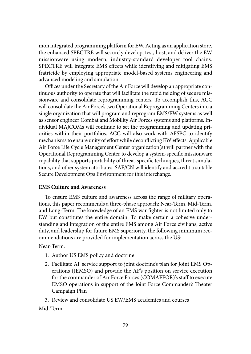mon integrated programming platform for EW. Acting as an application store, the enhanced SPECTRE will securely develop, test, host, and deliver the EW missionware using modern, industry-standard developer tool chains. SPECTRE will integrate EMS effects while identifying and mitigating EMS fratricide by employing appropriate model-based systems engineering and advanced modeling and simulation.

Offices under the Secretary of the Air Force will develop an appropriate continuous authority to operate that will facilitate the rapid fielding of secure missionware and consolidate reprogramming centers. To accomplish this, ACC will consolidate the Air Force's two Operational Reprogramming Centers into a single organization that will program and reprogram EMS/EW systems as well as sensor engineer Combat and Mobility Air Forces systems and platforms. Individual MAJCOMs will continue to set the programming and updating priorities within their portfolios. ACC will also work with AFSPC to identify mechanisms to ensure unity of effort while deconflicting EW effects. Applicable Air Force Life Cycle Management Center organization(s) will partner with the Operational Reprogramming Center to develop a system-specific missionware capability that supports portability of threat-specific techniques, threat simulations, and other system attributes. SAF/CN will identify and accredit a suitable Secure Development Ops Environment for this interchange.

#### **EMS Culture and Awareness**

To ensure EMS culture and awareness across the range of military operations, this paper recommends a three-phase approach: Near-Term, Mid-Term, and Long-Term. The knowledge of an EMS war fighter is not limited only to EW but constitutes the entire domain. To make certain a cohesive understanding and integration of the entire EMS among Air Force civilians, active duty, and leadership for future EMS superiority, the following minimum recommendations are provided for implementation across the US:

Near-Term:

- 1. Author US EMS policy and doctrine
- 2. Facilitate AF service support to joint doctrine's plan for Joint EMS Operations (JEMSO) and provide the AF's position on service execution for the commander of Air Force Forces (COMAFFOR)'s staff to execute EMSO operations in support of the Joint Force Commander's Theater Campaign Plan
- 3. Review and consolidate US EW/EMS academics and courses

Mid-Term: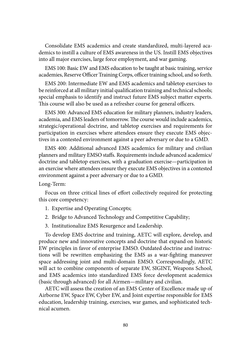Consolidate EMS academics and create standardized, multi-layered academics to instill a culture of EMS awareness in the US. Instill EMS objectives into all major exercises, large force employment, and war gaming.

EMS 100: Basic EW and EMS education to be taught at basic training, service academies, Reserve Officer Training Corps, officer training school, and so forth.

EMS 200: Intermediate EW and EMS academics and tabletop exercises to be reinforced at all military initial qualification training and technical schools; special emphasis to identify and instruct future EMS subject matter experts. This course will also be used as a refresher course for general officers.

EMS 300: Advanced EMS education for military planners, industry leaders, academia, and EMS leaders of tomorrow. The course would include academics, strategic/operational doctrine, and tabletop exercises and requirements for participation in exercises where attendees ensure they execute EMS objectives in a contested environment against a peer adversary or due to a GMD.

EMS 400: Additional advanced EMS academics for military and civilian planners and military EMSO staffs. Requirements include advanced academics/ doctrine and tabletop exercises, with a graduation exercise—participation in an exercise where attendees ensure they execute EMS objectives in a contested environment against a peer adversary or due to a GMD.

Long-Term:

Focus on three critical lines of effort collectively required for protecting this core competency:

- 1. Expertise and Operating Concepts;
- 2. Bridge to Advanced Technology and Competitive Capability;
- 3. Institutionalize EMS Resurgence and Leadership.

To develop EMS doctrine and training, AETC will explore, develop, and produce new and innovative concepts and doctrine that expand on historic EW principles in favor of enterprise EMSO. Outdated doctrine and instructions will be rewritten emphasizing the EMS as a war-fighting maneuver space addressing joint and multi-domain EMSO. Correspondingly, AETC will act to combine components of separate EW, SIGINT, Weapons School, and EMS academics into standardized EMS force development academics (basic through advanced) for all Airmen—military and civilian.

AETC will assess the creation of an EMS Center of Excellence made up of Airborne EW, Space EW, Cyber EW, and Joint expertise responsible for EMS education, leadership training, exercises, war games, and sophisticated technical acumen.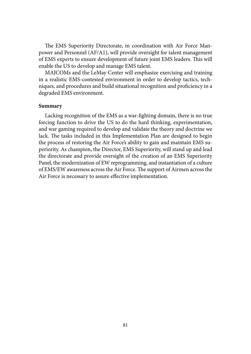The EMS Superiority Directorate, in coordination with Air Force Manpower and Personnel (AF/A1), will provide oversight for talent management of EMS experts to ensure development of future joint EMS leaders. This will enable the US to develop and manage EMS talent.

MAJCOMs and the LeMay Center will emphasize exercising and training in a realistic EMS-contested environment in order to develop tactics, techniques, and procedures and build situational recognition and proficiency in a degraded EMS environment.

#### **Summary**

Lacking recognition of the EMS as a war-fighting domain, there is no true forcing function to drive the US to do the hard thinking, experimentation, and war gaming required to develop and validate the theory and doctrine we lack. The tasks included in this Implementation Plan are designed to begin the process of restoring the Air Force's ability to gain and maintain EMS superiority. As champion, the Director, EMS Superiority, will stand up and lead the directorate and provide oversight of the creation of an EMS Superiority Panel, the modernization of EW reprogramming, and instantiation of a culture of EMS/EW awareness across the Air Force. The support of Airmen across the Air Force is necessary to assure effective implementation.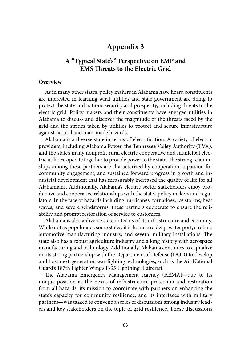## **[Appendix 3](#page-6-0)**

## **A "Typical State's" Perspective on EMP and EMS Threats to the Electric Grid**

### **Overview**

As in many other states, policy makers in Alabama have heard constituents are interested in learning what utilities and state government are doing to protect the state and nation's security and prosperity, including threats to the electric grid. Policy makers and their constituents have engaged utilities in Alabama to discuss and discover the magnitude of the threats faced by the grid and the strides taken by utilities to protect and secure infrastructure against natural and man-made hazards.

Alabama is a diverse state in terms of electrification. A variety of electric providers, including Alabama Power, the Tennessee Valley Authority (TVA), and the state's many nonprofit rural electric cooperative and municipal electric utilities, operate together to provide power to the state. The strong relationships among these partners are characterized by cooperation, a passion for community engagement, and sustained forward progress in growth and industrial development that has measurably increased the quality of life for all Alabamians. Additionally, Alabama's electric sector stakeholders enjoy productive and cooperative relationships with the state's policy makers and regulators. In the face of hazards including hurricanes, tornadoes, ice storms, heat waves, and severe windstorms, these partners cooperate to ensure the reliability and prompt restoration of service to customers.

Alabama is also a diverse state in terms of its infrastructure and economy. While not as populous as some states, it is home to a deep-water port, a robust automotive manufacturing industry, and several military installations. The state also has a robust agriculture industry and a long history with aerospace manufacturing and technology. Additionally, Alabama continues to capitalize on its strong partnership with the Department of Defense (DOD) to develop and host next-generation war-fighting technologies, such as the Air National Guard's 187th Fighter Wing's F-35 Lightning II aircraft.

The Alabama Emergency Management Agency (AEMA)—due to its unique position as the nexus of infrastructure protection and restoration from all hazards, its mission to coordinate with partners on enhancing the state's capacity for community resilience, and its interfaces with military partners—was tasked to convene a series of discussions among industry leaders and key stakeholders on the topic of grid resilience. These discussions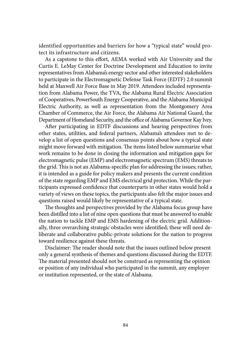identified opportunities and barriers for how a "typical state" would protect its infrastructure and citizens.

As a capstone to this effort, AEMA worked with Air University and the Curtis E. LeMay Center for Doctrine Development and Education to invite representatives from Alabama's energy sector and other interested stakeholders to participate in the Electromagnetic Defense Task Force (EDTF) 2.0 summit held at Maxwell Air Force Base in May 2019. Attendees included representation from Alabama Power, the TVA, the Alabama Rural Electric Association of Cooperatives, PowerSouth Energy Cooperative, and the Alabama Municipal Electric Authority, as well as representation from the Montgomery Area Chamber of Commerce, the Air Force, the Alabama Air National Guard, the Department of Homeland Security, and the office of Alabama Governor Kay Ivey.

After participating in EDTF discussions and hearing perspectives from other states, utilities, and federal partners, Alabama's attendees met to develop a list of open questions and consensus points about how a typical state might move forward with mitigation. The items listed below summarize what work remains to be done in closing the information and mitigation gaps for electromagnetic pulse (EMP) and electromagnetic spectrum (EMS) threats to the grid. This is not an Alabama-specific plan for addressing the issues; rather, it is intended as a guide for policy makers and presents the current condition of the state regarding EMP and EMS electrical grid protection. While the participants expressed confidence that counterparts in other states would hold a variety of views on these topics, the participants also felt the major issues and questions raised would likely be representative of a typical state.

The thoughts and perspectives provided by the Alabama focus group have been distilled into a list of nine open questions that must be answered to enable the nation to tackle EMP and EMS hardening of the electric grid. Additionally, three overarching strategic obstacles were identified; these will need deliberate and collaborative public-private solutions for the nation to progress toward resilience against these threats.

Disclaimer: The reader should note that the issues outlined below present only a general synthesis of themes and questions discussed during the EDTF. The material presented should not be construed as representing the opinion or position of any individual who participated in the summit, any employer or institution represented, or the state of Alabama.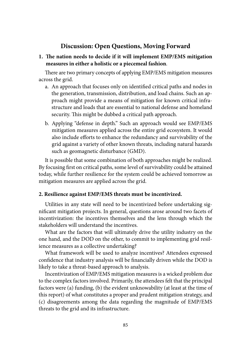## **Discussion: Open Questions, Moving Forward**

**1. The nation needs to decide if it will implement EMP/EMS mitigation measures in either a holistic or a piecemeal fashion**.

There are two primary concepts of applying EMP/EMS mitigation measures across the grid.

- a. An approach that focuses only on identified critical paths and nodes in the generation, transmission, distribution, and load chains. Such an approach might provide a means of mitigation for known critical infrastructure and loads that are essential to national defense and homeland security. This might be dubbed a critical path approach.
- b. Applying "defense in depth." Such an approach would see EMP/EMS mitigation measures applied across the entire grid ecosystem. It would also include efforts to enhance the redundancy and survivability of the grid against a variety of other known threats, including natural hazards such as geomagnetic disturbance (GMD).

It is possible that some combination of both approaches might be realized. By focusing first on critical paths, some level of survivability could be attained today, while further resilience for the system could be achieved tomorrow as mitigation measures are applied across the grid.

### **2. Resilience against EMP/EMS threats must be incentivized.**

Utilities in any state will need to be incentivized before undertaking significant mitigation projects. In general, questions arose around two facets of incentivization: the incentives themselves and the lens through which the stakeholders will understand the incentives.

What are the factors that will ultimately drive the utility industry on the one hand, and the DOD on the other, to commit to implementing grid resilience measures as a collective undertaking?

What framework will be used to analyze incentives? Attendees expressed confidence that industry analysis will be financially driven while the DOD is likely to take a threat-based approach to analysis.

Incentivization of EMP/EMS mitigation measures is a wicked problem due to the complex factors involved. Primarily, the attendees felt that the principal factors were (a) funding, (b) the evident unknowability (at least at the time of this report) of what constitutes a proper and prudent mitigation strategy, and (c) disagreements among the data regarding the magnitude of EMP/EMS threats to the grid and its infrastructure.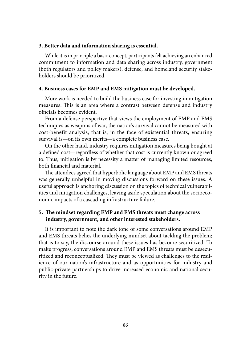#### **3. Better data and information sharing is essential.**

While it is in principle a basic concept, participants felt achieving an enhanced commitment to information and data sharing across industry, government (both regulators and policy makers), defense, and homeland security stakeholders should be prioritized.

#### **4. Business cases for EMP and EMS mitigation must be developed.**

More work is needed to build the business case for investing in mitigation measures. This is an area where a contrast between defense and industry officials becomes evident.

From a defense perspective that views the employment of EMP and EMS techniques as weapons of war, the nation's survival cannot be measured with cost-benefit analysis; that is, in the face of existential threats, ensuring survival is—on its own merits—a complete business case.

On the other hand, industry requires mitigation measures being bought at a defined cost—regardless of whether that cost is currently known or agreed to. Thus, mitigation is by necessity a matter of managing limited resources, both financial and material.

The attendees agreed that hyperbolic language about EMP and EMS threats was generally unhelpful in moving discussions forward on these issues. A useful approach is anchoring discussion on the topics of technical vulnerabilities and mitigation challenges, leaving aside speculation about the socioeconomic impacts of a cascading infrastructure failure.

## **5. The mindset regarding EMP and EMS threats must change across industry, government, and other interested stakeholders.**

It is important to note the dark tone of some conversations around EMP and EMS threats belies the underlying mindset about tackling the problem; that is to say, the discourse around these issues has become securitized. To make progress, conversations around EMP and EMS threats must be desecuritized and reconceptualized. They must be viewed as challenges to the resilience of our nation's infrastructure and as opportunities for industry and public-private partnerships to drive increased economic and national security in the future.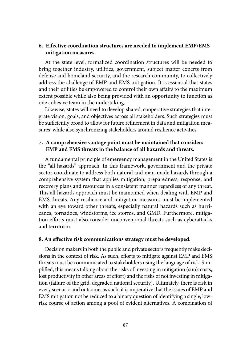### **6. Effective coordination structures are needed to implement EMP/EMS mitigation measures.**

At the state level, formalized coordination structures will be needed to bring together industry, utilities, government, subject matter experts from defense and homeland security, and the research community, to collectively address the challenge of EMP and EMS mitigation. It is essential that states and their utilities be empowered to control their own affairs to the maximum extent possible while also being provided with an opportunity to function as one cohesive team in the undertaking.

Likewise, states will need to develop shared, cooperative strategies that integrate vision, goals, and objectives across all stakeholders. Such strategies must be sufficiently broad to allow for future refinement in data and mitigation measures, while also synchronizing stakeholders around resilience activities.

### **7. A comprehensive vantage point must be maintained that considers EMP and EMS threats in the balance of all hazards and threats.**

A fundamental principle of emergency management in the United States is the "all hazards" approach. In this framework, government and the private sector coordinate to address both natural and man-made hazards through a comprehensive system that applies mitigation, preparedness, response, and recovery plans and resources in a consistent manner regardless of any threat. This all hazards approach must be maintained when dealing with EMP and EMS threats. Any resilience and mitigation measures must be implemented with an eye toward other threats, especially natural hazards such as hurricanes, tornadoes, windstorms, ice storms, and GMD. Furthermore, mitigation efforts must also consider unconventional threats such as cyberattacks and terrorism.

#### **8. An effective risk communications strategy must be developed.**

Decision makers in both the public and private sectors frequently make decisions in the context of risk. As such, efforts to mitigate against EMP and EMS threats must be communicated to stakeholders using the language of risk. Simplified, this means talking about the risks of investing in mitigation (sunk costs, lost productivity in other areas of effort) and the risks of not investing in mitigation (failure of the grid, degraded national security). Ultimately, there is risk in every scenario and outcome; as such, it is imperative that the issues of EMP and EMS mitigation not be reduced to a binary question of identifying a single, lowrisk course of action among a pool of evident alternatives. A combination of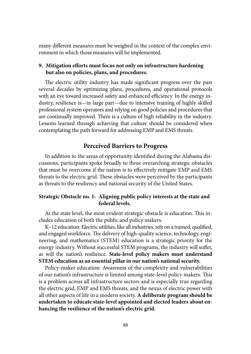many different measures must be weighed in the context of the complex environment in which those measures will be implemented.

## **9. Mitigation efforts must focus not only on infrastructure hardening but also on policies, plans, and procedures.**

The electric utility industry has made significant progress over the past several decades by optimizing plans, procedures, and operational protocols with an eye toward increased safety and enhanced efficiency. In the energy industry, resilience is—in large part—due to intensive training of highly skilled professional system operators and relying on good policies and procedures that are continually improved. There is a culture of high reliability in the industry. Lessons learned through achieving that culture should be considered when contemplating the path forward for addressing EMP and EMS threats.

## **Perceived Barriers to Progress**

In addition to the areas of opportunity identified during the Alabama discussions, participants spoke broadly to three overarching strategic obstacles that must be overcome if the nation is to effectively mitigate EMP and EMS threats to the electric grid. These obstacles were perceived by the participants as threats to the resiliency and national security of the United States.

### **Strategic Obstacle no. 1: Aligning public policy interests at the state and federal levels.**

At the state level, the most evident strategic obstacle is education. This includes education of both the public and policy makers.

K–12 education: Electric utilities, like all industries, rely on a trained, qualified, and engaged workforce. The delivery of high-quality science, technology, engineering, and mathematics (STEM) education is a strategic priority for the energy industry. Without successful STEM programs, the industry will suffer, as will the nation's resilience. **State-level policy makers must understand STEM education as an essential pillar in our nation's national security.**

Policy-maker education: Awareness of the complexity and vulnerabilities of our nation's infrastructure is limited among state-level policy makers. This is a problem across all infrastructure sectors and is especially true regarding the electric grid, EMP and EMS threats, and the nexus of electric power with all other aspects of life in a modern society. **A deliberate program should be undertaken to educate state-level appointed and elected leaders about enhancing the resilience of the nation's electric grid.**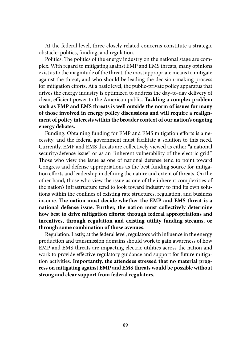At the federal level, three closely related concerns constitute a strategic obstacle: politics, funding, and regulation.

Politics: The politics of the energy industry on the national stage are complex. With regard to mitigating against EMP and EMS threats, many opinions exist as to the magnitude of the threat, the most appropriate means to mitigate against the threat, and who should be leading the decision-making process for mitigation efforts. At a basic level, the public-private policy apparatus that drives the energy industry is optimized to address the day-to-day delivery of clean, efficient power to the American public. **Tackling a complex problem such as EMP and EMS threats is well outside the norm of issues for many of those involved in energy policy discussions and will require a realignment of policy interests within the broader context of our nation's ongoing energy debates.**

Funding: Obtaining funding for EMP and EMS mitigation efforts is a necessity, and the federal government must facilitate a solution to this need. Currently, EMP and EMS threats are collectively viewed as either "a national security/defense issue" or as an "inherent vulnerability of the electric grid." Those who view the issue as one of national defense tend to point toward Congress and defense appropriations as the best funding source for mitigation efforts and leadership in defining the nature and extent of threats. On the other hand, those who view the issue as one of the inherent complexities of the nation's infrastructure tend to look toward industry to find its own solutions within the confines of existing rate structures, regulation, and business income. **The nation must decide whether the EMP and EMS threat is a national defense issue. Further, the nation must collectively determine how best to drive mitigation efforts: through federal appropriations and incentives, through regulation and existing utility funding streams, or through some combination of those avenues.**

Regulation: Lastly, at the federal level, regulators with influence in the energy production and transmission domains should work to gain awareness of how EMP and EMS threats are impacting electric utilities across the nation and work to provide effective regulatory guidance and support for future mitigation activities. **Importantly, the attendees stressed that no material progress on mitigating against EMP and EMS threats would be possible without strong and clear support from federal regulators.**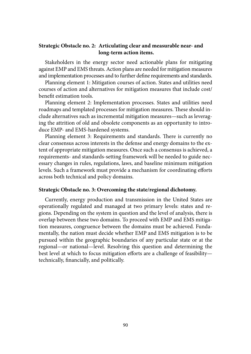### **Strategic Obstacle no. 2: Articulating clear and measurable near- and long-term action items.**

Stakeholders in the energy sector need actionable plans for mitigating against EMP and EMS threats. Action plans are needed for mitigation measures and implementation processes and to further define requirements and standards.

Planning element 1: Mitigation courses of action. States and utilities need courses of action and alternatives for mitigation measures that include cost/ benefit estimation tools.

Planning element 2: Implementation processes. States and utilities need roadmaps and templated processes for mitigation measures. These should include alternatives such as incremental mitigation measures—such as leveraging the attrition of old and obsolete components as an opportunity to introduce EMP- and EMS-hardened systems.

Planning element 3: Requirements and standards. There is currently no clear consensus across interests in the defense and energy domains to the extent of appropriate mitigation measures. Once such a consensus is achieved, a requirements- and standards-setting framework will be needed to guide necessary changes in rules, regulations, laws, and baseline minimum mitigation levels. Such a framework must provide a mechanism for coordinating efforts across both technical and policy domains.

#### **Strategic Obstacle no. 3: Overcoming the state/regional dichotomy.**

Currently, energy production and transmission in the United States are operationally regulated and managed at two primary levels: states and regions. Depending on the system in question and the level of analysis, there is overlap between these two domains. To proceed with EMP and EMS mitigation measures, congruence between the domains must be achieved. Fundamentally, the nation must decide whether EMP and EMS mitigation is to be pursued within the geographic boundaries of any particular state or at the regional—or national—level. Resolving this question and determining the best level at which to focus mitigation efforts are a challenge of feasibility technically, financially, and politically.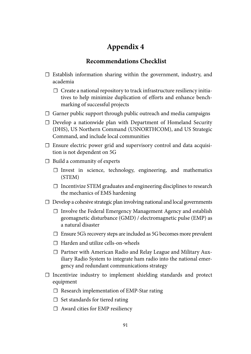# **[Appendix 4](#page-6-0)**

## **[Recommendations Checklist](#page-6-0)**

- ☐ Establish information sharing within the government, industry, and academia
	- $\Box$  Create a national repository to track infrastructure resiliency initiatives to help minimize duplication of efforts and enhance benchmarking of successful projects
- □ Garner public support through public outreach and media campaigns
- ☐ Develop a nationwide plan with Department of Homeland Security (DHS), US Northern Command (USNORTHCOM), and US Strategic Command, and include local communities
- ☐ Ensure electric power grid and supervisory control and data acquisition is not dependent on 5G
- $\Box$  Build a community of experts
	- ☐ Invest in science, technology, engineering, and mathematics (STEM)
	- ☐ Incentivize STEM graduates and engineering disciplines to research the mechanics of EMS hardening
- $\Box$  Develop a cohesive strategic plan involving national and local governments
	- ☐ Involve the Federal Emergency Management Agency and establish geomagnetic disturbance (GMD) / electromagnetic pulse (EMP) as a natural disaster
	- $\square$  Ensure 5G's recovery steps are included as 5G becomes more prevalent
	- ☐ Harden and utilize cells-on-wheels
	- ☐ Partner with American Radio and Relay League and Military Auxiliary Radio System to integrate ham radio into the national emergency and redundant communications strategy
- ☐ Incentivize industry to implement shielding standards and protect equipment
	- ☐ Research implementation of EMP-Star rating
	- $\Box$  Set standards for tiered rating
	- $\Box$  Award cities for EMP resiliency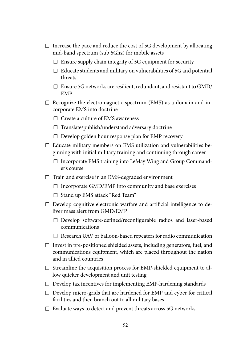- ☐ Increase the pace and reduce the cost of 5G development by allocating mid-band spectrum (sub 6Ghz) for mobile assets
	- $\square$  Ensure supply chain integrity of 5G equipment for security
	- $\Box$  Educate students and military on vulnerabilities of 5G and potential threats
	- $\Box$  Ensure 5G networks are resilient, redundant, and resistant to GMD/ EMP
- $\Box$  Recognize the electromagnetic spectrum (EMS) as a domain and incorporate EMS into doctrine
	- ☐ Create a culture of EMS awareness
	- ☐ Translate/publish/understand adversary doctrine
	- ☐ Develop golden hour response plan for EMP recovery
- ☐ Educate military members on EMS utilization and vulnerabilities beginning with initial military training and continuing through career
	- □ Incorporate EMS training into LeMay Wing and Group Commander's course
- ☐ Train and exercise in an EMS-degraded environment
	- ☐ Incorporate GMD/EMP into community and base exercises
	- ☐ Stand up EMS attack "Red Team"
- □ Develop cognitive electronic warfare and artificial intelligence to deliver mass alert from GMD/EMP
	- ☐ Develop software-defined/reconfigurable radios and laser-based communications
	- ☐ Research UAV or balloon-based repeaters for radio communication
- ☐ Invest in pre-positioned shielded assets, including generators, fuel, and communications equipment, which are placed throughout the nation and in allied countries
- ☐ Streamline the acquisition process for EMP-shielded equipment to allow quicker development and unit testing
- $\Box$  Develop tax incentives for implementing EMP-hardening standards
- ☐ Develop micro-grids that are hardened for EMP and cyber for critical facilities and then branch out to all military bases
- ☐ Evaluate ways to detect and prevent threats across 5G networks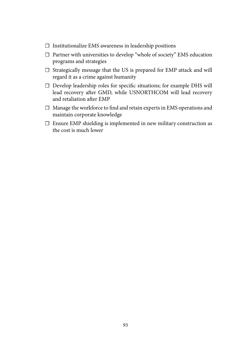- ☐ Institutionalize EMS awareness in leadership positions
- ☐ Partner with universities to develop "whole of society" EMS education programs and strategies
- ☐ Strategically message that the US is prepared for EMP attack and will regard it as a crime against humanity
- ☐ Develop leadership roles for specific situations; for example DHS will lead recovery after GMD, while USNORTHCOM will lead recovery and retaliation after EMP
- ☐ Manage the workforce to find and retain experts in EMS operations and maintain corporate knowledge
- ☐ Ensure EMP shielding is implemented in new military construction as the cost is much lower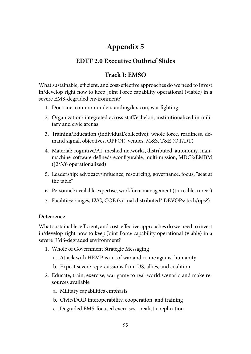# **[Appendix 5](#page-6-0)**

## **[EDTF 2.0 Executive Outbrief Slides](#page-6-0)**

## **Track I: EMSO**

What sustainable, efficient, and cost-effective approaches do we need to invest in/develop right now to keep Joint Force capability operational (viable) in a severe EMS-degraded environment?

- 1. Doctrine: common understanding/lexicon, war fighting
- 2. Organization: integrated across staff/echelon, institutionalized in military and civic arenas
- 3. Training/Education (individual/collective): whole force, readiness, demand signal, objectives, OPFOR, venues, M&S, T&E (OT/DT)
- 4. Material: cognitive/AI, meshed networks, distributed, autonomy, manmachine, software-defined/reconfigurable, multi-mission, MDC2/EMBM (J2/3/6 operationalized)
- 5. Leadership: advocacy/influence, resourcing, governance, focus, "seat at the table"
- 6. Personnel: available expertise, workforce management (traceable, career)
- 7. Facilities: ranges, LVC, COE (virtual distributed? DEVOPs: tech/ops?)

## **Deterrence**

What sustainable, efficient, and cost-effective approaches do we need to invest in/develop right now to keep Joint Force capability operational (viable) in a severe EMS-degraded environment?

- 1. Whole of Government Strategic Messaging
	- a. Attack with HEMP is act of war and crime against humanity
	- b. Expect severe repercussions from US, allies, and coalition
- 2. Educate, train, exercise, war game to real-world scenario and make resources available
	- a. Military capabilities emphasis
	- b. Civic/DOD interoperability, cooperation, and training
	- c. Degraded EMS-focused exercises—realistic replication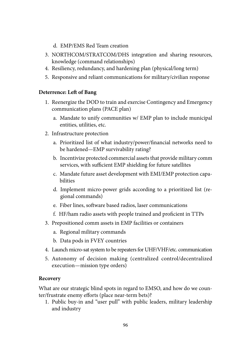- d. EMP/EMS Red Team creation
- 3. NORTHCOM/STRATCOM/DHS integration and sharing resources, knowledge (command relationships)
- 4. Resiliency, redundancy, and hardening plan (physical/long term)
- 5. Responsive and reliant communications for military/civilian response

## **Deterrence: Left of Bang**

- 1. Reenergize the DOD to train and exercise Contingency and Emergency communication plans (PACE plan)
	- a. Mandate to unify communities w/ EMP plan to include municipal entities, utilities, etc.
- 2. Infrastructure protection
	- a. Prioritized list of what industry/power/financial networks need to be hardened—EMP survivability rating?
	- b. Incentivize protected commercial assets that provide military comm services, with sufficient EMP shielding for future satellites
	- c. Mandate future asset development with EMI/EMP protection capabilities
	- d. Implement micro-power grids according to a prioritized list (regional commands)
	- e. Fiber lines, software based radios, laser communications
	- f. HF/ham radio assets with people trained and proficient in TTPs
- 3. Prepositioned comm assets in EMP facilities or containers
	- a. Regional military commands
	- b. Data pods in FVEY countries
- 4. Launch micro-sat system to be repeaters for UHF/VHF/etc. communication
- 5. Autonomy of decision making (centralized control/decentralized execution—mission type orders)

## **Recovery**

What are our strategic blind spots in regard to EMSO, and how do we counter/frustrate enemy efforts (place near-term bets)?

1. Public buy-in and "user pull" with public leaders, military leadership and industry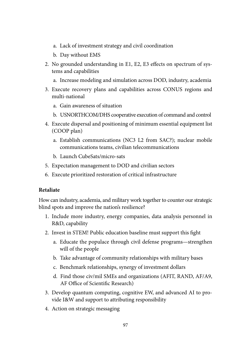- a. Lack of investment strategy and civil coordination
- b. Day without EMS
- 2. No grounded understanding in E1, E2, E3 effects on spectrum of systems and capabilities
	- a. Increase modeling and simulation across DOD, industry, academia
- 3. Execute recovery plans and capabilities across CONUS regions and multi-national
	- a. Gain awareness of situation
	- b. USNORTHCOM/DHS cooperative execution of command and control
- 4. Execute dispersal and positioning of minimum essential equipment list (COOP plan)
	- a. Establish communications (NC3 L2 from SAC?); nuclear mobile communications teams, civilian telecommunications
	- b. Launch CubeSats/micro-sats
- 5. Expectation management to DOD and civilian sectors
- 6. Execute prioritized restoration of critical infrastructure

## **Retaliate**

How can industry, academia, and military work together to counter our strategic blind spots and improve the nation's resilience?

- 1. Include more industry, energy companies, data analysis personnel in R&D, capability
- 2. Invest in STEM! Public education baseline must support this fight
	- a. Educate the populace through civil defense programs—strengthen will of the people
	- b. Take advantage of community relationships with military bases
	- c. Benchmark relationships, synergy of investment dollars
	- d. Find those civ/mil SMEs and organizations (AFIT, RAND, AF/A9, AF Office of Scientific Research)
- 3. Develop quantum computing, cognitive EW, and advanced AI to provide I&W and support to attributing responsibility
- 4. Action on strategic messaging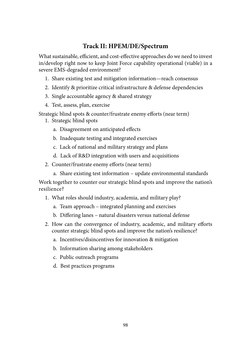## **Track II: HPEM/DE/Spectrum**

What sustainable, efficient, and cost-effective approaches do we need to invest in/develop right now to keep Joint Force capability operational (viable) in a severe EMS-degraded environment?

- 1. Share existing test and mitigation information—reach consensus
- 2. Identify & prioritize critical infrastructure & defense dependencies
- 3. Single accountable agency & shared strategy
- 4. Test, assess, plan, exercise

Strategic blind spots & counter/frustrate enemy efforts (near term)

- 1. Strategic blind spots
	- a. Disagreement on anticipated effects
	- b. Inadequate testing and integrated exercises
	- c. Lack of national and military strategy and plans
	- d. Lack of R&D integration with users and acquisitions
- 2. Counter/frustrate enemy efforts (near term)
	- a. Share existing test information update environmental standards

Work together to counter our strategic blind spots and improve the nation's resilience?

- 1. What roles should industry, academia, and military play?
	- a. Team approach integrated planning and exercises
	- b. Differing lanes natural disasters versus national defense
- 2. How can the convergence of industry, academic, and military efforts counter strategic blind spots and improve the nation's resilience?
	- a. Incentives/disincentives for innovation & mitigation
	- b. Information sharing among stakeholders
	- c. Public outreach programs
	- d. Best practices programs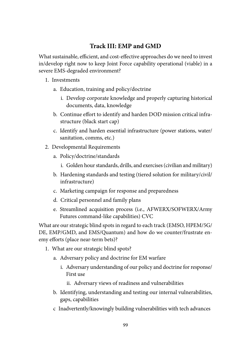## **Track III: EMP and GMD**

What sustainable, efficient, and cost-effective approaches do we need to invest in/develop right now to keep Joint Force capability operational (viable) in a severe EMS-degraded environment?

- 1. Investments
	- a. Education, training and policy/doctrine
		- i. Develop corporate knowledge and properly capturing historical documents, data, knowledge
	- b. Continue effort to identify and harden DOD mission critical infrastructure (black start cap)
	- c. Identify and harden essential infrastructure (power stations, water/ sanitation, comms, etc.)
- 2. Developmental Requirements
	- a. Policy/doctrine/standards
		- i. Golden hour standards, drills, and exercises (civilian and military)
	- b. Hardening standards and testing (tiered solution for military/civil/ infrastructure)
	- c. Marketing campaign for response and preparedness
	- d. Critical personnel and family plans
	- e. Streamlined acquisition process (i.e., AFWERX/SOFWERX/Army Futures command-like capabilities) CVC

What are our strategic blind spots in regard to each track (EMSO, HPEM/5G/ DE, EMP/GMD, and EMS/Quantum) and how do we counter/frustrate enemy efforts (place near-term bets)?

- 1. What are our strategic blind spots?
	- a. Adversary policy and doctrine for EM warfare
		- i. Adversary understanding of our policy and doctrine for response/ First use
			- ii. Adversary views of readiness and vulnerabilities
	- b. Identifying, understanding and testing our internal vulnerabilities, gaps, capabilities
	- c Inadvertently/knowingly building vulnerabilities with tech advances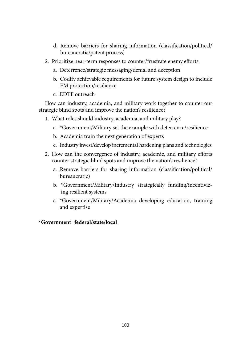- d. Remove barriers for sharing information (classification/political/ bureaucratic/patent process)
- 2. Prioritize near-term responses to counter/frustrate enemy efforts.
	- a. Deterrence/strategic messaging/denial and deception
	- b. Codify achievable requirements for future system design to include EM protection/resilience
	- c. EDTF outreach

How can industry, academia, and military work together to counter our strategic blind spots and improve the nation's resilience?

- 1. What roles should industry, academia, and military play?
	- a. \*Government/Military set the example with deterrence/resilience
	- b. Academia train the next generation of experts
	- c. Industry invest/develop incremental hardening plans and technologies
- 2. How can the convergence of industry, academic, and military efforts counter strategic blind spots and improve the nation's resilience?
	- a. Remove barriers for sharing information (classification/political/ bureaucratic)
	- b. \*Government/Military/Industry strategically funding/incentivizing resilient systems
	- c. \*Government/Military/Academia developing education, training and expertise

### **\*Government=federal/state/local**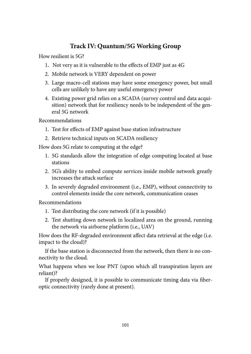## **Track IV: Quantum/5G Working Group**

How resilient is 5G?

- 1. Not very as it is vulnerable to the effects of EMP just as 4G
- 2. Mobile network is VERY dependent on power
- 3. Large macro-cell stations may have some emergency power, but small cells are unlikely to have any useful emergency power
- 4. Existing power grid relies on a SCADA (survey control and data acquisition) network that for resiliency needs to be independent of the general 5G network

Recommendations

- 1. Test for effects of EMP against base station infrastructure
- 2. Retrieve technical inputs on SCADA resiliency

How does 5G relate to computing at the edge?

- 1. 5G standards allow the integration of edge computing located at base stations
- 2. 5G's ability to embed compute services inside mobile network greatly increases the attack surface
- 3. In severely degraded environment (i.e., EMP), without connectivity to control elements inside the core network, communication ceases

Recommendations

- 1. Test distributing the core network (if it is possible)
- 2. Test shutting down network in localized area on the ground, running the network via airborne platform (i.e., UAV)

How does the RF-degraded environment affect data retrieval at the edge (i.e. impact to the cloud)?

If the base station is disconnected from the network, then there is no connectivity to the cloud.

What happens when we lose PNT (upon which all transpiration layers are reliant)?

If properly designed, it is possible to communicate timing data via fiberoptic connectivity (rarely done at present).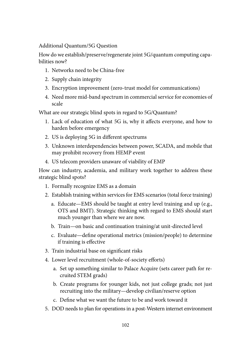Additional Quantum/5G Question

How do we establish/preserve/regenerate joint 5G/quantum computing capabilities now?

- 1. Networks need to be China-free
- 2. Supply chain integrity
- 3. Encryption improvement (zero-trust model for communications)
- 4. Need more mid-band spectrum in commercial service for economies of scale

What are our strategic blind spots in regard to 5G/Quantum?

- 1. Lack of education of what 5G is, why it affects everyone, and how to harden before emergency
- 2. US is deploying 5G in different spectrums
- 3. Unknown interdependencies between power, SCADA, and mobile that may prohibit recovery from HEMP event
- 4. US telecom providers unaware of viability of EMP

How can industry, academia, and military work together to address these strategic blind spots?

- 1. Formally recognize EMS as a domain
- 2. Establish training within services for EMS scenarios (total force training)
	- a. Educate—EMS should be taught at entry level training and up (e.g., OTS and BMT). Strategic thinking with regard to EMS should start much younger than where we are now.
	- b. Train—on basic and continuation training/at unit-directed level
	- c. Evaluate—define operational metrics (mission/people) to determine if training is effective
- 3. Train industrial base on significant risks
- 4. Lower level recruitment (whole-of-society efforts)
	- a. Set up something similar to Palace Acquire (sets career path for recruited STEM grads)
	- b. Create programs for younger kids, not just college grads; not just recruiting into the military—develop civilian/reserve option
	- c. Define what we want the future to be and work toward it
- 5. DOD needs to plan for operations in a post-Western internet environment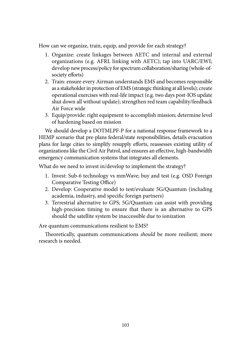How can we organize, train, equip, and provide for each strategy?

- 1. Organize: create linkages between AETC and internal and external organizations (e.g. AFRL linking with AETC); tap into UARC/EWI; develop new process/policy for spectrum collaboration/sharing (whole-ofsociety efforts)
- 2. Train: ensure every Airman understands EMS and becomes responsible as a stakeholder in protection of EMS (strategic thinking at all levels); create operational exercises with real-life impact (e.g. two days post-IOS update shut down all without update); strengthen red team capability/feedback Air Force wide
- 3. Equip/provide: right equipment to accomplish mission; determine level of hardening based on mission

We should develop a DOTMLPF-P for a national response framework to a HEMP scenario that pre-plans federal/state responsibilities, details evacuation plans for large cities to simplify resupply efforts, reassesses existing utility of organizations like the Civil Air Patrol, and ensures an effective, high-bandwidth emergency communication systems that integrates all elements.

What do we need to invest in/develop to implement the strategy?

- 1. Invest: Sub-6 technology vs mmWave; buy and test (e.g. OSD Foreign Comparative Testing Office)
- 2. Develop: Cooperative model to test/evaluate 5G/Quantum (including academia, industry, and specific foreign partners)
- 3. Terrestrial alternative to GPS; 5G/Quantum can assist with providing high-precision timing to ensure that there is an alternative to GPS should the satellite system be inaccessible due to ionization

Are quantum communications resilient to EMS?

Theoretically, quantum communications *should* be more resilient; more research is needed.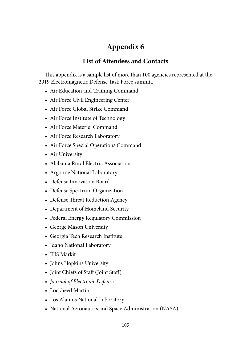# **[Appendix 6](#page-7-0)**

## **[List of Attendees and Contacts](#page-7-0)**

This appendix is a sample list of more than 100 agencies represented at the 2019 Electromagnetic Defense Task Force summit.

- Air Education and Training Command
- Air Force Civil Engineering Center
- Air Force Global Strike Command
- Air Force Institute of Technology
- Air Force Materiel Command
- Air Force Research Laboratory
- Air Force Special Operations Command
- Air University
- Alabama Rural Electric Association
- Argonne National Laboratory
- Defense Innovation Board
- Defense Spectrum Organization
- Defense Threat Reduction Agency
- Department of Homeland Security
- Federal Energy Regulatory Commission
- George Mason University
- Georgia Tech Research Institute
- Idaho National Laboratory
- IHS Markit
- Johns Hopkins University
- Joint Chiefs of Staff (Joint Staff)
- *Journal of Electronic Defense*
- Lockheed Martin
- Los Alamos National Laboratory
- National Aeronautics and Space Administration (NASA)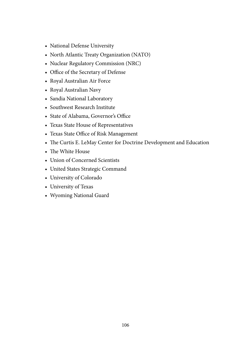- National Defense University
- North Atlantic Treaty Organization (NATO)
- Nuclear Regulatory Commission (NRC)
- Office of the Secretary of Defense
- Royal Australian Air Force
- Royal Australian Navy
- Sandia National Laboratory
- Southwest Research Institute
- State of Alabama, Governor's Office
- Texas State House of Representatives
- Texas State Office of Risk Management
- The Curtis E. LeMay Center for Doctrine Development and Education
- The White House
- Union of Concerned Scientists
- United States Strategic Command
- University of Colorado
- University of Texas
- Wyoming National Guard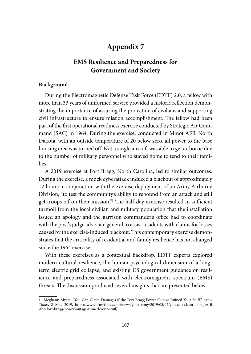# **[Appendix 7](#page-7-0)**

### **[EMS Resilience and Preparedness for](#page-7-0)  [Government and Society](#page-7-0)**

#### **Background**

During the Electromagnetic Defense Task Force (EDTF) 2.0, a fellow with more than 33 years of uniformed service provided a historic reflection demonstrating the importance of assuring the protection of civilians and supporting civil infrastructure to ensure mission accomplishment. The fellow had been part of the first operational readiness exercise conducted by Strategic Air Command (SAC) in 1964. During the exercise, conducted in Minot AFB, North Dakota, with an outside temperature of 20 below zero, all power to the base housing area was turned off. Not a single aircraft was able to get airborne due to the number of military personnel who stayed home to tend to their families.

A 2019 exercise at Fort Bragg, North Carolina, led to similar outcomes. During the exercise, a mock cyberattack induced a blackout of approximately 12 hours in conjunction with the exercise deployment of an Army Airborne Division, "to test the community's ability to rebound from an attack and still get troops off on their mission."1 The half-day exercise resulted in sufficient turmoil from the local civilian and military population that the installation issued an apology and the garrison commander's office had to coordinate with the post's judge advocate general to assist residents with claims for losses caused by the exercise-induced blackout. This contemporary exercise demonstrates that the criticality of residential and family resilience has not changed since the 1964 exercise.

With these exercises as a contextual backdrop, EDTF experts explored modern cultural resilience, the human psychological dimension of a longterm electric grid collapse, and existing US government guidance on resilience and preparedness associated with electromagnetic spectrum (EMS) threats. The discussion produced several insights that are presented below.

<sup>1.</sup> Meghann Myers, "You Can Claim Damages if the Fort Bragg Power Outage Ruined Your Stuff," *Army Times*, 2 May 2019, [https://www.](https://www.armytimes.com/news/your-army/2019/05/02/you-can-claim-damages-if-the-fort-bragg-power-outage-ruined-your-stuff/)armytimes.com/news/your-army/2019/05/02/you-can-claim-damages-if -the-fort-bragg-power-outage-ruined-your-stuff/.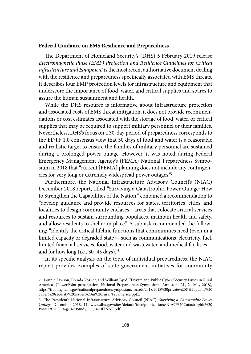#### **Federal Guidance on EMS Resilience and Preparedness**

The Department of Homeland Security's (DHS) 5 February 2019 release *Electromagnetic Pulse (EMP) Protection and Resilience Guidelines for Critical Infrastructure and Equipment* is the most recent authoritative document dealing with the resilience and preparedness specifically associated with EMS threats. It describes four EMP protection levels for infrastructure and equipment that underscore the importance of food, water, and critical supplies and spares to assure the human sustainment and health.

While the DHS resource is informative about infrastructure protection and associated costs of EMS threat mitigation, it does not provide recommendations or cost estimates associated with the storage of food, water, or critical supplies that may be required to support military personnel or their families. Nevertheless, DHS's focus on a 30-day period of preparedness corresponds to the EDTF 1.0 consensus view that 30 days of food and water is a reasonable and realistic target to ensure the families of military personnel are sustained during a prolonged power outage. However, it was noted during Federal Emergency Management Agency's (FEMA) National Preparedness Symposium in 2018 that "current [FEMA] planning does not include any contingencies for very long or extremely widespread power outages."2

Furthermore, the National Infrastructure Advisory Council's (NIAC) December 2018 report, titled "Surviving a Catastrophic Power Outage: How to Strengthen the Capabilities of the Nation," contained a recommendation to "develop guidance and provide resources for states, territories, cities, and localities to design community enclaves—areas that colocate critical services and resources to sustain surrounding populaces, maintain health and safety, and allow residents to shelter in place." A subtask recommended the following: "Identify the critical lifeline functions that communities need (even in a limited capacity or degraded state)—such as communications, electricity, fuel, limited financial services, food, water and wastewater, and medical facilities and for how long (i.e., 30–45 days)."3

In its specific analysis on the topic of individual preparedness, the NIAC report provides examples of state government initiatives for community

<sup>2.</sup> Lonnie Lawson, Brenda Vossler, and William Byrd, "Private and Public Cyber Security Issues in Rural America" (PowerPoint presentation, National Preparedness Symposium, Anniston, AL, 24 May 2018), [https://t](https://training.fema.gov/nationalpreparednesssymposium/_assets/2018/2018%20private%20&%20public%20cyber%20security%20issues%20in%20rural%20america.pptx)raining.fema.gov/nationalpreparednesssymposium/\_assets/2018/2018%20private%20&%20public%20 cyber%20security%20issues%20in%20rural%20america.pptx.

<sup>3.</sup> The President's National Infrastructure Advisory Council (NIAC), *Surviving a Catastrophic Power Outage*, December 2018, 11, www.dhs.gov/sites/default/files/publications/NIAC%20Catastrophic%20 Power %20Outage%20Study\_508%20FINAL.pdf.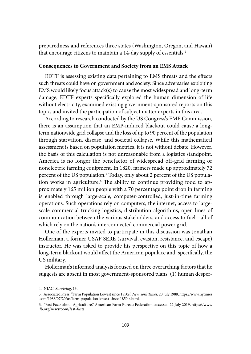preparedness and references three states (Washington, Oregon, and Hawaii) that encourage citizens to maintain a 14-day supply of essentials.<sup>4</sup>

#### **Consequences to Government and Society from an EMS Attack**

EDTF is assessing existing data pertaining to EMS threats and the effects such threats could have on government and society. Since adversaries exploiting EMS would likely focus attack(s) to cause the most widespread and long-term damage, EDTF experts specifically explored the human dimension of life without electricity, examined existing government-sponsored reports on this topic, and invited the participation of subject matter experts in this area.

According to research conducted by the US Congress's EMP Commission, there is an assumption that an EMP-induced blackout could cause a longterm nationwide grid collapse and the loss of up to 90 percent of the population through starvation, disease, and societal collapse. While this mathematical assessment is based on population metrics, it is not without debate. However, the basis of this calculation is not unreasonable from a logistics standpoint. America is no longer the benefactor of widespread off-grid farming or nonelectric farming equipment. In 1820, farmers made up approximately 72 percent of the US population.<sup>5</sup> Today, only about 2 percent of the US population works in agriculture.6 The ability to continue providing food to approximately 165 million people with a 70 percentage point drop in farming is enabled through large-scale, computer-controlled, just-in-time farming operations. Such operations rely on computers, the internet, access to largescale commercial trucking logistics, distribution algorithms, open lines of communication between the various stakeholders, and access to fuel—all of which rely on the nation's interconnected commercial power grid.

One of the experts invited to participate in this discussion was Jonathan Hollerman, a former USAF SERE (survival, evasion, resistance, and escape) instructor. He was asked to provide his perspective on this topic of how a long-term blackout would affect the American populace and, specifically, the US military.

Hollerman's informed analysis focused on three overarching factors that he suggests are absent in most government-sponsored plans: (1) human desper-

<sup>4.</sup> NIAC, *Surviving*, 13.

<sup>5.</sup> Associated Press, "Farm Population Lowest since 1850s," *New York Times*, 20 July 1988, [https://](https://www.nytimes.com/1988/07/20/us/farm-population-lowest-since-1850-s.html)www.nytimes .com/1988/07/20/us/farm-population-lowest-since-1850-s.html.

<sup>6.</sup> "Fast Facts about Agriculture," American Farm Bureau Federation, accessed 22 July 2019, [https://www](https://www.fb.org/newsroom/fast-facts) [.fb.org/newsroom/fast-facts.](https://www.fb.org/newsroom/fast-facts)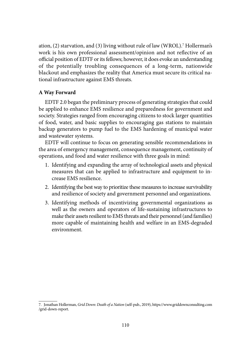ation, (2) starvation, and (3) living without rule of law (WROL).7 Hollerman's work is his own professional assessment/opinion and not reflective of an official position of EDTF or its fellows; however, it does evoke an understanding of the potentially troubling consequences of a long-term, nationwide blackout and emphasizes the reality that America must secure its critical national infrastructure against EMS threats.

#### **A Way Forward**

EDTF 2.0 began the preliminary process of generating strategies that could be applied to enhance EMS resilience and preparedness for government and society. Strategies ranged from encouraging citizens to stock larger quantities of food, water, and basic supplies to encouraging gas stations to maintain backup generators to pump fuel to the EMS hardening of municipal water and wastewater systems.

EDTF will continue to focus on generating sensible recommendations in the area of emergency management, consequence management, continuity of operations, and food and water resilience with three goals in mind:

- 1. Identifying and expanding the array of technological assets and physical measures that can be applied to infrastructure and equipment to increase EMS resilience.
- 2. Identifying the best way to prioritize these measures to increase survivability and resilience of society and government personnel and organizations.
- 3. Identifying methods of incentivizing governmental organizations as well as the owners and operators of life-sustaining infrastructures to make their assets resilient to EMS threats and their personnel (and families) more capable of maintaining health and welfare in an EMS-degraded environment.

<sup>7.</sup> Jonathan Hollerman, *Grid Down: Death of a Nation* (self-pub., 2019), [https://w](https://www.griddownconsulting.com/grid-down-report)ww.griddownconsulting.com /grid-down-report.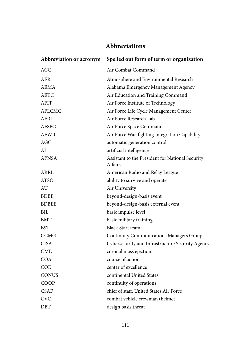## **[Abbreviations](#page-7-0)**

| Abbreviation or acronym | Spelled out form of term or organization                    |
|-------------------------|-------------------------------------------------------------|
| ACC                     | Air Combat Command                                          |
| <b>AER</b>              | Atmosphere and Environmental Research                       |
| AEMA                    | Alabama Emergency Management Agency                         |
| <b>AETC</b>             | Air Education and Training Command                          |
| <b>AFIT</b>             | Air Force Institute of Technology                           |
| <b>AFLCMC</b>           | Air Force Life Cycle Management Center                      |
| AFRL                    | Air Force Research Lab                                      |
| <b>AFSPC</b>            | Air Force Space Command                                     |
| <b>AFWIC</b>            | Air Force War-fighting Integration Capability               |
| AGC                     | automatic generation control                                |
| AI                      | artificial intelligence                                     |
| <b>APNSA</b>            | Assistant to the President for National Security<br>Affairs |
| ARRL                    | American Radio and Relay League                             |
| ATSO                    | ability to survive and operate                              |
| AU                      | Air University                                              |
| <b>BDBE</b>             | beyond-design-basis event                                   |
| <b>BDBEE</b>            | beyond-design-basis external event                          |
| BIL                     | basic impulse level                                         |
| BMT                     | basic military training                                     |
| <b>BST</b>              | <b>Black Start team</b>                                     |
| CCMG                    | <b>Continuity Communications Managers Group</b>             |
| <b>CISA</b>             | Cybersecurity and Infrastructure Security Agency            |
| CME                     | coronal mass ejection                                       |
| COA                     | course of action                                            |
| COE                     | center of excellence                                        |
| <b>CONUS</b>            | continental United States                                   |
| COOP                    | continuity of operations                                    |
| CSAF                    | chief of staff, United States Air Force                     |
| <b>CVC</b>              | combat vehicle crewman (helmet)                             |
| DBT                     | design basis threat                                         |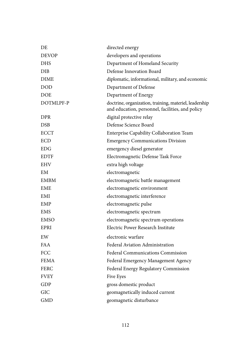| DE           | directed energy                                                                                            |
|--------------|------------------------------------------------------------------------------------------------------------|
| <b>DEVOP</b> | developers and operations                                                                                  |
| <b>DHS</b>   | Department of Homeland Security                                                                            |
| DIB          | Defense Innovation Board                                                                                   |
| <b>DIME</b>  | diplomatic, informational, military, and economic                                                          |
| <b>DOD</b>   | Department of Defense                                                                                      |
| <b>DOE</b>   | Department of Energy                                                                                       |
| DOTMLPF-P    | doctrine, organization, training, materiel, leadership<br>and education, personnel, facilities, and policy |
| <b>DPR</b>   | digital protective relay                                                                                   |
| <b>DSB</b>   | Defense Science Board                                                                                      |
| <b>ECCT</b>  | Enterprise Capability Collaboration Team                                                                   |
| ECD          | <b>Emergency Communications Division</b>                                                                   |
| EDG          | emergency diesel generator                                                                                 |
| <b>EDTF</b>  | Electromagnetic Defense Task Force                                                                         |
| EHV          | extra high voltage                                                                                         |
| EM           | electromagnetic                                                                                            |
| <b>EMBM</b>  | electromagnetic battle management                                                                          |
| <b>EME</b>   | electromagnetic environment                                                                                |
| EMI          | electromagnetic interference                                                                               |
| EMP          | electromagnetic pulse                                                                                      |
| <b>EMS</b>   | electromagnetic spectrum                                                                                   |
| <b>EMSO</b>  | electromagnetic spectrum operations                                                                        |
| EPRI         | Electric Power Research Institute                                                                          |
| EW           | electronic warfare                                                                                         |
| <b>FAA</b>   | Federal Aviation Administration                                                                            |
| FCC          | Federal Communications Commission                                                                          |
| <b>FEMA</b>  | Federal Emergency Management Agency                                                                        |
| <b>FERC</b>  | Federal Energy Regulatory Commission                                                                       |
| <b>FVEY</b>  | Five Eyes                                                                                                  |
| GDP          | gross domestic product                                                                                     |
| GIC          | geomagnetically induced current                                                                            |
| <b>GMD</b>   | geomagnetic disturbance                                                                                    |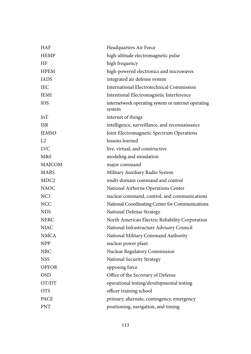| <b>HAF</b>       | Headquarters Air Force                                        |
|------------------|---------------------------------------------------------------|
| <b>HEMP</b>      | high-altitude electromagnetic pulse                           |
| HF               | high frequency                                                |
| <b>HPEM</b>      | high-powered electronics and microwaves                       |
| <b>IADS</b>      | integrated air defense system                                 |
| <b>IEC</b>       | International Electrotechnical Commission                     |
| <b>IEMI</b>      | Intentional Electromagnetic Interference                      |
| <b>IOS</b>       | internetwork operating system or internet operating<br>system |
| IoT              | internet of things                                            |
| <b>ISR</b>       | intelligence, surveillance, and reconnaissance                |
| <b>JEMSO</b>     | Joint Electromagnetic Spectrum Operations                     |
| L2               | lessons learned                                               |
| <b>LVC</b>       | live, virtual, and constructive                               |
| M&S              | modeling and simulation                                       |
| MAJCOM           | major command                                                 |
| <b>MARS</b>      | Military Auxiliary Radio System                               |
| MDC <sub>2</sub> | multi-domain command and control                              |
| <b>NAOC</b>      | National Airborne Operations Center                           |
| NC3              | nuclear command, control, and communications                  |
| <b>NCC</b>       | National Coordinating Center for Communications               |
| <b>NDS</b>       | National Defense Strategy                                     |
| <b>NERC</b>      | North American Electric Reliability Corporation               |
| <b>NIAC</b>      | National Infrastructure Advisory Council                      |
| <b>NMCA</b>      | National Military Command Authority                           |
| <b>NPP</b>       | nuclear power plant                                           |
| NRC              | Nuclear Regulatory Commission                                 |
| <b>NSS</b>       | National Security Strategy                                    |
| <b>OPFOR</b>     | opposing force                                                |
| <b>OSD</b>       | Office of the Secretary of Defense                            |
| OT/DT            | operational testing/developmental testing                     |
| <b>OTS</b>       | officer training school                                       |
| <b>PACE</b>      | primary, alternate, contingency, emergency                    |
| <b>PNT</b>       | positioning, navigation, and timing                           |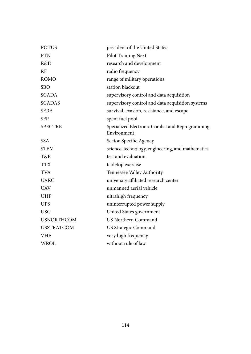| <b>POTUS</b>      | president of the United States                                 |
|-------------------|----------------------------------------------------------------|
| <b>PTN</b>        | Pilot Training Next                                            |
| R&D               | research and development                                       |
| RF                | radio frequency                                                |
| <b>ROMO</b>       | range of military operations                                   |
| <b>SBO</b>        | station blackout                                               |
| <b>SCADA</b>      | supervisory control and data acquisition                       |
| <b>SCADAS</b>     | supervisory control and data acquisition systems               |
| <b>SERE</b>       | survival, evasion, resistance, and escape                      |
| <b>SFP</b>        | spent fuel pool                                                |
| <b>SPECTRE</b>    | Specialized Electronic Combat and Reprogramming<br>Environment |
| <b>SSA</b>        | Sector-Specific Agency                                         |
| <b>STEM</b>       | science, technology, engineering, and mathematics              |
| T&E               | test and evaluation                                            |
| <b>TTX</b>        | tabletop exercise                                              |
| <b>TVA</b>        | Tennessee Valley Authority                                     |
| <b>UARC</b>       | university affiliated research center                          |
| <b>UAV</b>        | unmanned aerial vehicle                                        |
| <b>UHF</b>        | ultrahigh frequency                                            |
| <b>UPS</b>        | uninterrupted power supply                                     |
| <b>USG</b>        | United States government                                       |
| <b>USNORTHCOM</b> | US Northern Command                                            |
| <b>USSTRATCOM</b> | US Strategic Command                                           |
| <b>VHF</b>        | very high frequency                                            |
| WROL              | without rule of law                                            |